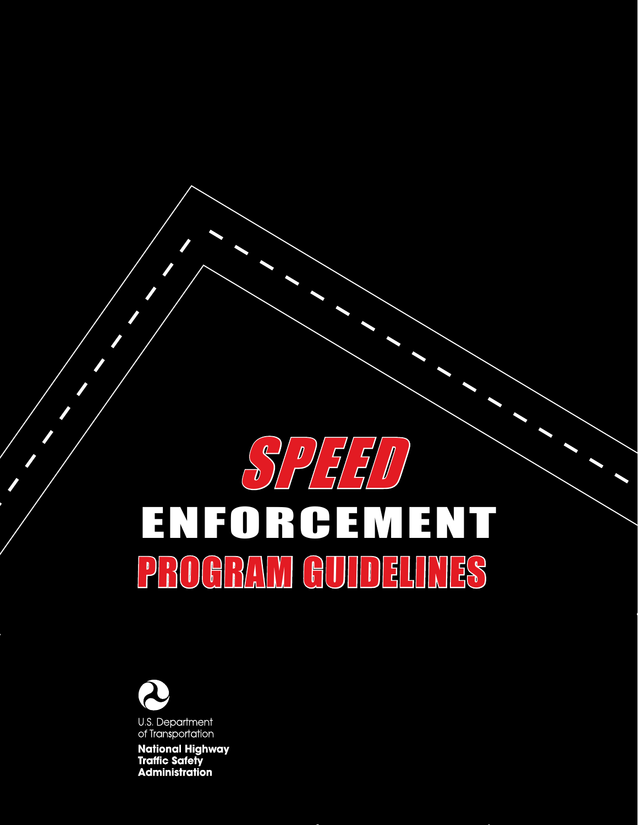

# ENFORCEMENT PROGRAM GUIDELINES



**National Highway Traffic Safety Administration**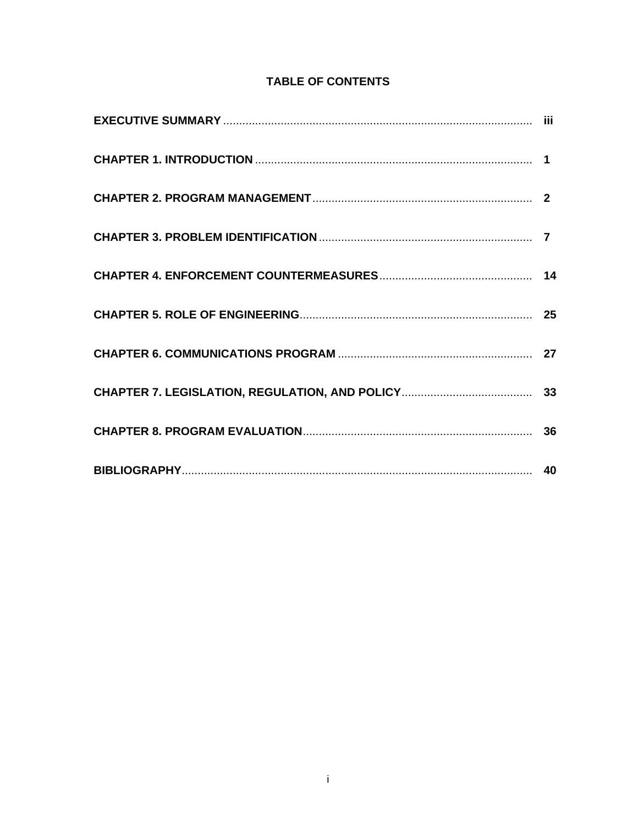# **TABLE OF CONTENTS**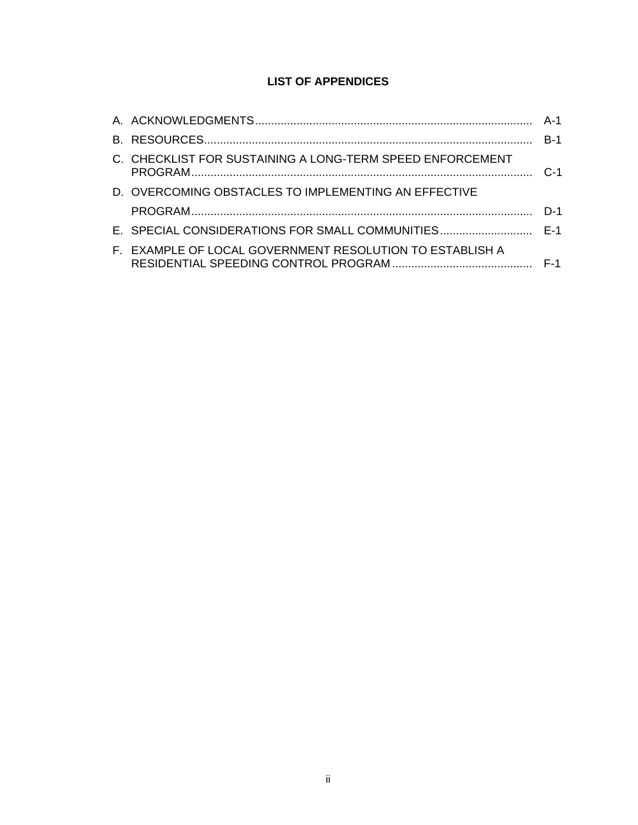# **LIST OF APPENDICES**

| C. CHECKLIST FOR SUSTAINING A LONG-TERM SPEED ENFORCEMENT |  |
|-----------------------------------------------------------|--|
| D. OVERCOMING OBSTACLES TO IMPLEMENTING AN EFFECTIVE      |  |
|                                                           |  |
|                                                           |  |
| F. EXAMPLE OF LOCAL GOVERNMENT RESOLUTION TO ESTABLISH A  |  |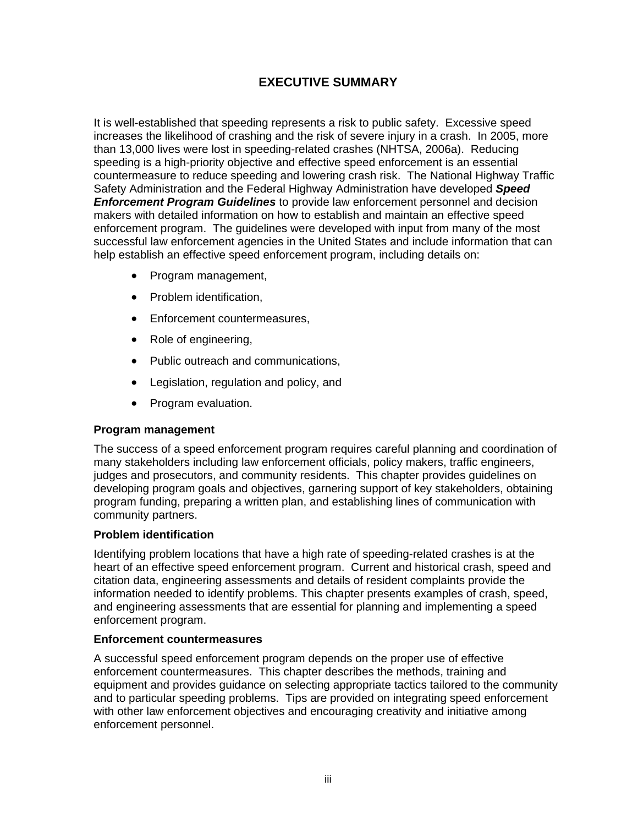# **EXECUTIVE SUMMARY**

It is well-established that speeding represents a risk to public safety. Excessive speed increases the likelihood of crashing and the risk of severe injury in a crash. In 2005, more than 13,000 lives were lost in speeding-related crashes (NHTSA, 2006a). Reducing speeding is a high-priority objective and effective speed enforcement is an essential countermeasure to reduce speeding and lowering crash risk. The National Highway Traffic Safety Administration and the Federal Highway Administration have developed *Speed Enforcement Program Guidelines* to provide law enforcement personnel and decision makers with detailed information on how to establish and maintain an effective speed enforcement program. The guidelines were developed with input from many of the most successful law enforcement agencies in the United States and include information that can help establish an effective speed enforcement program, including details on:

- Program management,
- Problem identification,
- Enforcement countermeasures,
- Role of engineering,
- Public outreach and communications,
- Legislation, regulation and policy, and
- Program evaluation.

#### **Program management**

The success of a speed enforcement program requires careful planning and coordination of many stakeholders including law enforcement officials, policy makers, traffic engineers, judges and prosecutors, and community residents. This chapter provides guidelines on developing program goals and objectives, garnering support of key stakeholders, obtaining program funding, preparing a written plan, and establishing lines of communication with community partners.

#### **Problem identification**

Identifying problem locations that have a high rate of speeding-related crashes is at the heart of an effective speed enforcement program. Current and historical crash, speed and citation data, engineering assessments and details of resident complaints provide the information needed to identify problems. This chapter presents examples of crash, speed, and engineering assessments that are essential for planning and implementing a speed enforcement program.

#### **Enforcement countermeasures**

A successful speed enforcement program depends on the proper use of effective enforcement countermeasures. This chapter describes the methods, training and equipment and provides guidance on selecting appropriate tactics tailored to the community and to particular speeding problems. Tips are provided on integrating speed enforcement with other law enforcement objectives and encouraging creativity and initiative among enforcement personnel.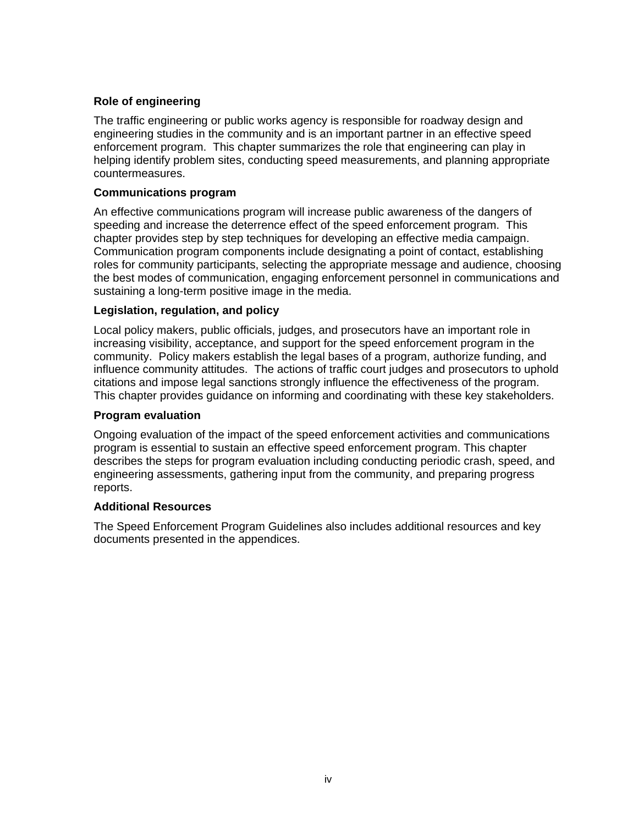## **Role of engineering**

The traffic engineering or public works agency is responsible for roadway design and engineering studies in the community and is an important partner in an effective speed enforcement program. This chapter summarizes the role that engineering can play in helping identify problem sites, conducting speed measurements, and planning appropriate countermeasures.

#### **Communications program**

An effective communications program will increase public awareness of the dangers of speeding and increase the deterrence effect of the speed enforcement program.This chapter provides step by step techniques for developing an effective media campaign. Communication program components include designating a point of contact, establishing roles for community participants, selecting the appropriate message and audience, choosing the best modes of communication, engaging enforcement personnel in communications and sustaining a long-term positive image in the media.

#### **Legislation, regulation, and policy**

Local policy makers, public officials, judges, and prosecutors have an important role in increasing visibility, acceptance, and support for the speed enforcement program in the community. Policy makers establish the legal bases of a program, authorize funding, and influence community attitudes. The actions of traffic court judges and prosecutors to uphold citations and impose legal sanctions strongly influence the effectiveness of the program. This chapter provides guidance on informing and coordinating with these key stakeholders.

#### **Program evaluation**

Ongoing evaluation of the impact of the speed enforcement activities and communications program is essential to sustain an effective speed enforcement program. This chapter describes the steps for program evaluation including conducting periodic crash, speed, and engineering assessments, gathering input from the community, and preparing progress reports.

#### **Additional Resources**

The Speed Enforcement Program Guidelines also includes additional resources and key documents presented in the appendices.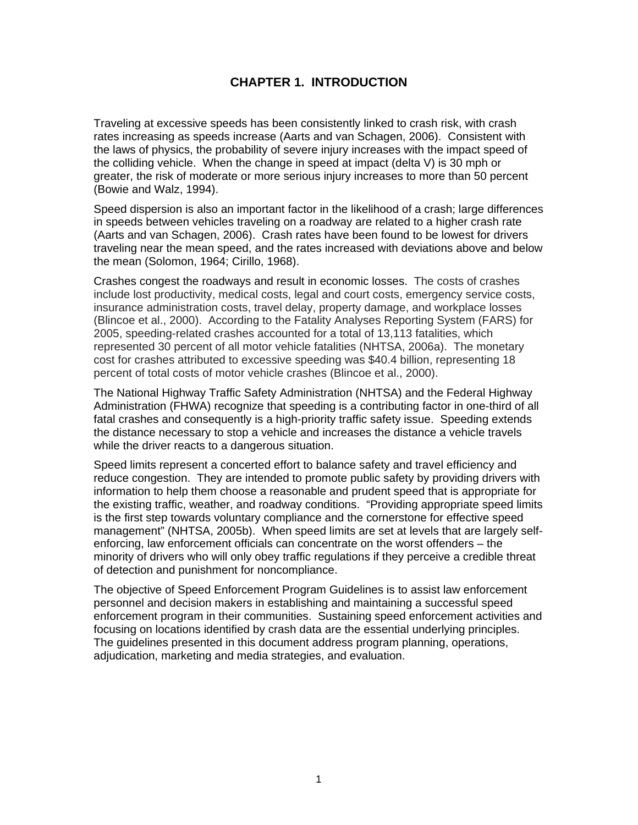# **CHAPTER 1. INTRODUCTION**

Traveling at excessive speeds has been consistently linked to crash risk, with crash rates increasing as speeds increase (Aarts and van Schagen, 2006). Consistent with the laws of physics, the probability of severe injury increases with the impact speed of the colliding vehicle. When the change in speed at impact (delta V) is 30 mph or greater, the risk of moderate or more serious injury increases to more than 50 percent (Bowie and Walz, 1994).

Speed dispersion is also an important factor in the likelihood of a crash; large differences in speeds between vehicles traveling on a roadway are related to a higher crash rate (Aarts and van Schagen, 2006). Crash rates have been found to be lowest for drivers traveling near the mean speed, and the rates increased with deviations above and below the mean (Solomon, 1964; Cirillo, 1968).

Crashes congest the roadways and result in economic losses. The costs of crashes include lost productivity, medical costs, legal and court costs, emergency service costs, insurance administration costs, travel delay, property damage, and workplace losses (Blincoe et al., 2000). According to the Fatality Analyses Reporting System (FARS) for 2005, speeding-related crashes accounted for a total of 13,113 fatalities, which represented 30 percent of all motor vehicle fatalities (NHTSA, 2006a). The monetary cost for crashes attributed to excessive speeding was \$40.4 billion, representing 18 percent of total costs of motor vehicle crashes (Blincoe et al., 2000).

The National Highway Traffic Safety Administration (NHTSA) and the Federal Highway Administration (FHWA) recognize that speeding is a contributing factor in one-third of all fatal crashes and consequently is a high-priority traffic safety issue. Speeding extends the distance necessary to stop a vehicle and increases the distance a vehicle travels while the driver reacts to a dangerous situation.

Speed limits represent a concerted effort to balance safety and travel efficiency and reduce congestion. They are intended to promote public safety by providing drivers with information to help them choose a reasonable and prudent speed that is appropriate for the existing traffic, weather, and roadway conditions. "Providing appropriate speed limits is the first step towards voluntary compliance and the cornerstone for effective speed management" (NHTSA, 2005b). When speed limits are set at levels that are largely selfenforcing, law enforcement officials can concentrate on the worst offenders – the minority of drivers who will only obey traffic regulations if they perceive a credible threat of detection and punishment for noncompliance.

The objective of Speed Enforcement Program Guidelines is to assist law enforcement personnel and decision makers in establishing and maintaining a successful speed enforcement program in their communities. Sustaining speed enforcement activities and focusing on locations identified by crash data are the essential underlying principles. The guidelines presented in this document address program planning, operations, adjudication, marketing and media strategies, and evaluation.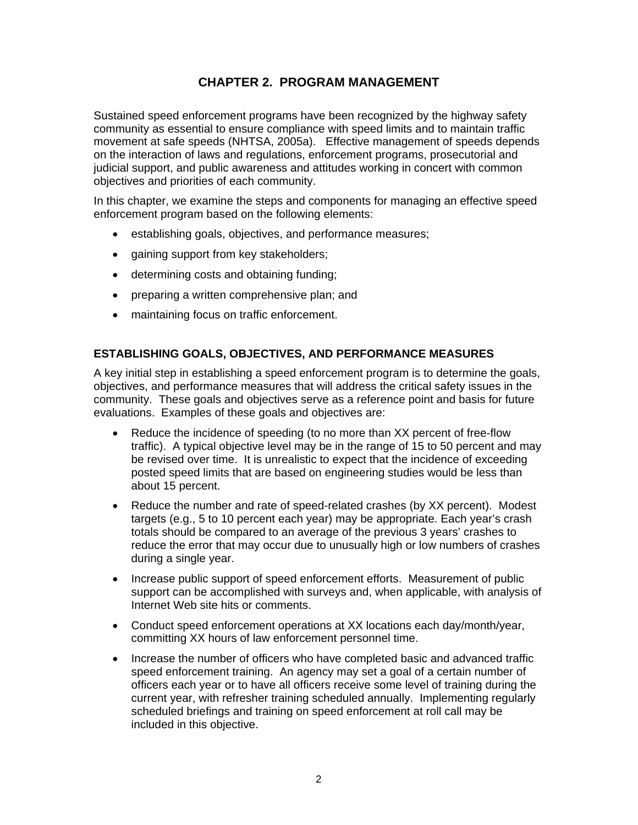# **CHAPTER 2. PROGRAM MANAGEMENT**

Sustained speed enforcement programs have been recognized by the highway safety community as essential to ensure compliance with speed limits and to maintain traffic movement at safe speeds (NHTSA, 2005a). Effective management of speeds depends on the interaction of laws and regulations, enforcement programs, prosecutorial and judicial support, and public awareness and attitudes working in concert with common objectives and priorities of each community.

In this chapter, we examine the steps and components for managing an effective speed enforcement program based on the following elements:

- establishing goals, objectives, and performance measures;
- gaining support from key stakeholders;
- determining costs and obtaining funding;
- preparing a written comprehensive plan; and
- maintaining focus on traffic enforcement.

#### **ESTABLISHING GOALS, OBJECTIVES, AND PERFORMANCE MEASURES**

A key initial step in establishing a speed enforcement program is to determine the goals, objectives, and performance measures that will address the critical safety issues in the community. These goals and objectives serve as a reference point and basis for future evaluations. Examples of these goals and objectives are:

- Reduce the incidence of speeding (to no more than XX percent of free-flow traffic). A typical objective level may be in the range of 15 to 50 percent and may be revised over time. It is unrealistic to expect that the incidence of exceeding posted speed limits that are based on engineering studies would be less than about 15 percent.
- Reduce the number and rate of speed-related crashes (by XX percent). Modest targets (e.g., 5 to 10 percent each year) may be appropriate. Each year's crash totals should be compared to an average of the previous 3 years' crashes to reduce the error that may occur due to unusually high or low numbers of crashes during a single year.
- Increase public support of speed enforcement efforts. Measurement of public support can be accomplished with surveys and, when applicable, with analysis of Internet Web site hits or comments.
- Conduct speed enforcement operations at XX locations each day/month/year, committing XX hours of law enforcement personnel time.
- Increase the number of officers who have completed basic and advanced traffic speed enforcement training. An agency may set a goal of a certain number of officers each year or to have all officers receive some level of training during the current year, with refresher training scheduled annually. Implementing regularly scheduled briefings and training on speed enforcement at roll call may be included in this objective.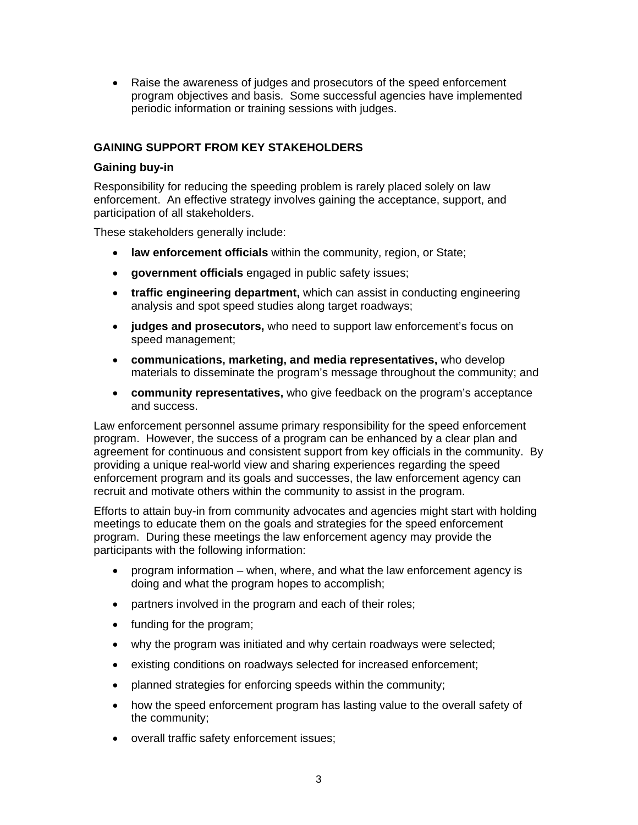• Raise the awareness of judges and prosecutors of the speed enforcement program objectives and basis. Some successful agencies have implemented periodic information or training sessions with judges.

#### **GAINING SUPPORT FROM KEY STAKEHOLDERS**

#### **Gaining buy-in**

Responsibility for reducing the speeding problem is rarely placed solely on law enforcement. An effective strategy involves gaining the acceptance, support, and participation of all stakeholders.

These stakeholders generally include:

- **law enforcement officials** within the community, region, or State;
- **government officials** engaged in public safety issues;
- **traffic engineering department,** which can assist in conducting engineering analysis and spot speed studies along target roadways;
- **judges and prosecutors,** who need to support law enforcement's focus on speed management;
- **communications, marketing, and media representatives,** who develop materials to disseminate the program's message throughout the community; and
- **community representatives,** who give feedback on the program's acceptance and success.

Law enforcement personnel assume primary responsibility for the speed enforcement program. However, the success of a program can be enhanced by a clear plan and agreement for continuous and consistent support from key officials in the community. By providing a unique real-world view and sharing experiences regarding the speed enforcement program and its goals and successes, the law enforcement agency can recruit and motivate others within the community to assist in the program.

Efforts to attain buy-in from community advocates and agencies might start with holding meetings to educate them on the goals and strategies for the speed enforcement program. During these meetings the law enforcement agency may provide the participants with the following information:

- program information – when, where, and what the law enforcement agency is doing and what the program hopes to accomplish;
- partners involved in the program and each of their roles;
- funding for the program;
- why the program was initiated and why certain roadways were selected;
- existing conditions on roadways selected for increased enforcement;
- planned strategies for enforcing speeds within the community;
- how the speed enforcement program has lasting value to the overall safety of the community;
- overall traffic safety enforcement issues;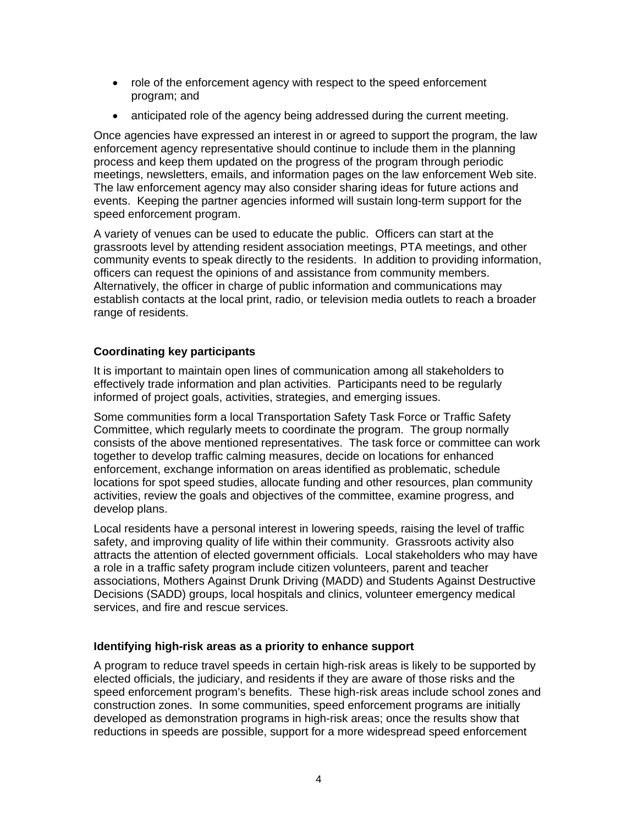- role of the enforcement agency with respect to the speed enforcement program; and
- anticipated role of the agency being addressed during the current meeting.

Once agencies have expressed an interest in or agreed to support the program, the law enforcement agency representative should continue to include them in the planning process and keep them updated on the progress of the program through periodic meetings, newsletters, emails, and information pages on the law enforcement Web site. The law enforcement agency may also consider sharing ideas for future actions and events. Keeping the partner agencies informed will sustain long-term support for the speed enforcement program.

A variety of venues can be used to educate the public. Officers can start at the grassroots level by attending resident association meetings, PTA meetings, and other community events to speak directly to the residents. In addition to providing information, officers can request the opinions of and assistance from community members. Alternatively, the officer in charge of public information and communications may establish contacts at the local print, radio, or television media outlets to reach a broader range of residents.

## **Coordinating key participants**

It is important to maintain open lines of communication among all stakeholders to effectively trade information and plan activities. Participants need to be regularly informed of project goals, activities, strategies, and emerging issues.

Some communities form a local Transportation Safety Task Force or Traffic Safety Committee, which regularly meets to coordinate the program. The group normally consists of the above mentioned representatives. The task force or committee can work together to develop traffic calming measures, decide on locations for enhanced enforcement, exchange information on areas identified as problematic, schedule locations for spot speed studies, allocate funding and other resources, plan community activities, review the goals and objectives of the committee, examine progress, and develop plans.

Local residents have a personal interest in lowering speeds, raising the level of traffic safety, and improving quality of life within their community. Grassroots activity also attracts the attention of elected government officials. Local stakeholders who may have a role in a traffic safety program include citizen volunteers, parent and teacher associations, Mothers Against Drunk Driving (MADD) and Students Against Destructive Decisions (SADD) groups, local hospitals and clinics, volunteer emergency medical services, and fire and rescue services.

#### **Identifying high-risk areas as a priority to enhance support**

A program to reduce travel speeds in certain high-risk areas is likely to be supported by elected officials, the judiciary, and residents if they are aware of those risks and the speed enforcement program's benefits. These high-risk areas include school zones and construction zones. In some communities, speed enforcement programs are initially developed as demonstration programs in high-risk areas; once the results show that reductions in speeds are possible, support for a more widespread speed enforcement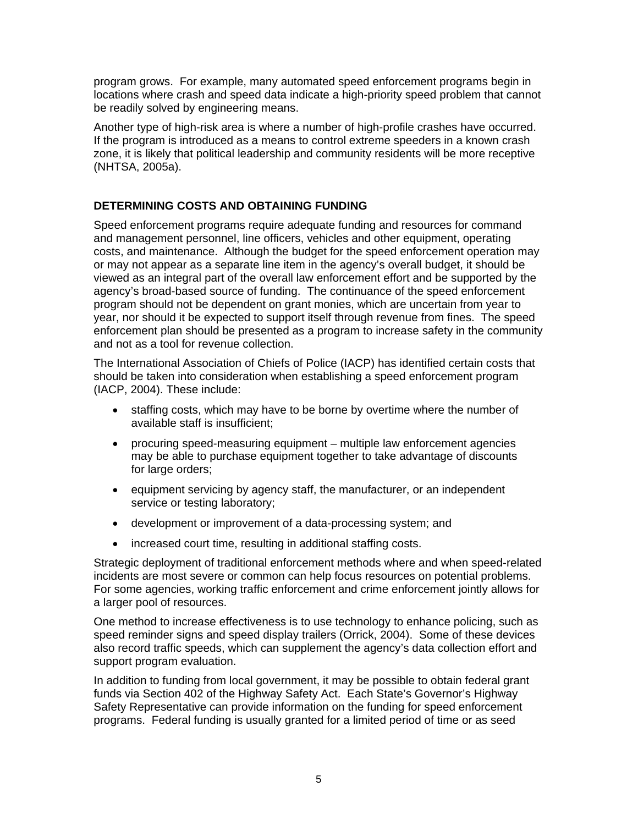program grows. For example, many automated speed enforcement programs begin in locations where crash and speed data indicate a high-priority speed problem that cannot be readily solved by engineering means.

Another type of high-risk area is where a number of high-profile crashes have occurred. If the program is introduced as a means to control extreme speeders in a known crash zone, it is likely that political leadership and community residents will be more receptive (NHTSA, 2005a).

## **DETERMINING COSTS AND OBTAINING FUNDING**

Speed enforcement programs require adequate funding and resources for command and management personnel, line officers, vehicles and other equipment, operating costs, and maintenance. Although the budget for the speed enforcement operation may or may not appear as a separate line item in the agency's overall budget, it should be viewed as an integral part of the overall law enforcement effort and be supported by the agency's broad-based source of funding. The continuance of the speed enforcement program should not be dependent on grant monies, which are uncertain from year to year, nor should it be expected to support itself through revenue from fines. The speed enforcement plan should be presented as a program to increase safety in the community and not as a tool for revenue collection.

The International Association of Chiefs of Police (IACP) has identified certain costs that should be taken into consideration when establishing a speed enforcement program (IACP, 2004). These include:

- staffing costs, which may have to be borne by overtime where the number of available staff is insufficient;
- procuring speed-measuring equipment multiple law enforcement agencies may be able to purchase equipment together to take advantage of discounts for large orders;
- equipment servicing by agency staff, the manufacturer, or an independent service or testing laboratory;
- development or improvement of a data-processing system; and
- increased court time, resulting in additional staffing costs.

Strategic deployment of traditional enforcement methods where and when speed-related incidents are most severe or common can help focus resources on potential problems. For some agencies, working traffic enforcement and crime enforcement jointly allows for a larger pool of resources.

One method to increase effectiveness is to use technology to enhance policing, such as speed reminder signs and speed display trailers (Orrick, 2004). Some of these devices also record traffic speeds, which can supplement the agency's data collection effort and support program evaluation.

In addition to funding from local government, it may be possible to obtain federal grant funds via Section 402 of the Highway Safety Act. Each State's Governor's Highway Safety Representative can provide information on the funding for speed enforcement programs. Federal funding is usually granted for a limited period of time or as seed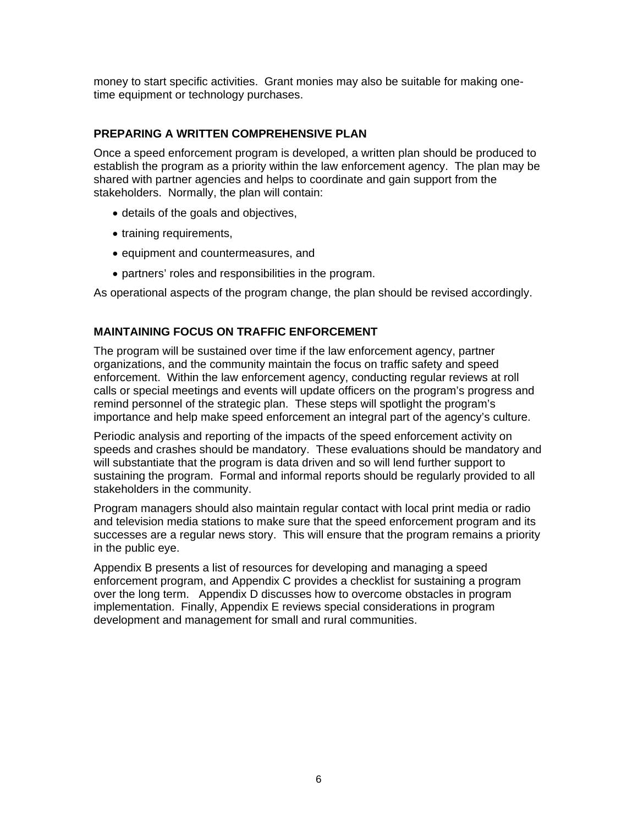money to start specific activities. Grant monies may also be suitable for making onetime equipment or technology purchases.

#### **PREPARING A WRITTEN COMPREHENSIVE PLAN**

Once a speed enforcement program is developed, a written plan should be produced to establish the program as a priority within the law enforcement agency. The plan may be shared with partner agencies and helps to coordinate and gain support from the stakeholders. Normally, the plan will contain:

- details of the goals and objectives,
- training requirements,
- equipment and countermeasures, and
- partners' roles and responsibilities in the program.

As operational aspects of the program change, the plan should be revised accordingly.

#### **MAINTAINING FOCUS ON TRAFFIC ENFORCEMENT**

The program will be sustained over time if the law enforcement agency, partner organizations, and the community maintain the focus on traffic safety and speed enforcement. Within the law enforcement agency, conducting regular reviews at roll calls or special meetings and events will update officers on the program's progress and remind personnel of the strategic plan. These steps will spotlight the program's importance and help make speed enforcement an integral part of the agency's culture.

Periodic analysis and reporting of the impacts of the speed enforcement activity on speeds and crashes should be mandatory. These evaluations should be mandatory and will substantiate that the program is data driven and so will lend further support to sustaining the program. Formal and informal reports should be regularly provided to all stakeholders in the community.

Program managers should also maintain regular contact with local print media or radio and television media stations to make sure that the speed enforcement program and its successes are a regular news story. This will ensure that the program remains a priority in the public eye.

Appendix B presents a list of resources for developing and managing a speed enforcement program, and Appendix C provides a checklist for sustaining a program over the long term. Appendix D discusses how to overcome obstacles in program implementation. Finally, Appendix E reviews special considerations in program development and management for small and rural communities.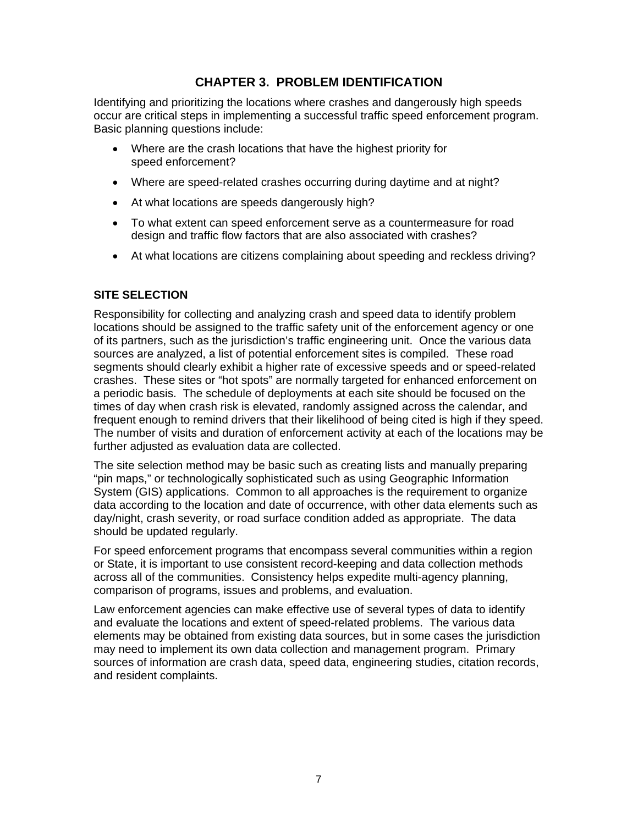# **CHAPTER 3. PROBLEM IDENTIFICATION**

Identifying and prioritizing the locations where crashes and dangerously high speeds occur are critical steps in implementing a successful traffic speed enforcement program. Basic planning questions include:

- Where are the crash locations that have the highest priority for speed enforcement?
- Where are speed-related crashes occurring during daytime and at night?
- At what locations are speeds dangerously high?
- To what extent can speed enforcement serve as a countermeasure for road design and traffic flow factors that are also associated with crashes?
- At what locations are citizens complaining about speeding and reckless driving?

## **SITE SELECTION**

Responsibility for collecting and analyzing crash and speed data to identify problem locations should be assigned to the traffic safety unit of the enforcement agency or one of its partners, such as the jurisdiction's traffic engineering unit. Once the various data sources are analyzed, a list of potential enforcement sites is compiled. These road segments should clearly exhibit a higher rate of excessive speeds and or speed-related crashes. These sites or "hot spots" are normally targeted for enhanced enforcement on a periodic basis. The schedule of deployments at each site should be focused on the times of day when crash risk is elevated, randomly assigned across the calendar, and frequent enough to remind drivers that their likelihood of being cited is high if they speed. The number of visits and duration of enforcement activity at each of the locations may be further adjusted as evaluation data are collected.

The site selection method may be basic such as creating lists and manually preparing "pin maps," or technologically sophisticated such as using Geographic Information System (GIS) applications. Common to all approaches is the requirement to organize data according to the location and date of occurrence, with other data elements such as day/night, crash severity, or road surface condition added as appropriate. The data should be updated regularly.

For speed enforcement programs that encompass several communities within a region or State, it is important to use consistent record-keeping and data collection methods across all of the communities. Consistency helps expedite multi-agency planning, comparison of programs, issues and problems, and evaluation.

Law enforcement agencies can make effective use of several types of data to identify and evaluate the locations and extent of speed-related problems. The various data elements may be obtained from existing data sources, but in some cases the jurisdiction may need to implement its own data collection and management program. Primary sources of information are crash data, speed data, engineering studies, citation records, and resident complaints.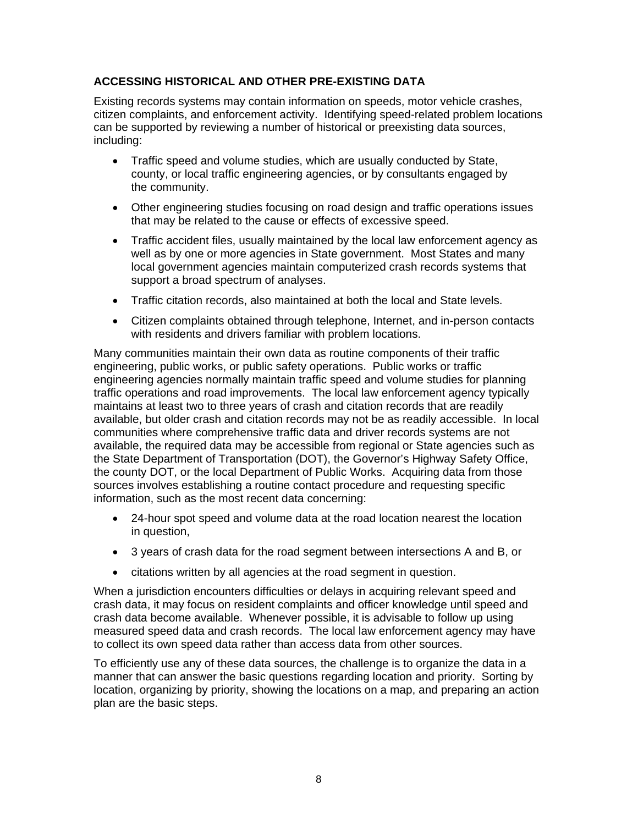## **ACCESSING HISTORICAL AND OTHER PRE-EXISTING DATA**

Existing records systems may contain information on speeds, motor vehicle crashes, citizen complaints, and enforcement activity. Identifying speed-related problem locations can be supported by reviewing a number of historical or preexisting data sources, including:

- Traffic speed and volume studies, which are usually conducted by State, county, or local traffic engineering agencies, or by consultants engaged by the community.
- Other engineering studies focusing on road design and traffic operations issues that may be related to the cause or effects of excessive speed.
- Traffic accident files, usually maintained by the local law enforcement agency as well as by one or more agencies in State government. Most States and many local government agencies maintain computerized crash records systems that support a broad spectrum of analyses.
- Traffic citation records, also maintained at both the local and State levels.
- Citizen complaints obtained through telephone, Internet, and in-person contacts with residents and drivers familiar with problem locations.

Many communities maintain their own data as routine components of their traffic engineering, public works, or public safety operations. Public works or traffic engineering agencies normally maintain traffic speed and volume studies for planning traffic operations and road improvements. The local law enforcement agency typically maintains at least two to three years of crash and citation records that are readily available, but older crash and citation records may not be as readily accessible. In local communities where comprehensive traffic data and driver records systems are not available, the required data may be accessible from regional or State agencies such as the State Department of Transportation (DOT), the Governor's Highway Safety Office, the county DOT, or the local Department of Public Works. Acquiring data from those sources involves establishing a routine contact procedure and requesting specific information, such as the most recent data concerning:

- 24-hour spot speed and volume data at the road location nearest the location in question,
- 3 years of crash data for the road segment between intersections A and B, or
- citations written by all agencies at the road segment in question.

When a jurisdiction encounters difficulties or delays in acquiring relevant speed and crash data, it may focus on resident complaints and officer knowledge until speed and crash data become available. Whenever possible, it is advisable to follow up using measured speed data and crash records. The local law enforcement agency may have to collect its own speed data rather than access data from other sources.

To efficiently use any of these data sources, the challenge is to organize the data in a manner that can answer the basic questions regarding location and priority. Sorting by location, organizing by priority, showing the locations on a map, and preparing an action plan are the basic steps.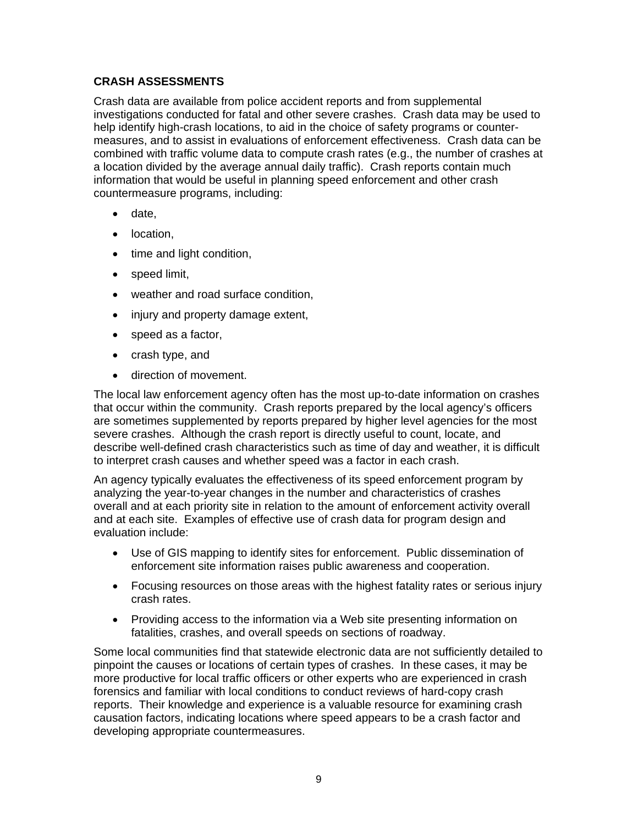## **CRASH ASSESSMENTS**

Crash data are available from police accident reports and from supplemental investigations conducted for fatal and other severe crashes. Crash data may be used to help identify high-crash locations, to aid in the choice of safety programs or countermeasures, and to assist in evaluations of enforcement effectiveness. Crash data can be combined with traffic volume data to compute crash rates (e.g., the number of crashes at a location divided by the average annual daily traffic). Crash reports contain much information that would be useful in planning speed enforcement and other crash countermeasure programs, including:

- date,
- location,
- time and light condition,
- speed limit,
- weather and road surface condition,
- injury and property damage extent,
- speed as a factor,
- crash type, and
- direction of movement.

The local law enforcement agency often has the most up-to-date information on crashes that occur within the community. Crash reports prepared by the local agency's officers are sometimes supplemented by reports prepared by higher level agencies for the most severe crashes. Although the crash report is directly useful to count, locate, and describe well-defined crash characteristics such as time of day and weather, it is difficult to interpret crash causes and whether speed was a factor in each crash.

An agency typically evaluates the effectiveness of its speed enforcement program by analyzing the year-to-year changes in the number and characteristics of crashes overall and at each priority site in relation to the amount of enforcement activity overall and at each site. Examples of effective use of crash data for program design and evaluation include:

- Use of GIS mapping to identify sites for enforcement. Public dissemination of enforcement site information raises public awareness and cooperation.
- Focusing resources on those areas with the highest fatality rates or serious injury crash rates.
- Providing access to the information via a Web site presenting information on fatalities, crashes, and overall speeds on sections of roadway.

Some local communities find that statewide electronic data are not sufficiently detailed to pinpoint the causes or locations of certain types of crashes. In these cases, it may be more productive for local traffic officers or other experts who are experienced in crash forensics and familiar with local conditions to conduct reviews of hard-copy crash reports. Their knowledge and experience is a valuable resource for examining crash causation factors, indicating locations where speed appears to be a crash factor and developing appropriate countermeasures.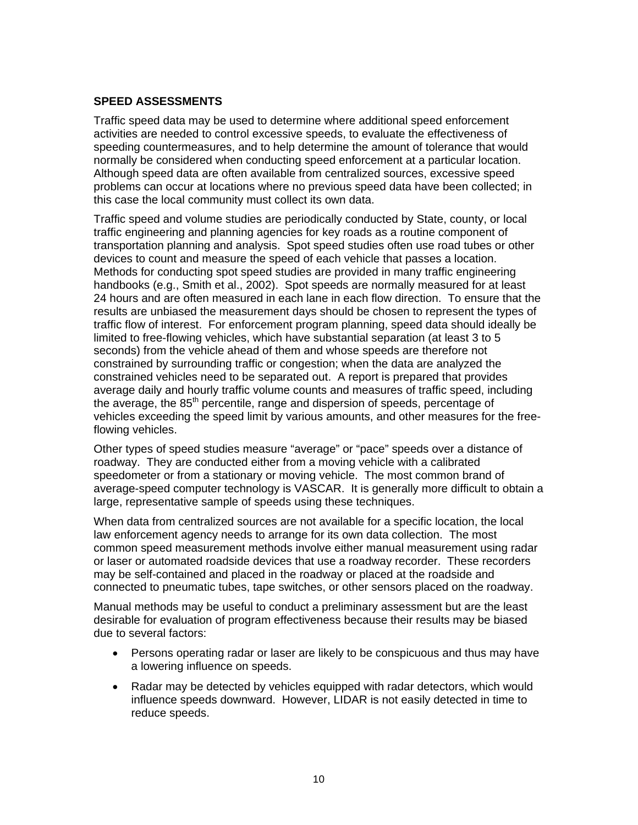#### **SPEED ASSESSMENTS**

Traffic speed data may be used to determine where additional speed enforcement activities are needed to control excessive speeds, to evaluate the effectiveness of speeding countermeasures, and to help determine the amount of tolerance that would normally be considered when conducting speed enforcement at a particular location. Although speed data are often available from centralized sources, excessive speed problems can occur at locations where no previous speed data have been collected; in this case the local community must collect its own data.

Traffic speed and volume studies are periodically conducted by State, county, or local traffic engineering and planning agencies for key roads as a routine component of transportation planning and analysis. Spot speed studies often use road tubes or other devices to count and measure the speed of each vehicle that passes a location. Methods for conducting spot speed studies are provided in many traffic engineering handbooks (e.g., Smith et al., 2002). Spot speeds are normally measured for at least 24 hours and are often measured in each lane in each flow direction. To ensure that the results are unbiased the measurement days should be chosen to represent the types of traffic flow of interest. For enforcement program planning, speed data should ideally be limited to free-flowing vehicles, which have substantial separation (at least 3 to 5 seconds) from the vehicle ahead of them and whose speeds are therefore not constrained by surrounding traffic or congestion; when the data are analyzed the constrained vehicles need to be separated out. A report is prepared that provides average daily and hourly traffic volume counts and measures of traffic speed, including the average, the  $85<sup>th</sup>$  percentile, range and dispersion of speeds, percentage of vehicles exceeding the speed limit by various amounts, and other measures for the freeflowing vehicles.

Other types of speed studies measure "average" or "pace" speeds over a distance of roadway. They are conducted either from a moving vehicle with a calibrated speedometer or from a stationary or moving vehicle. The most common brand of average-speed computer technology is VASCAR. It is generally more difficult to obtain a large, representative sample of speeds using these techniques.

When data from centralized sources are not available for a specific location, the local law enforcement agency needs to arrange for its own data collection. The most common speed measurement methods involve either manual measurement using radar or laser or automated roadside devices that use a roadway recorder. These recorders may be self-contained and placed in the roadway or placed at the roadside and connected to pneumatic tubes, tape switches, or other sensors placed on the roadway.

Manual methods may be useful to conduct a preliminary assessment but are the least desirable for evaluation of program effectiveness because their results may be biased due to several factors:

- Persons operating radar or laser are likely to be conspicuous and thus may have a lowering influence on speeds.
- Radar may be detected by vehicles equipped with radar detectors, which would influence speeds downward. However, LIDAR is not easily detected in time to reduce speeds.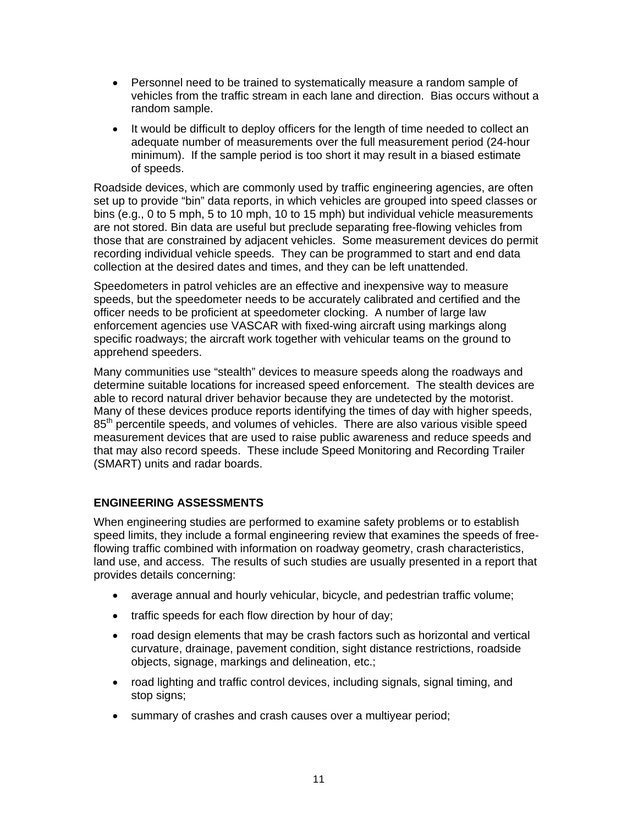- Personnel need to be trained to systematically measure a random sample of vehicles from the traffic stream in each lane and direction. Bias occurs without a random sample.
- It would be difficult to deploy officers for the length of time needed to collect an adequate number of measurements over the full measurement period (24-hour minimum). If the sample period is too short it may result in a biased estimate of speeds.

Roadside devices, which are commonly used by traffic engineering agencies, are often set up to provide "bin" data reports, in which vehicles are grouped into speed classes or bins (e.g., 0 to 5 mph, 5 to 10 mph, 10 to 15 mph) but individual vehicle measurements are not stored. Bin data are useful but preclude separating free-flowing vehicles from those that are constrained by adjacent vehicles. Some measurement devices do permit recording individual vehicle speeds. They can be programmed to start and end data collection at the desired dates and times, and they can be left unattended.

Speedometers in patrol vehicles are an effective and inexpensive way to measure speeds, but the speedometer needs to be accurately calibrated and certified and the officer needs to be proficient at speedometer clocking. A number of large law enforcement agencies use VASCAR with fixed-wing aircraft using markings along specific roadways; the aircraft work together with vehicular teams on the ground to apprehend speeders.

Many communities use "stealth" devices to measure speeds along the roadways and determine suitable locations for increased speed enforcement. The stealth devices are able to record natural driver behavior because they are undetected by the motorist. Many of these devices produce reports identifying the times of day with higher speeds, 85<sup>th</sup> percentile speeds, and volumes of vehicles. There are also various visible speed measurement devices that are used to raise public awareness and reduce speeds and that may also record speeds. These include Speed Monitoring and Recording Trailer (SMART) units and radar boards.

#### **ENGINEERING ASSESSMENTS**

When engineering studies are performed to examine safety problems or to establish speed limits, they include a formal engineering review that examines the speeds of freeflowing traffic combined with information on roadway geometry, crash characteristics, land use, and access. The results of such studies are usually presented in a report that provides details concerning:

- average annual and hourly vehicular, bicycle, and pedestrian traffic volume;
- traffic speeds for each flow direction by hour of day;
- road design elements that may be crash factors such as horizontal and vertical curvature, drainage, pavement condition, sight distance restrictions, roadside objects, signage, markings and delineation, etc.;
- road lighting and traffic control devices, including signals, signal timing, and stop signs;
- summary of crashes and crash causes over a multiyear period;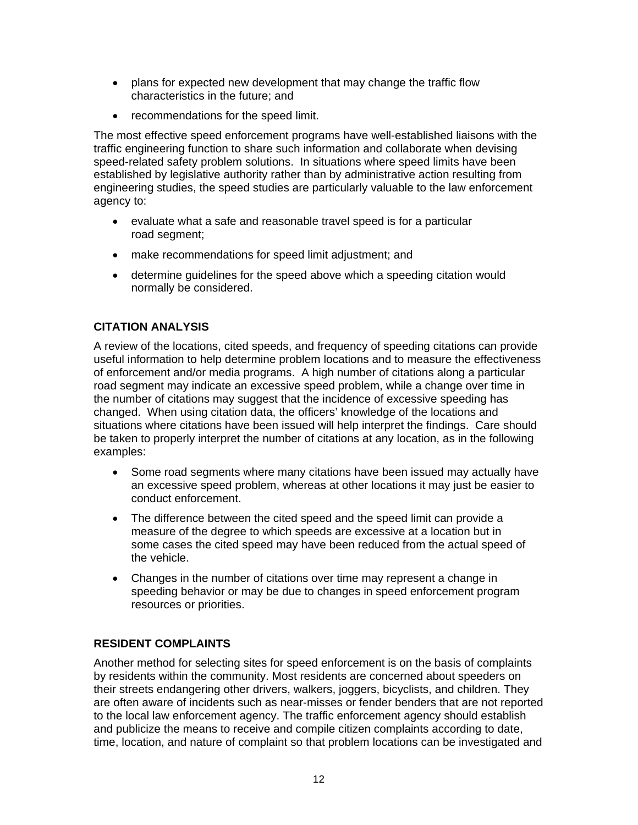- plans for expected new development that may change the traffic flow characteristics in the future; and
- recommendations for the speed limit.

The most effective speed enforcement programs have well-established liaisons with the traffic engineering function to share such information and collaborate when devising speed-related safety problem solutions. In situations where speed limits have been established by legislative authority rather than by administrative action resulting from engineering studies, the speed studies are particularly valuable to the law enforcement agency to:

- evaluate what a safe and reasonable travel speed is for a particular road segment;
- make recommendations for speed limit adjustment; and
- determine guidelines for the speed above which a speeding citation would normally be considered.

#### **CITATION ANALYSIS**

A review of the locations, cited speeds, and frequency of speeding citations can provide useful information to help determine problem locations and to measure the effectiveness of enforcement and/or media programs. A high number of citations along a particular road segment may indicate an excessive speed problem, while a change over time in the number of citations may suggest that the incidence of excessive speeding has changed. When using citation data, the officers' knowledge of the locations and situations where citations have been issued will help interpret the findings. Care should be taken to properly interpret the number of citations at any location, as in the following examples:

- Some road segments where many citations have been issued may actually have an excessive speed problem, whereas at other locations it may just be easier to conduct enforcement.
- The difference between the cited speed and the speed limit can provide a measure of the degree to which speeds are excessive at a location but in some cases the cited speed may have been reduced from the actual speed of the vehicle.
- Changes in the number of citations over time may represent a change in speeding behavior or may be due to changes in speed enforcement program resources or priorities.

#### **RESIDENT COMPLAINTS**

Another method for selecting sites for speed enforcement is on the basis of complaints by residents within the community. Most residents are concerned about speeders on their streets endangering other drivers, walkers, joggers, bicyclists, and children. They are often aware of incidents such as near-misses or fender benders that are not reported to the local law enforcement agency. The traffic enforcement agency should establish and publicize the means to receive and compile citizen complaints according to date, time, location, and nature of complaint so that problem locations can be investigated and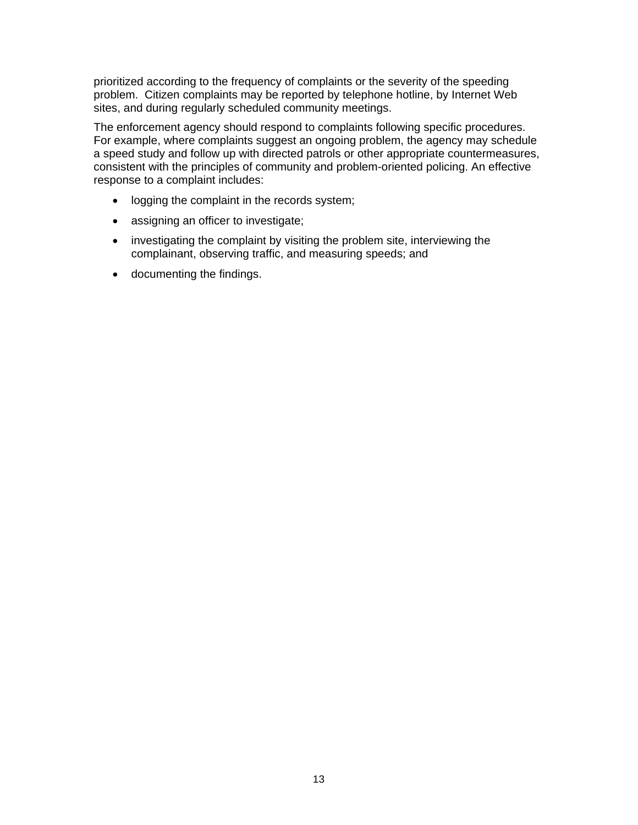prioritized according to the frequency of complaints or the severity of the speeding problem. Citizen complaints may be reported by telephone hotline, by Internet Web sites, and during regularly scheduled community meetings.

The enforcement agency should respond to complaints following specific procedures. For example, where complaints suggest an ongoing problem, the agency may schedule a speed study and follow up with directed patrols or other appropriate countermeasures, consistent with the principles of community and problem-oriented policing. An effective response to a complaint includes:

- logging the complaint in the records system;
- assigning an officer to investigate;
- investigating the complaint by visiting the problem site, interviewing the complainant, observing traffic, and measuring speeds; and
- documenting the findings.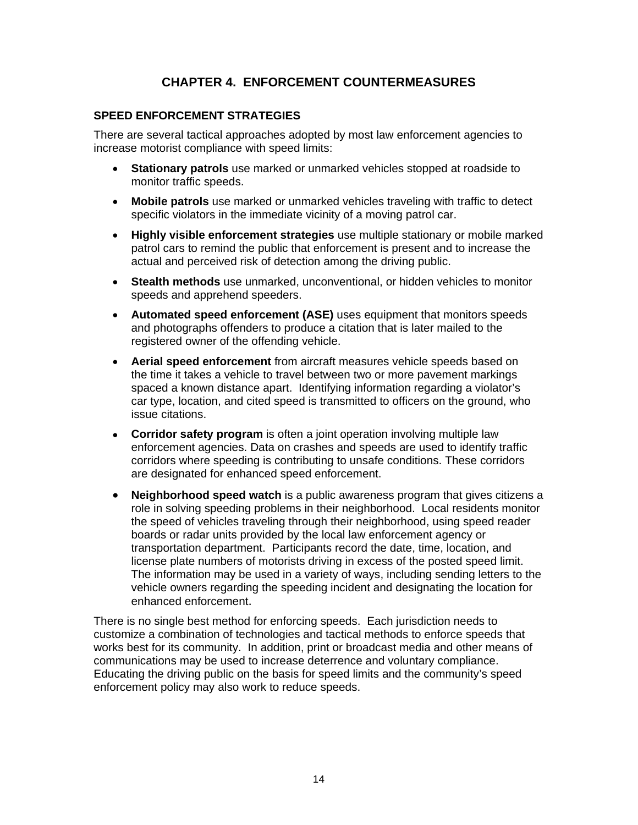# **CHAPTER 4. ENFORCEMENT COUNTERMEASURES**

#### **SPEED ENFORCEMENT STRATEGIES**

There are several tactical approaches adopted by most law enforcement agencies to increase motorist compliance with speed limits:

- **Stationary patrols** use marked or unmarked vehicles stopped at roadside to monitor traffic speeds.
- **Mobile patrols** use marked or unmarked vehicles traveling with traffic to detect specific violators in the immediate vicinity of a moving patrol car.
- **Highly visible enforcement strategies** use multiple stationary or mobile marked patrol cars to remind the public that enforcement is present and to increase the actual and perceived risk of detection among the driving public.
- **Stealth methods** use unmarked, unconventional, or hidden vehicles to monitor speeds and apprehend speeders.
- **Automated speed enforcement (ASE)** uses equipment that monitors speeds and photographs offenders to produce a citation that is later mailed to the registered owner of the offending vehicle.
- **Aerial speed enforcement** from aircraft measures vehicle speeds based on the time it takes a vehicle to travel between two or more pavement markings spaced a known distance apart. Identifying information regarding a violator's car type, location, and cited speed is transmitted to officers on the ground, who issue citations.
- **Corridor safety program** is often a joint operation involving multiple law enforcement agencies. Data on crashes and speeds are used to identify traffic corridors where speeding is contributing to unsafe conditions. These corridors are designated for enhanced speed enforcement.
- **Neighborhood speed watch** is a public awareness program that gives citizens a role in solving speeding problems in their neighborhood. Local residents monitor the speed of vehicles traveling through their neighborhood, using speed reader boards or radar units provided by the local law enforcement agency or transportation department. Participants record the date, time, location, and license plate numbers of motorists driving in excess of the posted speed limit. The information may be used in a variety of ways, including sending letters to the vehicle owners regarding the speeding incident and designating the location for enhanced enforcement.

There is no single best method for enforcing speeds. Each jurisdiction needs to customize a combination of technologies and tactical methods to enforce speeds that works best for its community. In addition, print or broadcast media and other means of communications may be used to increase deterrence and voluntary compliance. Educating the driving public on the basis for speed limits and the community's speed enforcement policy may also work to reduce speeds.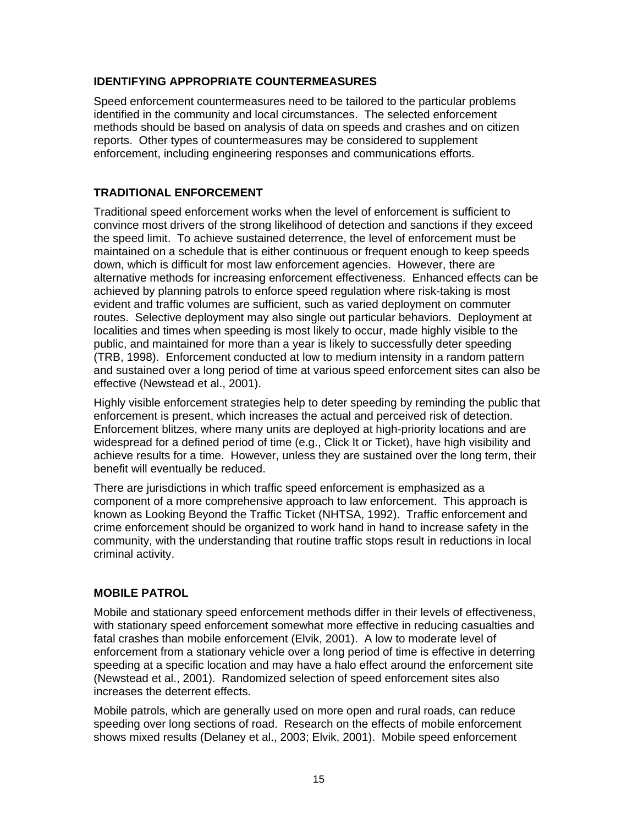#### **IDENTIFYING APPROPRIATE COUNTERMEASURES**

Speed enforcement countermeasures need to be tailored to the particular problems identified in the community and local circumstances. The selected enforcement methods should be based on analysis of data on speeds and crashes and on citizen reports. Other types of countermeasures may be considered to supplement enforcement, including engineering responses and communications efforts.

#### **TRADITIONAL ENFORCEMENT**

Traditional speed enforcement works when the level of enforcement is sufficient to convince most drivers of the strong likelihood of detection and sanctions if they exceed the speed limit. To achieve sustained deterrence, the level of enforcement must be maintained on a schedule that is either continuous or frequent enough to keep speeds down, which is difficult for most law enforcement agencies. However, there are alternative methods for increasing enforcement effectiveness. Enhanced effects can be achieved by planning patrols to enforce speed regulation where risk-taking is most evident and traffic volumes are sufficient, such as varied deployment on commuter routes. Selective deployment may also single out particular behaviors. Deployment at localities and times when speeding is most likely to occur, made highly visible to the public, and maintained for more than a year is likely to successfully deter speeding (TRB, 1998). Enforcement conducted at low to medium intensity in a random pattern and sustained over a long period of time at various speed enforcement sites can also be effective (Newstead et al., 2001).

Highly visible enforcement strategies help to deter speeding by reminding the public that enforcement is present, which increases the actual and perceived risk of detection. Enforcement blitzes, where many units are deployed at high-priority locations and are widespread for a defined period of time (e.g., Click It or Ticket), have high visibility and achieve results for a time. However, unless they are sustained over the long term, their benefit will eventually be reduced.

There are jurisdictions in which traffic speed enforcement is emphasized as a component of a more comprehensive approach to law enforcement. This approach is known as Looking Beyond the Traffic Ticket (NHTSA, 1992). Traffic enforcement and crime enforcement should be organized to work hand in hand to increase safety in the community, with the understanding that routine traffic stops result in reductions in local criminal activity.

#### **MOBILE PATROL**

Mobile and stationary speed enforcement methods differ in their levels of effectiveness, with stationary speed enforcement somewhat more effective in reducing casualties and fatal crashes than mobile enforcement (Elvik, 2001). A low to moderate level of enforcement from a stationary vehicle over a long period of time is effective in deterring speeding at a specific location and may have a halo effect around the enforcement site (Newstead et al., 2001). Randomized selection of speed enforcement sites also increases the deterrent effects.

Mobile patrols, which are generally used on more open and rural roads, can reduce speeding over long sections of road. Research on the effects of mobile enforcement shows mixed results (Delaney et al., 2003; Elvik, 2001). Mobile speed enforcement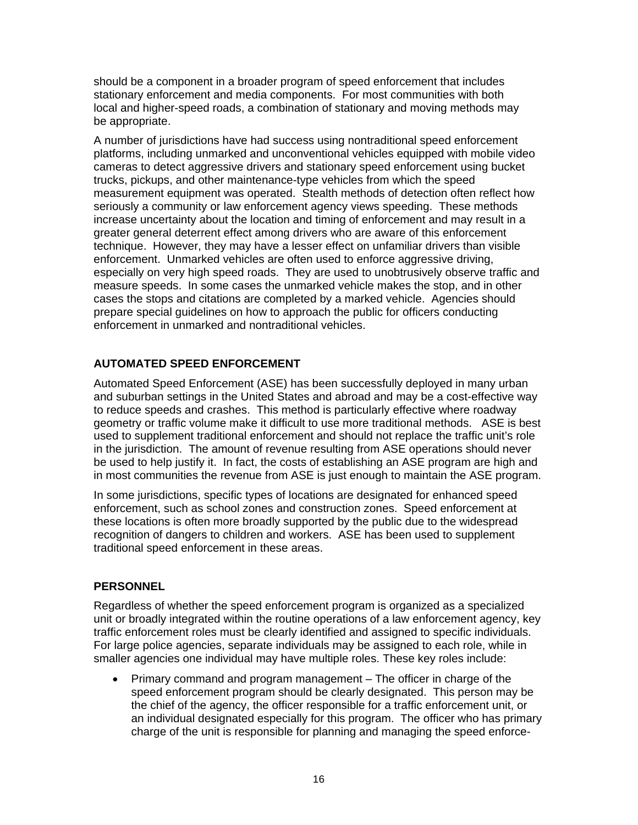should be a component in a broader program of speed enforcement that includes stationary enforcement and media components. For most communities with both local and higher-speed roads, a combination of stationary and moving methods may be appropriate.

A number of jurisdictions have had success using nontraditional speed enforcement platforms, including unmarked and unconventional vehicles equipped with mobile video cameras to detect aggressive drivers and stationary speed enforcement using bucket trucks, pickups, and other maintenance-type vehicles from which the speed measurement equipment was operated. Stealth methods of detection often reflect how seriously a community or law enforcement agency views speeding. These methods increase uncertainty about the location and timing of enforcement and may result in a greater general deterrent effect among drivers who are aware of this enforcement technique. However, they may have a lesser effect on unfamiliar drivers than visible enforcement. Unmarked vehicles are often used to enforce aggressive driving, especially on very high speed roads. They are used to unobtrusively observe traffic and measure speeds. In some cases the unmarked vehicle makes the stop, and in other cases the stops and citations are completed by a marked vehicle. Agencies should prepare special guidelines on how to approach the public for officers conducting enforcement in unmarked and nontraditional vehicles.

# **AUTOMATED SPEED ENFORCEMENT**

Automated Speed Enforcement (ASE) has been successfully deployed in many urban and suburban settings in the United States and abroad and may be a cost-effective way to reduce speeds and crashes. This method is particularly effective where roadway geometry or traffic volume make it difficult to use more traditional methods. ASE is best used to supplement traditional enforcement and should not replace the traffic unit's role in the jurisdiction. The amount of revenue resulting from ASE operations should never be used to help justify it. In fact, the costs of establishing an ASE program are high and in most communities the revenue from ASE is just enough to maintain the ASE program.

In some jurisdictions, specific types of locations are designated for enhanced speed enforcement, such as school zones and construction zones. Speed enforcement at these locations is often more broadly supported by the public due to the widespread recognition of dangers to children and workers. ASE has been used to supplement traditional speed enforcement in these areas.

#### **PERSONNEL**

Regardless of whether the speed enforcement program is organized as a specialized unit or broadly integrated within the routine operations of a law enforcement agency, key traffic enforcement roles must be clearly identified and assigned to specific individuals. For large police agencies, separate individuals may be assigned to each role, while in smaller agencies one individual may have multiple roles. These key roles include:

• Primary command and program management – The officer in charge of the speed enforcement program should be clearly designated. This person may be the chief of the agency, the officer responsible for a traffic enforcement unit, or an individual designated especially for this program. The officer who has primary charge of the unit is responsible for planning and managing the speed enforce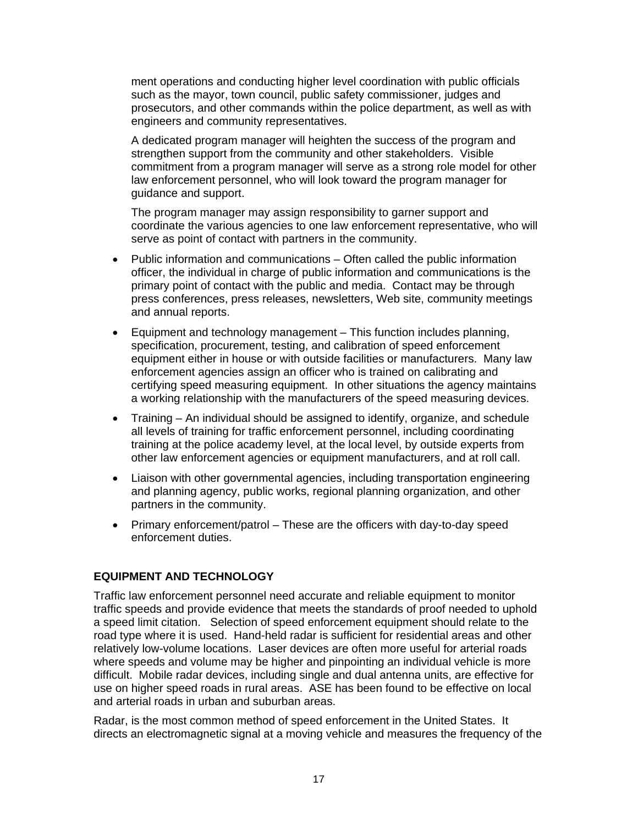ment operations and conducting higher level coordination with public officials such as the mayor, town council, public safety commissioner, judges and prosecutors, and other commands within the police department, as well as with engineers and community representatives.

A dedicated program manager will heighten the success of the program and strengthen support from the community and other stakeholders. Visible commitment from a program manager will serve as a strong role model for other law enforcement personnel, who will look toward the program manager for guidance and support.

The program manager may assign responsibility to garner support and coordinate the various agencies to one law enforcement representative, who will serve as point of contact with partners in the community.

- Public information and communications – Often called the public information officer, the individual in charge of public information and communications is the primary point of contact with the public and media. Contact may be through press conferences, press releases, newsletters, Web site, community meetings and annual reports.
- Equipment and technology management This function includes planning, specification, procurement, testing, and calibration of speed enforcement equipment either in house or with outside facilities or manufacturers. Many law enforcement agencies assign an officer who is trained on calibrating and certifying speed measuring equipment. In other situations the agency maintains a working relationship with the manufacturers of the speed measuring devices.
- Training An individual should be assigned to identify, organize, and schedule all levels of training for traffic enforcement personnel, including coordinating training at the police academy level, at the local level, by outside experts from other law enforcement agencies or equipment manufacturers, and at roll call.
- Liaison with other governmental agencies, including transportation engineering and planning agency, public works, regional planning organization, and other partners in the community.
- Primary enforcement/patrol These are the officers with day-to-day speed enforcement duties.

#### **EQUIPMENT AND TECHNOLOGY**

Traffic law enforcement personnel need accurate and reliable equipment to monitor traffic speeds and provide evidence that meets the standards of proof needed to uphold a speed limit citation. Selection of speed enforcement equipment should relate to the road type where it is used. Hand-held radar is sufficient for residential areas and other relatively low-volume locations. Laser devices are often more useful for arterial roads where speeds and volume may be higher and pinpointing an individual vehicle is more difficult. Mobile radar devices, including single and dual antenna units, are effective for use on higher speed roads in rural areas. ASE has been found to be effective on local and arterial roads in urban and suburban areas.

Radar, is the most common method of speed enforcement in the United States. It directs an electromagnetic signal at a moving vehicle and measures the frequency of the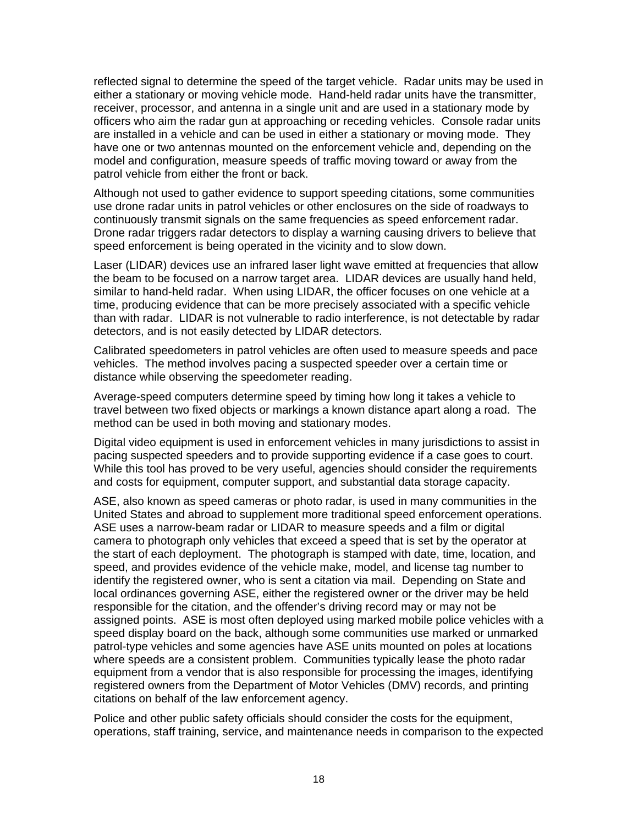reflected signal to determine the speed of the target vehicle. Radar units may be used in either a stationary or moving vehicle mode. Hand-held radar units have the transmitter, receiver, processor, and antenna in a single unit and are used in a stationary mode by officers who aim the radar gun at approaching or receding vehicles. Console radar units are installed in a vehicle and can be used in either a stationary or moving mode. They have one or two antennas mounted on the enforcement vehicle and, depending on the model and configuration, measure speeds of traffic moving toward or away from the patrol vehicle from either the front or back.

Although not used to gather evidence to support speeding citations, some communities use drone radar units in patrol vehicles or other enclosures on the side of roadways to continuously transmit signals on the same frequencies as speed enforcement radar. Drone radar triggers radar detectors to display a warning causing drivers to believe that speed enforcement is being operated in the vicinity and to slow down.

Laser (LIDAR) devices use an infrared laser light wave emitted at frequencies that allow the beam to be focused on a narrow target area. LIDAR devices are usually hand held, similar to hand-held radar. When using LIDAR, the officer focuses on one vehicle at a time, producing evidence that can be more precisely associated with a specific vehicle than with radar. LIDAR is not vulnerable to radio interference, is not detectable by radar detectors, and is not easily detected by LIDAR detectors.

Calibrated speedometers in patrol vehicles are often used to measure speeds and pace vehicles. The method involves pacing a suspected speeder over a certain time or distance while observing the speedometer reading.

Average-speed computers determine speed by timing how long it takes a vehicle to travel between two fixed objects or markings a known distance apart along a road. The method can be used in both moving and stationary modes.

Digital video equipment is used in enforcement vehicles in many jurisdictions to assist in pacing suspected speeders and to provide supporting evidence if a case goes to court. While this tool has proved to be very useful, agencies should consider the requirements and costs for equipment, computer support, and substantial data storage capacity.

ASE, also known as speed cameras or photo radar, is used in many communities in the United States and abroad to supplement more traditional speed enforcement operations. ASE uses a narrow-beam radar or LIDAR to measure speeds and a film or digital camera to photograph only vehicles that exceed a speed that is set by the operator at the start of each deployment. The photograph is stamped with date, time, location, and speed, and provides evidence of the vehicle make, model, and license tag number to identify the registered owner, who is sent a citation via mail. Depending on State and local ordinances governing ASE, either the registered owner or the driver may be held responsible for the citation, and the offender's driving record may or may not be assigned points. ASE is most often deployed using marked mobile police vehicles with a speed display board on the back, although some communities use marked or unmarked patrol-type vehicles and some agencies have ASE units mounted on poles at locations where speeds are a consistent problem. Communities typically lease the photo radar equipment from a vendor that is also responsible for processing the images, identifying registered owners from the Department of Motor Vehicles (DMV) records, and printing citations on behalf of the law enforcement agency.

Police and other public safety officials should consider the costs for the equipment, operations, staff training, service, and maintenance needs in comparison to the expected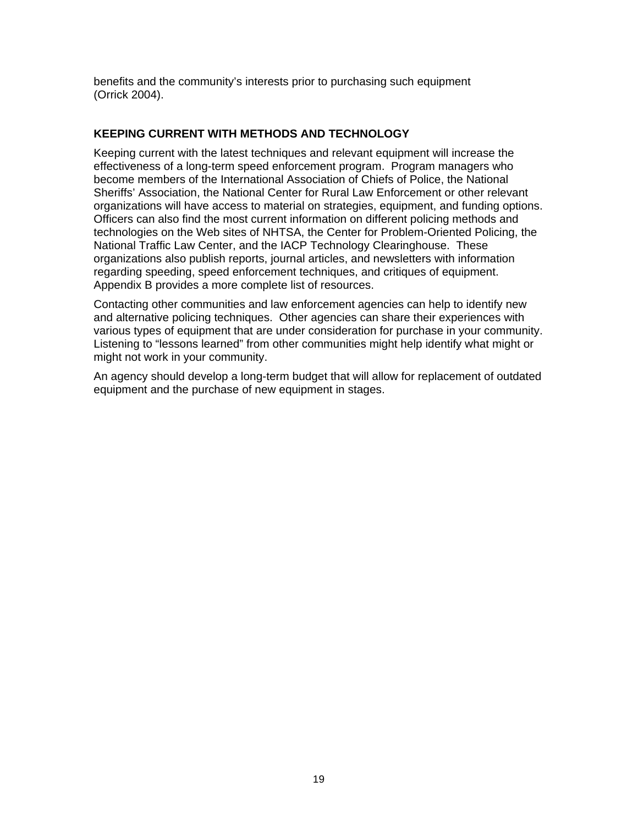benefits and the community's interests prior to purchasing such equipment (Orrick 2004).

#### **KEEPING CURRENT WITH METHODS AND TECHNOLOGY**

Keeping current with the latest techniques and relevant equipment will increase the effectiveness of a long-term speed enforcement program. Program managers who become members of the International Association of Chiefs of Police, the National Sheriffs' Association, the National Center for Rural Law Enforcement or other relevant organizations will have access to material on strategies, equipment, and funding options. Officers can also find the most current information on different policing methods and technologies on the Web sites of NHTSA, the Center for Problem-Oriented Policing, the National Traffic Law Center, and the IACP Technology Clearinghouse. These organizations also publish reports, journal articles, and newsletters with information regarding speeding, speed enforcement techniques, and critiques of equipment. Appendix B provides a more complete list of resources.

Contacting other communities and law enforcement agencies can help to identify new and alternative policing techniques. Other agencies can share their experiences with various types of equipment that are under consideration for purchase in your community. Listening to "lessons learned" from other communities might help identify what might or might not work in your community.

An agency should develop a long-term budget that will allow for replacement of outdated equipment and the purchase of new equipment in stages.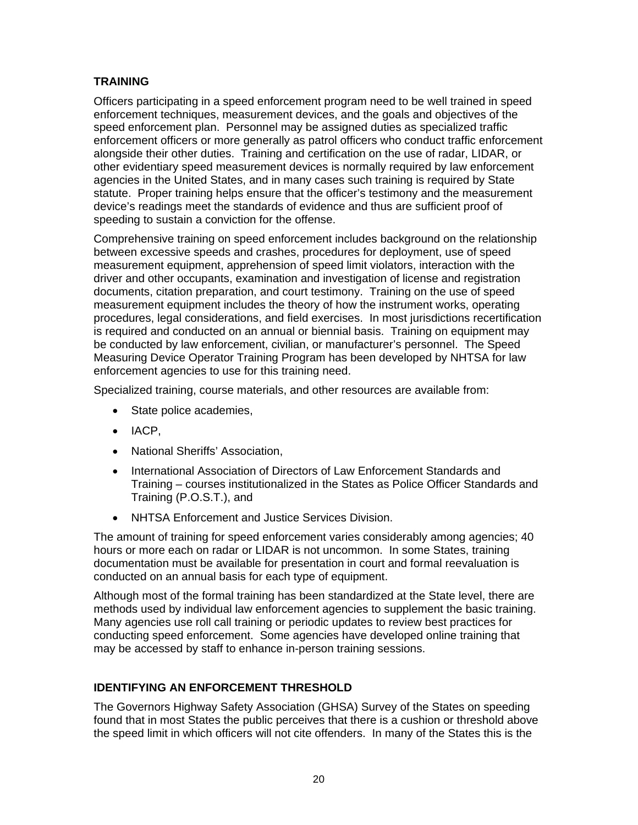# **TRAINING**

Officers participating in a speed enforcement program need to be well trained in speed enforcement techniques, measurement devices, and the goals and objectives of the speed enforcement plan. Personnel may be assigned duties as specialized traffic enforcement officers or more generally as patrol officers who conduct traffic enforcement alongside their other duties. Training and certification on the use of radar, LIDAR, or other evidentiary speed measurement devices is normally required by law enforcement agencies in the United States, and in many cases such training is required by State statute. Proper training helps ensure that the officer's testimony and the measurement device's readings meet the standards of evidence and thus are sufficient proof of speeding to sustain a conviction for the offense.

Comprehensive training on speed enforcement includes background on the relationship between excessive speeds and crashes, procedures for deployment, use of speed measurement equipment, apprehension of speed limit violators, interaction with the driver and other occupants, examination and investigation of license and registration documents, citation preparation, and court testimony. Training on the use of speed measurement equipment includes the theory of how the instrument works, operating procedures, legal considerations, and field exercises. In most jurisdictions recertification is required and conducted on an annual or biennial basis. Training on equipment may be conducted by law enforcement, civilian, or manufacturer's personnel. The Speed Measuring Device Operator Training Program has been developed by NHTSA for law enforcement agencies to use for this training need.

Specialized training, course materials, and other resources are available from:

- State police academies,
- IACP,
- National Sheriffs' Association,
- International Association of Directors of Law Enforcement Standards and Training – courses institutionalized in the States as Police Officer Standards and Training (P.O.S.T.), and
- NHTSA Enforcement and Justice Services Division.

The amount of training for speed enforcement varies considerably among agencies; 40 hours or more each on radar or LIDAR is not uncommon. In some States, training documentation must be available for presentation in court and formal reevaluation is conducted on an annual basis for each type of equipment.

Although most of the formal training has been standardized at the State level, there are methods used by individual law enforcement agencies to supplement the basic training. Many agencies use roll call training or periodic updates to review best practices for conducting speed enforcement. Some agencies have developed online training that may be accessed by staff to enhance in-person training sessions.

# **IDENTIFYING AN ENFORCEMENT THRESHOLD**

The Governors Highway Safety Association (GHSA) Survey of the States on speeding found that in most States the public perceives that there is a cushion or threshold above the speed limit in which officers will not cite offenders. In many of the States this is the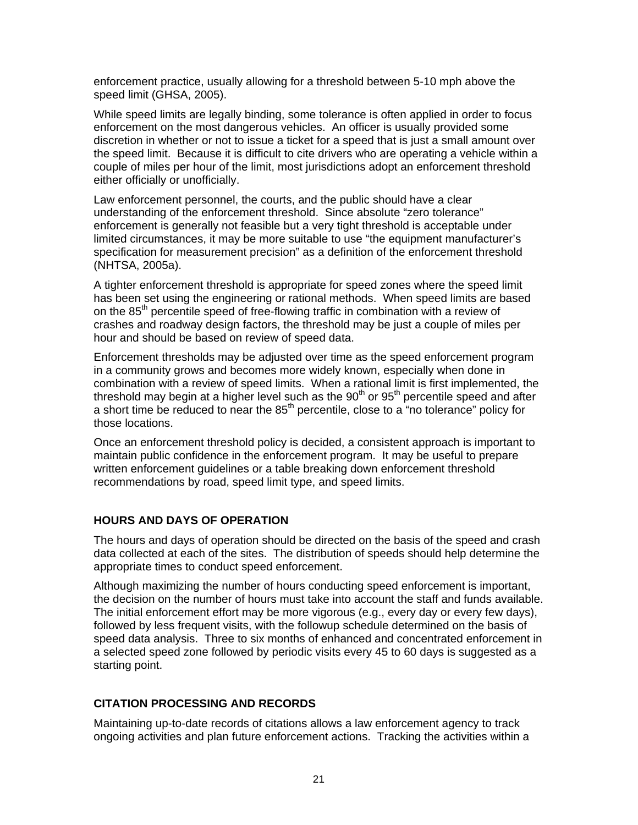enforcement practice, usually allowing for a threshold between 5-10 mph above the speed limit (GHSA, 2005).

While speed limits are legally binding, some tolerance is often applied in order to focus enforcement on the most dangerous vehicles. An officer is usually provided some discretion in whether or not to issue a ticket for a speed that is just a small amount over the speed limit. Because it is difficult to cite drivers who are operating a vehicle within a couple of miles per hour of the limit, most jurisdictions adopt an enforcement threshold either officially or unofficially.

Law enforcement personnel, the courts, and the public should have a clear understanding of the enforcement threshold. Since absolute "zero tolerance" enforcement is generally not feasible but a very tight threshold is acceptable under limited circumstances, it may be more suitable to use "the equipment manufacturer's specification for measurement precision" as a definition of the enforcement threshold (NHTSA, 2005a).

A tighter enforcement threshold is appropriate for speed zones where the speed limit has been set using the engineering or rational methods. When speed limits are based on the  $85<sup>th</sup>$  percentile speed of free-flowing traffic in combination with a review of crashes and roadway design factors, the threshold may be just a couple of miles per hour and should be based on review of speed data.

Enforcement thresholds may be adjusted over time as the speed enforcement program in a community grows and becomes more widely known, especially when done in combination with a review of speed limits. When a rational limit is first implemented, the threshold may begin at a higher level such as the  $90<sup>th</sup>$  or  $95<sup>th</sup>$  percentile speed and after a short time be reduced to near the 85<sup>th</sup> percentile, close to a "no tolerance" policy for those locations.

Once an enforcement threshold policy is decided, a consistent approach is important to maintain public confidence in the enforcement program. It may be useful to prepare written enforcement guidelines or a table breaking down enforcement threshold recommendations by road, speed limit type, and speed limits.

#### **HOURS AND DAYS OF OPERATION**

The hours and days of operation should be directed on the basis of the speed and crash data collected at each of the sites. The distribution of speeds should help determine the appropriate times to conduct speed enforcement.

Although maximizing the number of hours conducting speed enforcement is important, the decision on the number of hours must take into account the staff and funds available. The initial enforcement effort may be more vigorous (e.g., every day or every few days), followed by less frequent visits, with the followup schedule determined on the basis of speed data analysis. Three to six months of enhanced and concentrated enforcement in a selected speed zone followed by periodic visits every 45 to 60 days is suggested as a starting point.

#### **CITATION PROCESSING AND RECORDS**

Maintaining up-to-date records of citations allows a law enforcement agency to track ongoing activities and plan future enforcement actions. Tracking the activities within a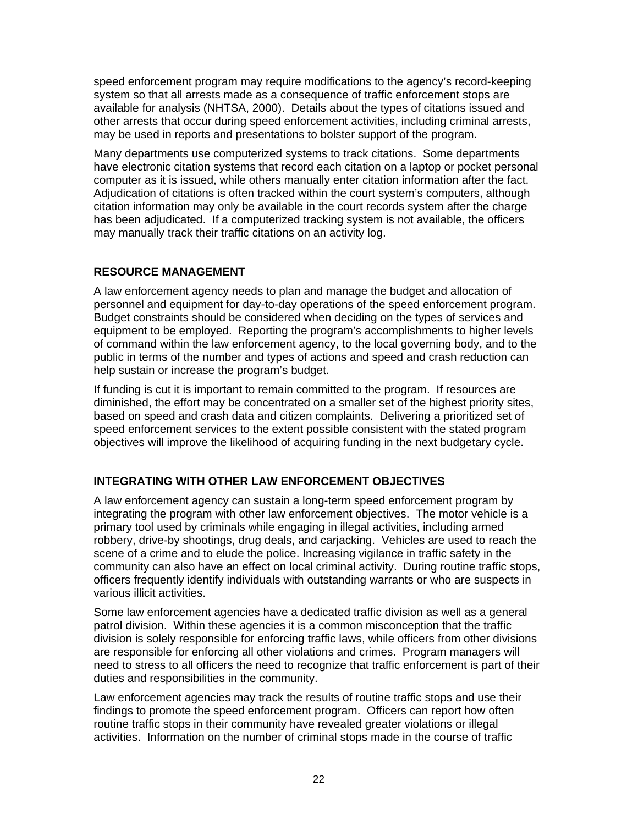speed enforcement program may require modifications to the agency's record-keeping system so that all arrests made as a consequence of traffic enforcement stops are available for analysis (NHTSA, 2000). Details about the types of citations issued and other arrests that occur during speed enforcement activities, including criminal arrests, may be used in reports and presentations to bolster support of the program.

Many departments use computerized systems to track citations. Some departments have electronic citation systems that record each citation on a laptop or pocket personal computer as it is issued, while others manually enter citation information after the fact. Adjudication of citations is often tracked within the court system's computers, although citation information may only be available in the court records system after the charge has been adjudicated. If a computerized tracking system is not available, the officers may manually track their traffic citations on an activity log.

# **RESOURCE MANAGEMENT**

A law enforcement agency needs to plan and manage the budget and allocation of personnel and equipment for day-to-day operations of the speed enforcement program. Budget constraints should be considered when deciding on the types of services and equipment to be employed. Reporting the program's accomplishments to higher levels of command within the law enforcement agency, to the local governing body, and to the public in terms of the number and types of actions and speed and crash reduction can help sustain or increase the program's budget.

If funding is cut it is important to remain committed to the program. If resources are diminished, the effort may be concentrated on a smaller set of the highest priority sites, based on speed and crash data and citizen complaints. Delivering a prioritized set of speed enforcement services to the extent possible consistent with the stated program objectives will improve the likelihood of acquiring funding in the next budgetary cycle.

# **INTEGRATING WITH OTHER LAW ENFORCEMENT OBJECTIVES**

A law enforcement agency can sustain a long-term speed enforcement program by integrating the program with other law enforcement objectives. The motor vehicle is a primary tool used by criminals while engaging in illegal activities, including armed robbery, drive-by shootings, drug deals, and carjacking. Vehicles are used to reach the scene of a crime and to elude the police. Increasing vigilance in traffic safety in the community can also have an effect on local criminal activity. During routine traffic stops, officers frequently identify individuals with outstanding warrants or who are suspects in various illicit activities.

Some law enforcement agencies have a dedicated traffic division as well as a general patrol division. Within these agencies it is a common misconception that the traffic division is solely responsible for enforcing traffic laws, while officers from other divisions are responsible for enforcing all other violations and crimes. Program managers will need to stress to all officers the need to recognize that traffic enforcement is part of their duties and responsibilities in the community.

Law enforcement agencies may track the results of routine traffic stops and use their findings to promote the speed enforcement program. Officers can report how often routine traffic stops in their community have revealed greater violations or illegal activities. Information on the number of criminal stops made in the course of traffic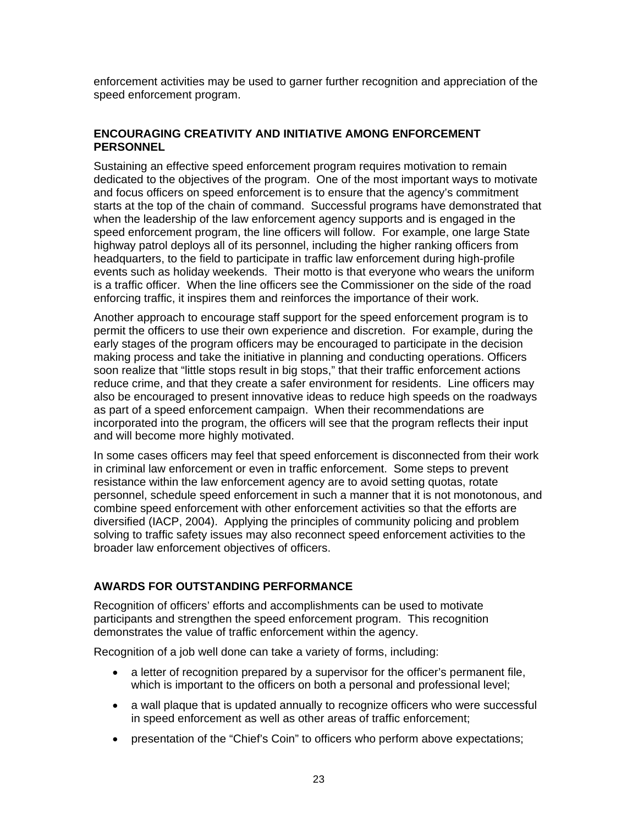enforcement activities may be used to garner further recognition and appreciation of the speed enforcement program.

#### **ENCOURAGING CREATIVITY AND INITIATIVE AMONG ENFORCEMENT PERSONNEL**

Sustaining an effective speed enforcement program requires motivation to remain dedicated to the objectives of the program. One of the most important ways to motivate and focus officers on speed enforcement is to ensure that the agency's commitment starts at the top of the chain of command. Successful programs have demonstrated that when the leadership of the law enforcement agency supports and is engaged in the speed enforcement program, the line officers will follow. For example, one large State highway patrol deploys all of its personnel, including the higher ranking officers from headquarters, to the field to participate in traffic law enforcement during high-profile events such as holiday weekends. Their motto is that everyone who wears the uniform is a traffic officer. When the line officers see the Commissioner on the side of the road enforcing traffic, it inspires them and reinforces the importance of their work.

Another approach to encourage staff support for the speed enforcement program is to permit the officers to use their own experience and discretion. For example, during the early stages of the program officers may be encouraged to participate in the decision making process and take the initiative in planning and conducting operations. Officers soon realize that "little stops result in big stops," that their traffic enforcement actions reduce crime, and that they create a safer environment for residents. Line officers may also be encouraged to present innovative ideas to reduce high speeds on the roadways as part of a speed enforcement campaign. When their recommendations are incorporated into the program, the officers will see that the program reflects their input and will become more highly motivated.

In some cases officers may feel that speed enforcement is disconnected from their work in criminal law enforcement or even in traffic enforcement. Some steps to prevent resistance within the law enforcement agency are to avoid setting quotas, rotate personnel, schedule speed enforcement in such a manner that it is not monotonous, and combine speed enforcement with other enforcement activities so that the efforts are diversified (IACP, 2004). Applying the principles of community policing and problem solving to traffic safety issues may also reconnect speed enforcement activities to the broader law enforcement objectives of officers.

#### **AWARDS FOR OUTSTANDING PERFORMANCE**

Recognition of officers' efforts and accomplishments can be used to motivate participants and strengthen the speed enforcement program. This recognition demonstrates the value of traffic enforcement within the agency.

Recognition of a job well done can take a variety of forms, including:

- a letter of recognition prepared by a supervisor for the officer's permanent file, which is important to the officers on both a personal and professional level;
- a wall plaque that is updated annually to recognize officers who were successful in speed enforcement as well as other areas of traffic enforcement;
- presentation of the "Chief's Coin" to officers who perform above expectations;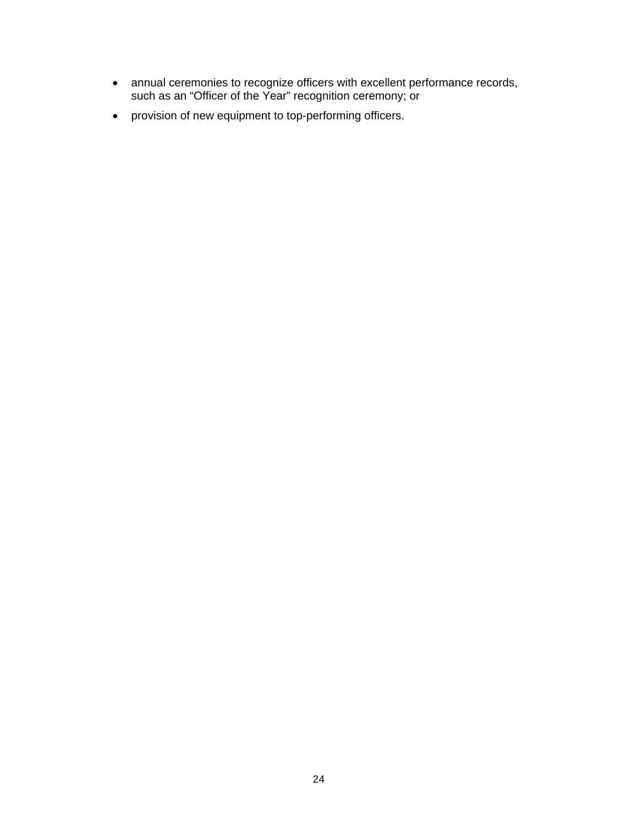- annual ceremonies to recognize officers with excellent performance records, such as an "Officer of the Year" recognition ceremony; or
- provision of new equipment to top-performing officers.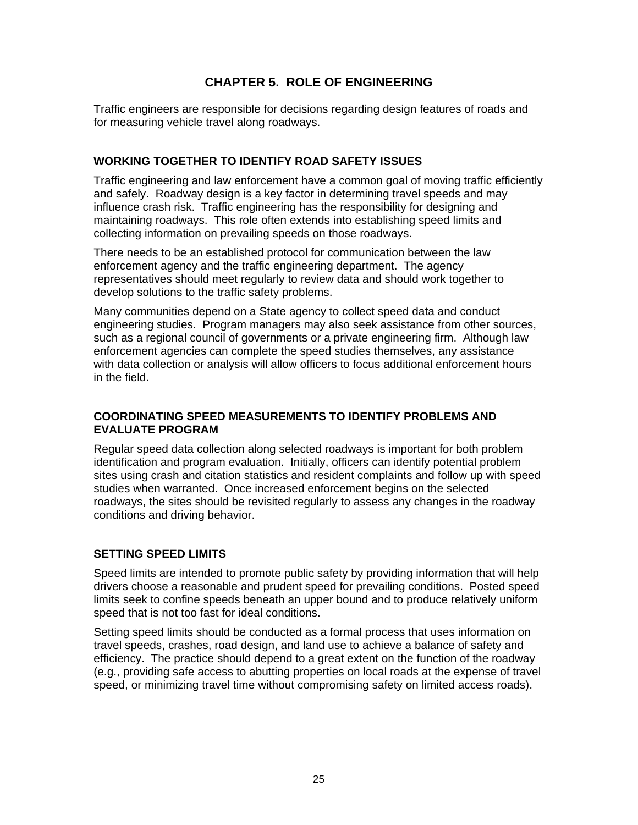# **CHAPTER 5. ROLE OF ENGINEERING**

Traffic engineers are responsible for decisions regarding design features of roads and for measuring vehicle travel along roadways.

## **WORKING TOGETHER TO IDENTIFY ROAD SAFETY ISSUES**

Traffic engineering and law enforcement have a common goal of moving traffic efficiently and safely. Roadway design is a key factor in determining travel speeds and may influence crash risk. Traffic engineering has the responsibility for designing and maintaining roadways. This role often extends into establishing speed limits and collecting information on prevailing speeds on those roadways.

There needs to be an established protocol for communication between the law enforcement agency and the traffic engineering department. The agency representatives should meet regularly to review data and should work together to develop solutions to the traffic safety problems.

Many communities depend on a State agency to collect speed data and conduct engineering studies. Program managers may also seek assistance from other sources, such as a regional council of governments or a private engineering firm. Although law enforcement agencies can complete the speed studies themselves, any assistance with data collection or analysis will allow officers to focus additional enforcement hours in the field.

## **COORDINATING SPEED MEASUREMENTS TO IDENTIFY PROBLEMS AND EVALUATE PROGRAM**

Regular speed data collection along selected roadways is important for both problem identification and program evaluation. Initially, officers can identify potential problem sites using crash and citation statistics and resident complaints and follow up with speed studies when warranted. Once increased enforcement begins on the selected roadways, the sites should be revisited regularly to assess any changes in the roadway conditions and driving behavior.

# **SETTING SPEED LIMITS**

Speed limits are intended to promote public safety by providing information that will help drivers choose a reasonable and prudent speed for prevailing conditions. Posted speed limits seek to confine speeds beneath an upper bound and to produce relatively uniform speed that is not too fast for ideal conditions.

Setting speed limits should be conducted as a formal process that uses information on travel speeds, crashes, road design, and land use to achieve a balance of safety and efficiency. The practice should depend to a great extent on the function of the roadway (e.g., providing safe access to abutting properties on local roads at the expense of travel speed, or minimizing travel time without compromising safety on limited access roads).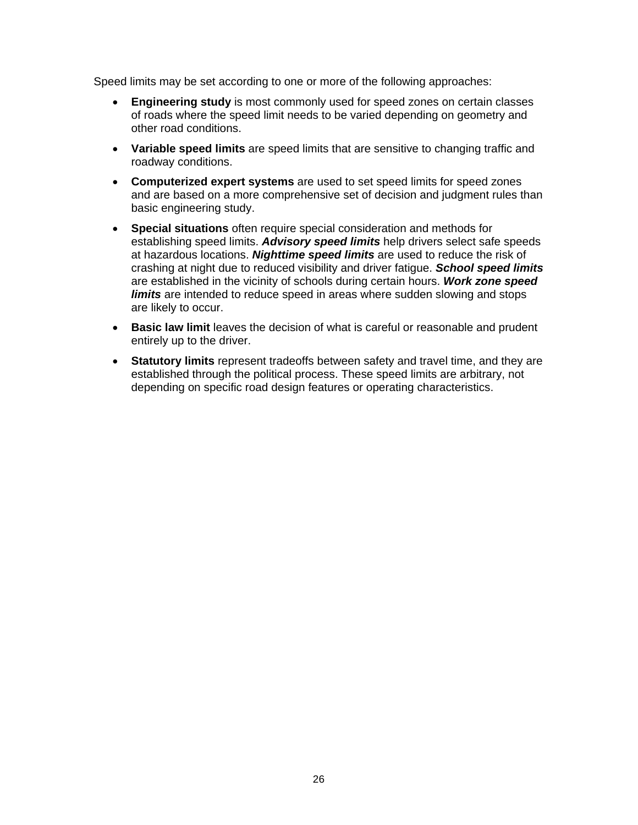Speed limits may be set according to one or more of the following approaches:

- **Engineering study** is most commonly used for speed zones on certain classes of roads where the speed limit needs to be varied depending on geometry and other road conditions.
- **Variable speed limits** are speed limits that are sensitive to changing traffic and roadway conditions.
- **Computerized expert systems** are used to set speed limits for speed zones and are based on a more comprehensive set of decision and judgment rules than basic engineering study.
- **Special situations** often require special consideration and methods for establishing speed limits. *Advisory speed limits* help drivers select safe speeds at hazardous locations. *Nighttime speed limits* are used to reduce the risk of crashing at night due to reduced visibility and driver fatigue. *School speed limits* are established in the vicinity of schools during certain hours. *Work zone speed limits* are intended to reduce speed in areas where sudden slowing and stops are likely to occur.
- **Basic law limit** leaves the decision of what is careful or reasonable and prudent entirely up to the driver.
- **Statutory limits** represent tradeoffs between safety and travel time, and they are established through the political process. These speed limits are arbitrary, not depending on specific road design features or operating characteristics.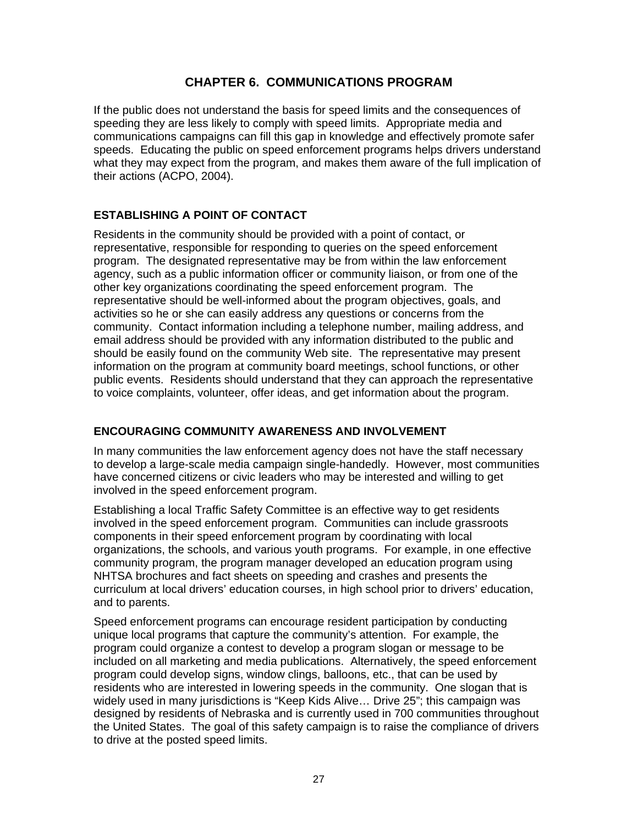# **CHAPTER 6. COMMUNICATIONS PROGRAM**

If the public does not understand the basis for speed limits and the consequences of speeding they are less likely to comply with speed limits. Appropriate media and communications campaigns can fill this gap in knowledge and effectively promote safer speeds. Educating the public on speed enforcement programs helps drivers understand what they may expect from the program, and makes them aware of the full implication of their actions (ACPO, 2004).

#### **ESTABLISHING A POINT OF CONTACT**

Residents in the community should be provided with a point of contact, or representative, responsible for responding to queries on the speed enforcement program. The designated representative may be from within the law enforcement agency, such as a public information officer or community liaison, or from one of the other key organizations coordinating the speed enforcement program. The representative should be well-informed about the program objectives, goals, and activities so he or she can easily address any questions or concerns from the community. Contact information including a telephone number, mailing address, and email address should be provided with any information distributed to the public and should be easily found on the community Web site. The representative may present information on the program at community board meetings, school functions, or other public events. Residents should understand that they can approach the representative to voice complaints, volunteer, offer ideas, and get information about the program.

#### **ENCOURAGING COMMUNITY AWARENESS AND INVOLVEMENT**

In many communities the law enforcement agency does not have the staff necessary to develop a large-scale media campaign single-handedly. However, most communities have concerned citizens or civic leaders who may be interested and willing to get involved in the speed enforcement program.

Establishing a local Traffic Safety Committee is an effective way to get residents involved in the speed enforcement program. Communities can include grassroots components in their speed enforcement program by coordinating with local organizations, the schools, and various youth programs. For example, in one effective community program, the program manager developed an education program using NHTSA brochures and fact sheets on speeding and crashes and presents the curriculum at local drivers' education courses, in high school prior to drivers' education, and to parents.

Speed enforcement programs can encourage resident participation by conducting unique local programs that capture the community's attention. For example, the program could organize a contest to develop a program slogan or message to be included on all marketing and media publications. Alternatively, the speed enforcement program could develop signs, window clings, balloons, etc., that can be used by residents who are interested in lowering speeds in the community. One slogan that is widely used in many jurisdictions is "Keep Kids Alive… Drive 25"; this campaign was designed by residents of Nebraska and is currently used in 700 communities throughout the United States. The goal of this safety campaign is to raise the compliance of drivers to drive at the posted speed limits.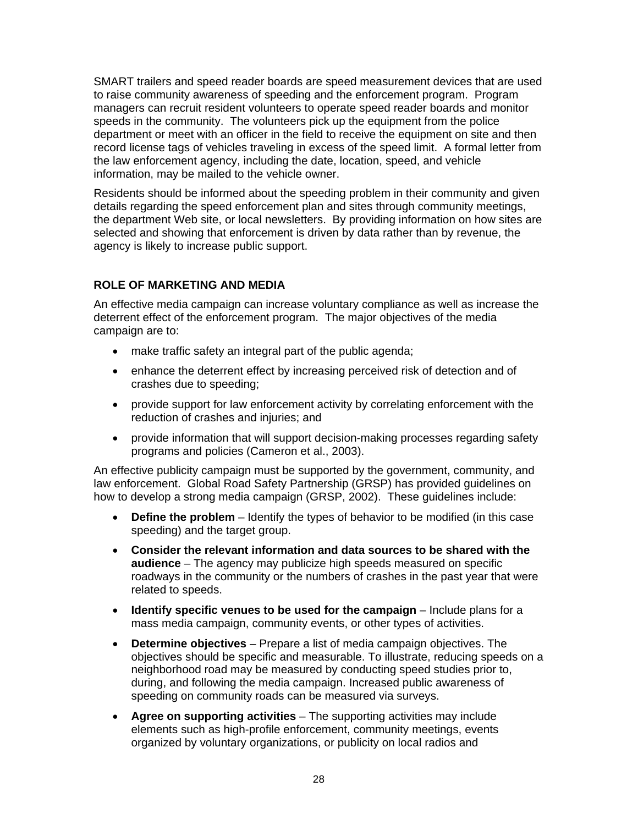SMART trailers and speed reader boards are speed measurement devices that are used to raise community awareness of speeding and the enforcement program. Program managers can recruit resident volunteers to operate speed reader boards and monitor speeds in the community. The volunteers pick up the equipment from the police department or meet with an officer in the field to receive the equipment on site and then record license tags of vehicles traveling in excess of the speed limit. A formal letter from the law enforcement agency, including the date, location, speed, and vehicle information, may be mailed to the vehicle owner.

Residents should be informed about the speeding problem in their community and given details regarding the speed enforcement plan and sites through community meetings, the department Web site, or local newsletters. By providing information on how sites are selected and showing that enforcement is driven by data rather than by revenue, the agency is likely to increase public support.

# **ROLE OF MARKETING AND MEDIA**

An effective media campaign can increase voluntary compliance as well as increase the deterrent effect of the enforcement program. The major objectives of the media campaign are to:

- make traffic safety an integral part of the public agenda;
- enhance the deterrent effect by increasing perceived risk of detection and of crashes due to speeding;
- provide support for law enforcement activity by correlating enforcement with the reduction of crashes and injuries; and
- provide information that will support decision-making processes regarding safety programs and policies (Cameron et al., 2003).

An effective publicity campaign must be supported by the government, community, and law enforcement. Global Road Safety Partnership (GRSP) has provided guidelines on how to develop a strong media campaign (GRSP, 2002). These guidelines include:

- **Define the problem**  Identify the types of behavior to be modified (in this case speeding) and the target group.
- **Consider the relevant information and data sources to be shared with the audience** – The agency may publicize high speeds measured on specific roadways in the community or the numbers of crashes in the past year that were related to speeds.
- **Identify specific venues to be used for the campaign** Include plans for a mass media campaign, community events, or other types of activities.
- **Determine objectives**  Prepare a list of media campaign objectives. The objectives should be specific and measurable. To illustrate, reducing speeds on a neighborhood road may be measured by conducting speed studies prior to, during, and following the media campaign. Increased public awareness of speeding on community roads can be measured via surveys.
- **Agree on supporting activities**  The supporting activities may include elements such as high-profile enforcement, community meetings, events organized by voluntary organizations, or publicity on local radios and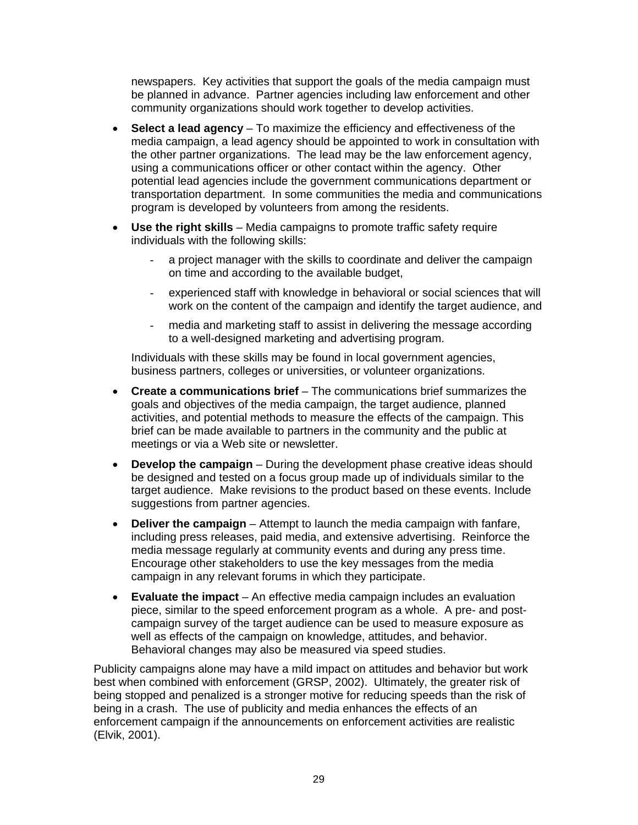newspapers. Key activities that support the goals of the media campaign must be planned in advance. Partner agencies including law enforcement and other community organizations should work together to develop activities.

- **Select a lead agency**  To maximize the efficiency and effectiveness of the media campaign, a lead agency should be appointed to work in consultation with the other partner organizations. The lead may be the law enforcement agency, using a communications officer or other contact within the agency. Other potential lead agencies include the government communications department or transportation department. In some communities the media and communications program is developed by volunteers from among the residents.
- **Use the right skills**  Media campaigns to promote traffic safety require individuals with the following skills:
	- a project manager with the skills to coordinate and deliver the campaign on time and according to the available budget,
	- experienced staff with knowledge in behavioral or social sciences that will work on the content of the campaign and identify the target audience, and
	- media and marketing staff to assist in delivering the message according to a well-designed marketing and advertising program.

Individuals with these skills may be found in local government agencies, business partners, colleges or universities, or volunteer organizations.

- **Create a communications brief**  The communications brief summarizes the goals and objectives of the media campaign, the target audience, planned activities, and potential methods to measure the effects of the campaign. This brief can be made available to partners in the community and the public at meetings or via a Web site or newsletter.
- **Develop the campaign**  During the development phase creative ideas should be designed and tested on a focus group made up of individuals similar to the target audience. Make revisions to the product based on these events. Include suggestions from partner agencies.
- **Deliver the campaign**  Attempt to launch the media campaign with fanfare, including press releases, paid media, and extensive advertising. Reinforce the media message regularly at community events and during any press time. Encourage other stakeholders to use the key messages from the media campaign in any relevant forums in which they participate.
- **Evaluate the impact**  An effective media campaign includes an evaluation piece, similar to the speed enforcement program as a whole. A pre- and postcampaign survey of the target audience can be used to measure exposure as well as effects of the campaign on knowledge, attitudes, and behavior. Behavioral changes may also be measured via speed studies.

Publicity campaigns alone may have a mild impact on attitudes and behavior but work best when combined with enforcement (GRSP, 2002). Ultimately, the greater risk of being stopped and penalized is a stronger motive for reducing speeds than the risk of being in a crash. The use of publicity and media enhances the effects of an enforcement campaign if the announcements on enforcement activities are realistic (Elvik, 2001).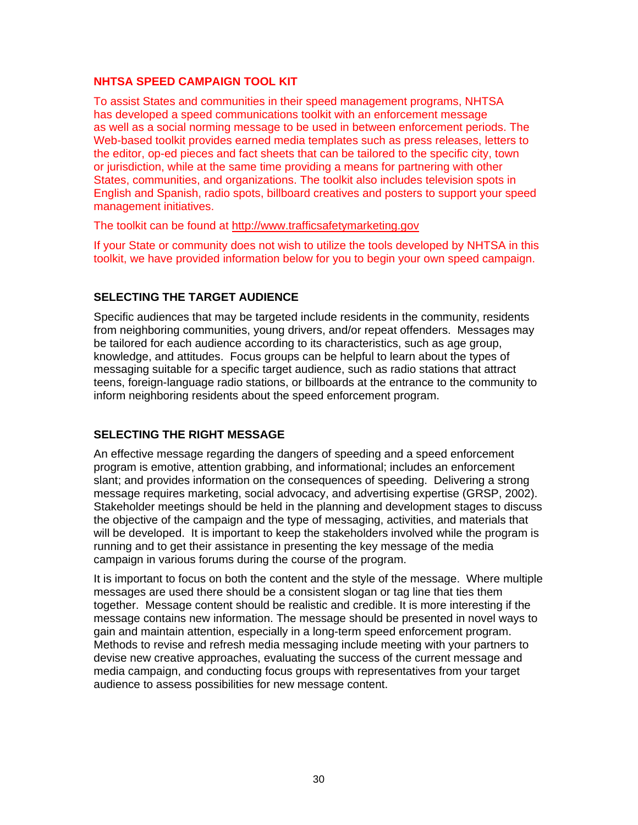#### **NHTSA SPEED CAMPAIGN TOOL KIT**

To assist States and communities in their speed management programs, NHTSA has developed a speed communications toolkit with an enforcement message as well as a social norming message to be used in between enforcement periods. The Web-based toolkit provides earned media templates such as press releases, letters to the editor, op-ed pieces and fact sheets that can be tailored to the specific city, town or jurisdiction, while at the same time providing a means for partnering with other States, communities, and organizations. The toolkit also includes television spots in English and Spanish, radio spots, billboard creatives and posters to support your speed management initiatives.

The toolkit can be found at http://www.trafficsafetymarketing.gov

If your State or community does not wish to utilize the tools developed by NHTSA in this toolkit, we have provided information below for you to begin your own speed campaign.

#### **SELECTING THE TARGET AUDIENCE**

Specific audiences that may be targeted include residents in the community, residents from neighboring communities, young drivers, and/or repeat offenders. Messages may be tailored for each audience according to its characteristics, such as age group, knowledge, and attitudes. Focus groups can be helpful to learn about the types of messaging suitable for a specific target audience, such as radio stations that attract teens, foreign-language radio stations, or billboards at the entrance to the community to inform neighboring residents about the speed enforcement program.

#### **SELECTING THE RIGHT MESSAGE**

An effective message regarding the dangers of speeding and a speed enforcement program is emotive, attention grabbing, and informational; includes an enforcement slant; and provides information on the consequences of speeding. Delivering a strong message requires marketing, social advocacy, and advertising expertise (GRSP, 2002). Stakeholder meetings should be held in the planning and development stages to discuss the objective of the campaign and the type of messaging, activities, and materials that will be developed. It is important to keep the stakeholders involved while the program is running and to get their assistance in presenting the key message of the media campaign in various forums during the course of the program.

It is important to focus on both the content and the style of the message. Where multiple messages are used there should be a consistent slogan or tag line that ties them together. Message content should be realistic and credible. It is more interesting if the message contains new information. The message should be presented in novel ways to gain and maintain attention, especially in a long-term speed enforcement program. Methods to revise and refresh media messaging include meeting with your partners to devise new creative approaches, evaluating the success of the current message and media campaign, and conducting focus groups with representatives from your target audience to assess possibilities for new message content.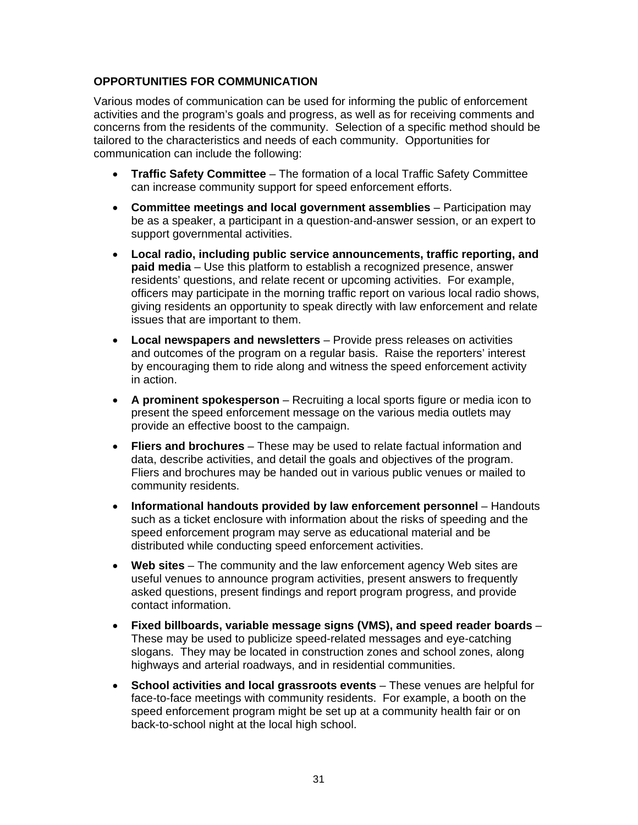### **OPPORTUNITIES FOR COMMUNICATION**

Various modes of communication can be used for informing the public of enforcement activities and the program's goals and progress, as well as for receiving comments and concerns from the residents of the community. Selection of a specific method should be tailored to the characteristics and needs of each community. Opportunities for communication can include the following:

- **Traffic Safety Committee** The formation of a local Traffic Safety Committee can increase community support for speed enforcement efforts.
- **Committee meetings and local government assemblies**  Participation may be as a speaker, a participant in a question-and-answer session, or an expert to support governmental activities.
- **Local radio, including public service announcements, traffic reporting, and paid media** – Use this platform to establish a recognized presence, answer residents' questions, and relate recent or upcoming activities. For example, officers may participate in the morning traffic report on various local radio shows, giving residents an opportunity to speak directly with law enforcement and relate issues that are important to them.
- **Local newspapers and newsletters**  Provide press releases on activities and outcomes of the program on a regular basis. Raise the reporters' interest by encouraging them to ride along and witness the speed enforcement activity in action.
- **A prominent spokesperson** Recruiting a local sports figure or media icon to present the speed enforcement message on the various media outlets may provide an effective boost to the campaign.
- **Fliers and brochures**  These may be used to relate factual information and data, describe activities, and detail the goals and objectives of the program. Fliers and brochures may be handed out in various public venues or mailed to community residents.
- Informational handouts provided by law enforcement personnel Handouts such as a ticket enclosure with information about the risks of speeding and the speed enforcement program may serve as educational material and be distributed while conducting speed enforcement activities.
- **Web sites**  The community and the law enforcement agency Web sites are useful venues to announce program activities, present answers to frequently asked questions, present findings and report program progress, and provide contact information.
- **Fixed billboards, variable message signs (VMS), and speed reader boards**  These may be used to publicize speed-related messages and eye-catching slogans. They may be located in construction zones and school zones, along highways and arterial roadways, and in residential communities.
- **School activities and local grassroots events**  These venues are helpful for face-to-face meetings with community residents. For example, a booth on the speed enforcement program might be set up at a community health fair or on back-to-school night at the local high school.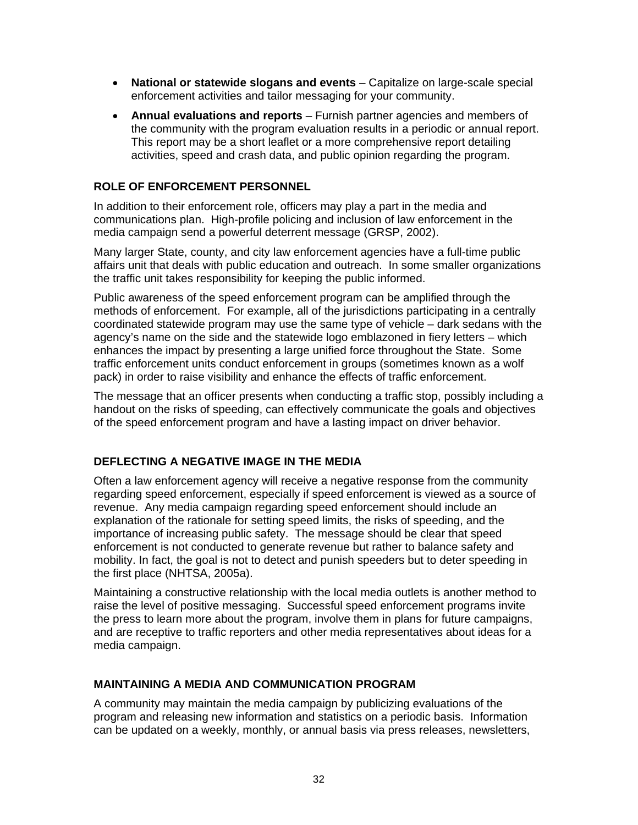- **National or statewide slogans and events** Capitalize on large-scale special enforcement activities and tailor messaging for your community.
- **Annual evaluations and reports**  Furnish partner agencies and members of the community with the program evaluation results in a periodic or annual report. This report may be a short leaflet or a more comprehensive report detailing activities, speed and crash data, and public opinion regarding the program.

### **ROLE OF ENFORCEMENT PERSONNEL**

In addition to their enforcement role, officers may play a part in the media and communications plan. High-profile policing and inclusion of law enforcement in the media campaign send a powerful deterrent message (GRSP, 2002).

Many larger State, county, and city law enforcement agencies have a full-time public affairs unit that deals with public education and outreach. In some smaller organizations the traffic unit takes responsibility for keeping the public informed.

Public awareness of the speed enforcement program can be amplified through the methods of enforcement. For example, all of the jurisdictions participating in a centrally coordinated statewide program may use the same type of vehicle – dark sedans with the agency's name on the side and the statewide logo emblazoned in fiery letters – which enhances the impact by presenting a large unified force throughout the State. Some traffic enforcement units conduct enforcement in groups (sometimes known as a wolf pack) in order to raise visibility and enhance the effects of traffic enforcement.

The message that an officer presents when conducting a traffic stop, possibly including a handout on the risks of speeding, can effectively communicate the goals and objectives of the speed enforcement program and have a lasting impact on driver behavior.

## **DEFLECTING A NEGATIVE IMAGE IN THE MEDIA**

Often a law enforcement agency will receive a negative response from the community regarding speed enforcement, especially if speed enforcement is viewed as a source of revenue. Any media campaign regarding speed enforcement should include an explanation of the rationale for setting speed limits, the risks of speeding, and the importance of increasing public safety. The message should be clear that speed enforcement is not conducted to generate revenue but rather to balance safety and mobility. In fact, the goal is not to detect and punish speeders but to deter speeding in the first place (NHTSA, 2005a).

Maintaining a constructive relationship with the local media outlets is another method to raise the level of positive messaging. Successful speed enforcement programs invite the press to learn more about the program, involve them in plans for future campaigns, and are receptive to traffic reporters and other media representatives about ideas for a media campaign.

#### **MAINTAINING A MEDIA AND COMMUNICATION PROGRAM**

A community may maintain the media campaign by publicizing evaluations of the program and releasing new information and statistics on a periodic basis. Information can be updated on a weekly, monthly, or annual basis via press releases, newsletters,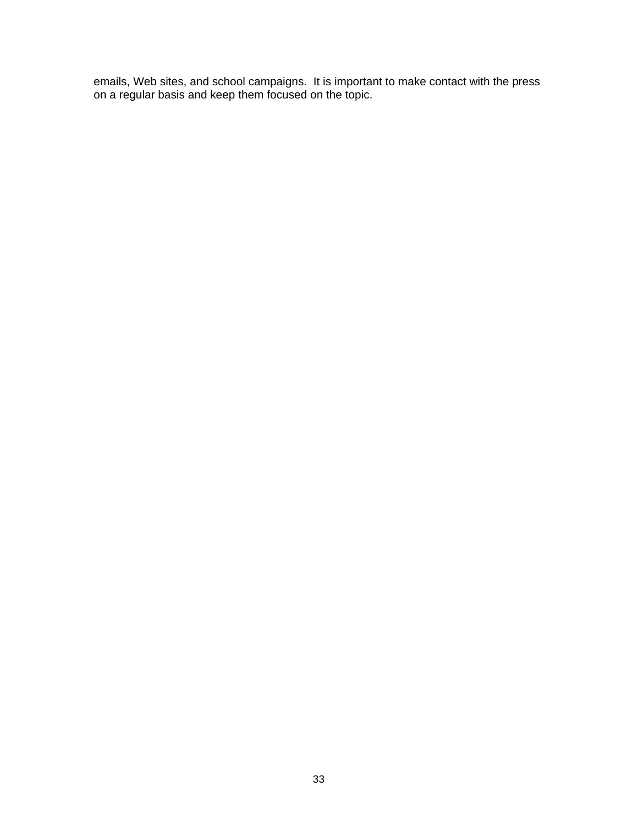emails, Web sites, and school campaigns. It is important to make contact with the press on a regular basis and keep them focused on the topic.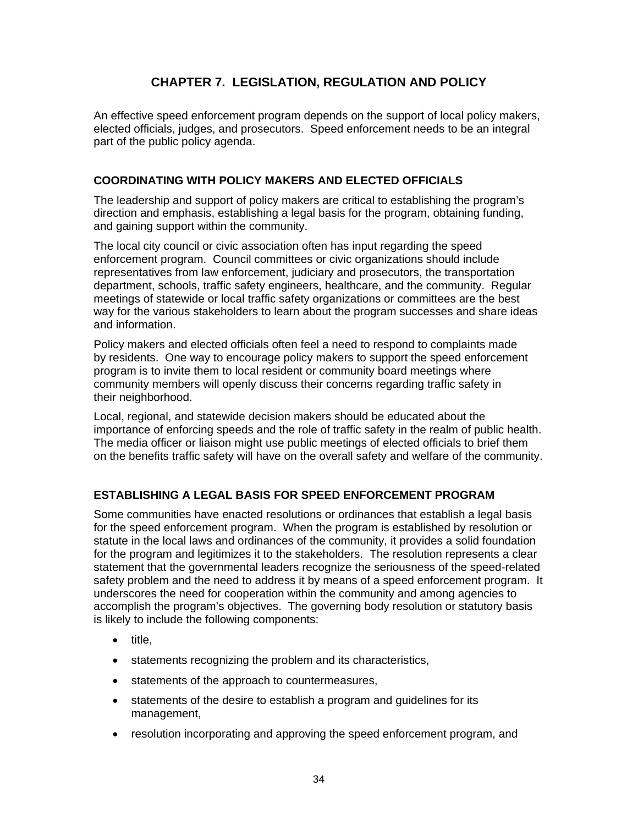## **CHAPTER 7. LEGISLATION, REGULATION AND POLICY**

An effective speed enforcement program depends on the support of local policy makers, elected officials, judges, and prosecutors. Speed enforcement needs to be an integral part of the public policy agenda.

## **COORDINATING WITH POLICY MAKERS AND ELECTED OFFICIALS**

The leadership and support of policy makers are critical to establishing the program's direction and emphasis, establishing a legal basis for the program, obtaining funding, and gaining support within the community.

The local city council or civic association often has input regarding the speed enforcement program. Council committees or civic organizations should include representatives from law enforcement, judiciary and prosecutors, the transportation department, schools, traffic safety engineers, healthcare, and the community. Regular meetings of statewide or local traffic safety organizations or committees are the best way for the various stakeholders to learn about the program successes and share ideas and information.

Policy makers and elected officials often feel a need to respond to complaints made by residents. One way to encourage policy makers to support the speed enforcement program is to invite them to local resident or community board meetings where community members will openly discuss their concerns regarding traffic safety in their neighborhood.

Local, regional, and statewide decision makers should be educated about the importance of enforcing speeds and the role of traffic safety in the realm of public health. The media officer or liaison might use public meetings of elected officials to brief them on the benefits traffic safety will have on the overall safety and welfare of the community.

## **ESTABLISHING A LEGAL BASIS FOR SPEED ENFORCEMENT PROGRAM**

Some communities have enacted resolutions or ordinances that establish a legal basis for the speed enforcement program. When the program is established by resolution or statute in the local laws and ordinances of the community, it provides a solid foundation for the program and legitimizes it to the stakeholders. The resolution represents a clear statement that the governmental leaders recognize the seriousness of the speed-related safety problem and the need to address it by means of a speed enforcement program. It underscores the need for cooperation within the community and among agencies to accomplish the program's objectives. The governing body resolution or statutory basis is likely to include the following components:

- title,
- statements recognizing the problem and its characteristics,
- statements of the approach to countermeasures,
- statements of the desire to establish a program and guidelines for its management,
- resolution incorporating and approving the speed enforcement program, and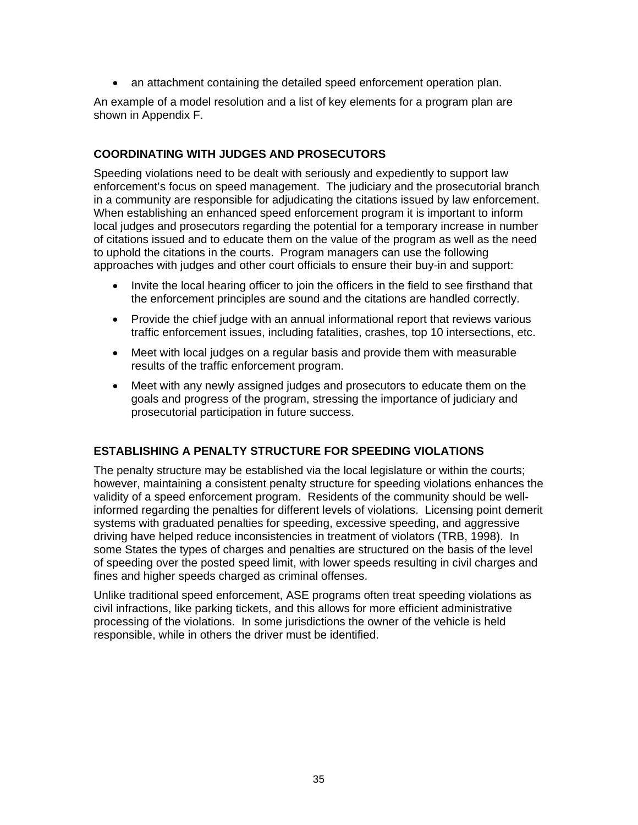• an attachment containing the detailed speed enforcement operation plan.

An example of a model resolution and a list of key elements for a program plan are shown in Appendix F.

#### **COORDINATING WITH JUDGES AND PROSECUTORS**

Speeding violations need to be dealt with seriously and expediently to support law enforcement's focus on speed management. The judiciary and the prosecutorial branch in a community are responsible for adjudicating the citations issued by law enforcement. When establishing an enhanced speed enforcement program it is important to inform local judges and prosecutors regarding the potential for a temporary increase in number of citations issued and to educate them on the value of the program as well as the need to uphold the citations in the courts. Program managers can use the following approaches with judges and other court officials to ensure their buy-in and support:

- Invite the local hearing officer to join the officers in the field to see firsthand that the enforcement principles are sound and the citations are handled correctly.
- Provide the chief judge with an annual informational report that reviews various traffic enforcement issues, including fatalities, crashes, top 10 intersections, etc.
- Meet with local judges on a regular basis and provide them with measurable results of the traffic enforcement program.
- Meet with any newly assigned judges and prosecutors to educate them on the goals and progress of the program, stressing the importance of judiciary and prosecutorial participation in future success.

#### **ESTABLISHING A PENALTY STRUCTURE FOR SPEEDING VIOLATIONS**

The penalty structure may be established via the local legislature or within the courts; however, maintaining a consistent penalty structure for speeding violations enhances the validity of a speed enforcement program. Residents of the community should be wellinformed regarding the penalties for different levels of violations. Licensing point demerit systems with graduated penalties for speeding, excessive speeding, and aggressive driving have helped reduce inconsistencies in treatment of violators (TRB, 1998). In some States the types of charges and penalties are structured on the basis of the level of speeding over the posted speed limit, with lower speeds resulting in civil charges and fines and higher speeds charged as criminal offenses.

Unlike traditional speed enforcement, ASE programs often treat speeding violations as civil infractions, like parking tickets, and this allows for more efficient administrative processing of the violations. In some jurisdictions the owner of the vehicle is held responsible, while in others the driver must be identified.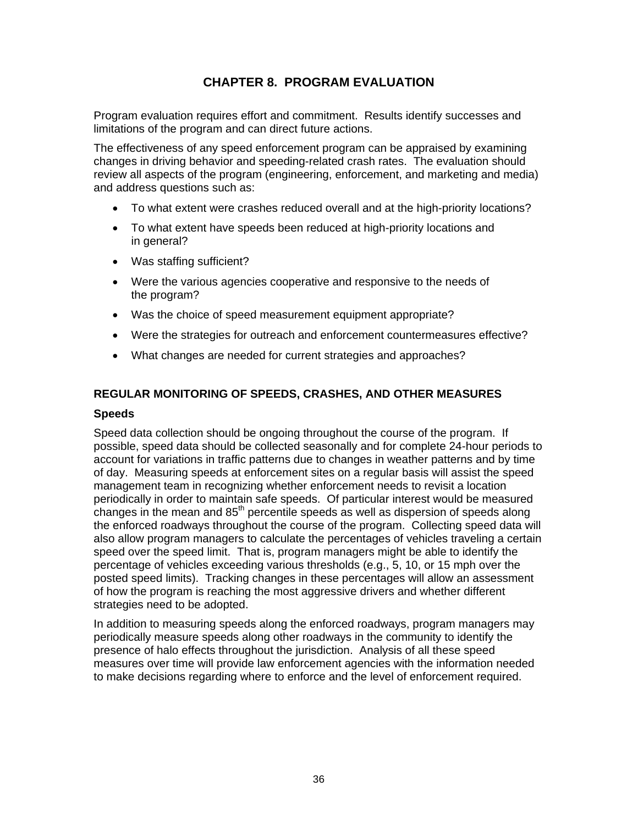## **CHAPTER 8. PROGRAM EVALUATION**

Program evaluation requires effort and commitment. Results identify successes and limitations of the program and can direct future actions.

The effectiveness of any speed enforcement program can be appraised by examining changes in driving behavior and speeding-related crash rates. The evaluation should review all aspects of the program (engineering, enforcement, and marketing and media) and address questions such as:

- To what extent were crashes reduced overall and at the high-priority locations?
- To what extent have speeds been reduced at high-priority locations and in general?
- Was staffing sufficient?
- Were the various agencies cooperative and responsive to the needs of the program?
- Was the choice of speed measurement equipment appropriate?
- Were the strategies for outreach and enforcement countermeasures effective?
- What changes are needed for current strategies and approaches?

#### **REGULAR MONITORING OF SPEEDS, CRASHES, AND OTHER MEASURES**

#### **Speeds**

Speed data collection should be ongoing throughout the course of the program. If possible, speed data should be collected seasonally and for complete 24-hour periods to account for variations in traffic patterns due to changes in weather patterns and by time of day. Measuring speeds at enforcement sites on a regular basis will assist the speed management team in recognizing whether enforcement needs to revisit a location periodically in order to maintain safe speeds. Of particular interest would be measured changes in the mean and  $85<sup>th</sup>$  percentile speeds as well as dispersion of speeds along the enforced roadways throughout the course of the program. Collecting speed data will also allow program managers to calculate the percentages of vehicles traveling a certain speed over the speed limit. That is, program managers might be able to identify the percentage of vehicles exceeding various thresholds (e.g., 5, 10, or 15 mph over the posted speed limits). Tracking changes in these percentages will allow an assessment of how the program is reaching the most aggressive drivers and whether different strategies need to be adopted.

In addition to measuring speeds along the enforced roadways, program managers may periodically measure speeds along other roadways in the community to identify the presence of halo effects throughout the jurisdiction. Analysis of all these speed measures over time will provide law enforcement agencies with the information needed to make decisions regarding where to enforce and the level of enforcement required.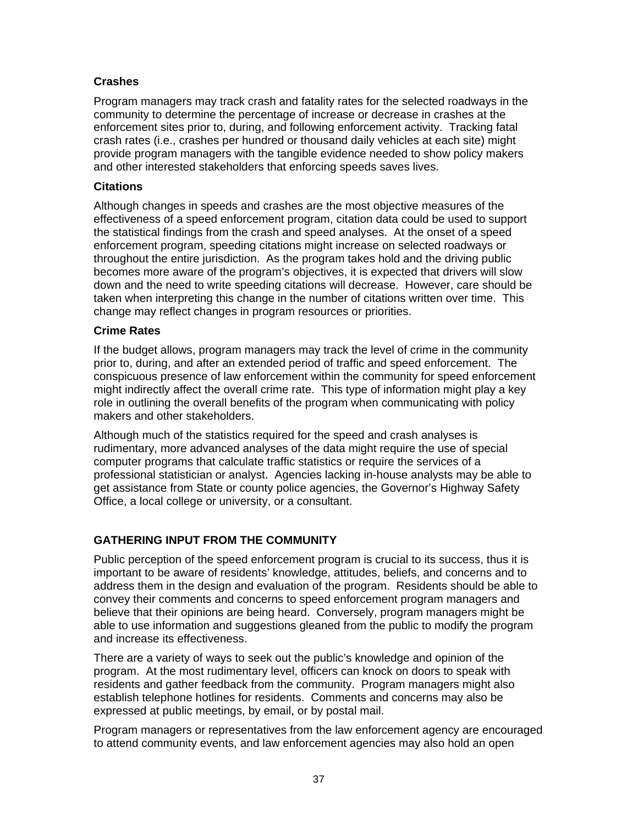## **Crashes**

Program managers may track crash and fatality rates for the selected roadways in the community to determine the percentage of increase or decrease in crashes at the enforcement sites prior to, during, and following enforcement activity. Tracking fatal crash rates (i.e., crashes per hundred or thousand daily vehicles at each site) might provide program managers with the tangible evidence needed to show policy makers and other interested stakeholders that enforcing speeds saves lives.

#### **Citations**

Although changes in speeds and crashes are the most objective measures of the effectiveness of a speed enforcement program, citation data could be used to support the statistical findings from the crash and speed analyses. At the onset of a speed enforcement program, speeding citations might increase on selected roadways or throughout the entire jurisdiction. As the program takes hold and the driving public becomes more aware of the program's objectives, it is expected that drivers will slow down and the need to write speeding citations will decrease. However, care should be taken when interpreting this change in the number of citations written over time. This change may reflect changes in program resources or priorities.

#### **Crime Rates**

If the budget allows, program managers may track the level of crime in the community prior to, during, and after an extended period of traffic and speed enforcement. The conspicuous presence of law enforcement within the community for speed enforcement might indirectly affect the overall crime rate. This type of information might play a key role in outlining the overall benefits of the program when communicating with policy makers and other stakeholders.

Although much of the statistics required for the speed and crash analyses is rudimentary, more advanced analyses of the data might require the use of special computer programs that calculate traffic statistics or require the services of a professional statistician or analyst. Agencies lacking in-house analysts may be able to get assistance from State or county police agencies, the Governor's Highway Safety Office, a local college or university, or a consultant.

#### **GATHERING INPUT FROM THE COMMUNITY**

Public perception of the speed enforcement program is crucial to its success, thus it is important to be aware of residents' knowledge, attitudes, beliefs, and concerns and to address them in the design and evaluation of the program. Residents should be able to convey their comments and concerns to speed enforcement program managers and believe that their opinions are being heard. Conversely, program managers might be able to use information and suggestions gleaned from the public to modify the program and increase its effectiveness.

There are a variety of ways to seek out the public's knowledge and opinion of the program. At the most rudimentary level, officers can knock on doors to speak with residents and gather feedback from the community. Program managers might also establish telephone hotlines for residents. Comments and concerns may also be expressed at public meetings, by email, or by postal mail.

Program managers or representatives from the law enforcement agency are encouraged to attend community events, and law enforcement agencies may also hold an open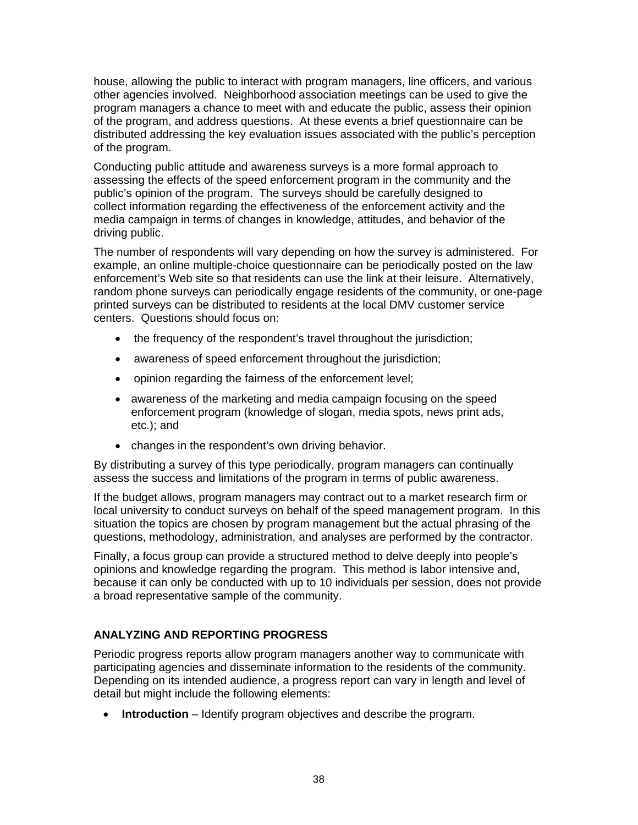house, allowing the public to interact with program managers, line officers, and various other agencies involved. Neighborhood association meetings can be used to give the program managers a chance to meet with and educate the public, assess their opinion of the program, and address questions. At these events a brief questionnaire can be distributed addressing the key evaluation issues associated with the public's perception of the program.

Conducting public attitude and awareness surveys is a more formal approach to assessing the effects of the speed enforcement program in the community and the public's opinion of the program. The surveys should be carefully designed to collect information regarding the effectiveness of the enforcement activity and the media campaign in terms of changes in knowledge, attitudes, and behavior of the driving public.

The number of respondents will vary depending on how the survey is administered. For example, an online multiple-choice questionnaire can be periodically posted on the law enforcement's Web site so that residents can use the link at their leisure. Alternatively, random phone surveys can periodically engage residents of the community, or one-page printed surveys can be distributed to residents at the local DMV customer service centers. Questions should focus on:

- the frequency of the respondent's travel throughout the jurisdiction;
- awareness of speed enforcement throughout the jurisdiction;
- opinion regarding the fairness of the enforcement level;
- awareness of the marketing and media campaign focusing on the speed enforcement program (knowledge of slogan, media spots, news print ads, etc.); and
- changes in the respondent's own driving behavior.

By distributing a survey of this type periodically, program managers can continually assess the success and limitations of the program in terms of public awareness.

If the budget allows, program managers may contract out to a market research firm or local university to conduct surveys on behalf of the speed management program. In this situation the topics are chosen by program management but the actual phrasing of the questions, methodology, administration, and analyses are performed by the contractor.

Finally, a focus group can provide a structured method to delve deeply into people's opinions and knowledge regarding the program. This method is labor intensive and, because it can only be conducted with up to 10 individuals per session, does not provide a broad representative sample of the community.

## **ANALYZING AND REPORTING PROGRESS**

Periodic progress reports allow program managers another way to communicate with participating agencies and disseminate information to the residents of the community. Depending on its intended audience, a progress report can vary in length and level of detail but might include the following elements:

• **Introduction** – Identify program objectives and describe the program.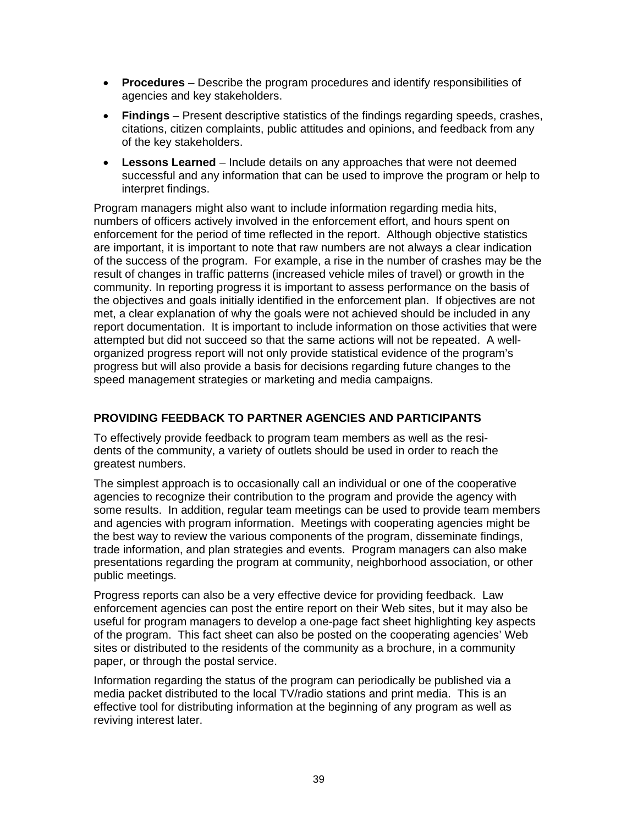- **Procedures**  Describe the program procedures and identify responsibilities of agencies and key stakeholders.
- **Findings**  Present descriptive statistics of the findings regarding speeds, crashes, citations, citizen complaints, public attitudes and opinions, and feedback from any of the key stakeholders.
- **Lessons Learned**  Include details on any approaches that were not deemed successful and any information that can be used to improve the program or help to interpret findings.

Program managers might also want to include information regarding media hits, numbers of officers actively involved in the enforcement effort, and hours spent on enforcement for the period of time reflected in the report. Although objective statistics are important, it is important to note that raw numbers are not always a clear indication of the success of the program. For example, a rise in the number of crashes may be the result of changes in traffic patterns (increased vehicle miles of travel) or growth in the community. In reporting progress it is important to assess performance on the basis of the objectives and goals initially identified in the enforcement plan. If objectives are not met, a clear explanation of why the goals were not achieved should be included in any report documentation. It is important to include information on those activities that were attempted but did not succeed so that the same actions will not be repeated. A wellorganized progress report will not only provide statistical evidence of the program's progress but will also provide a basis for decisions regarding future changes to the speed management strategies or marketing and media campaigns.

### **PROVIDING FEEDBACK TO PARTNER AGENCIES AND PARTICIPANTS**

To effectively provide feedback to program team members as well as the residents of the community, a variety of outlets should be used in order to reach the greatest numbers.

The simplest approach is to occasionally call an individual or one of the cooperative agencies to recognize their contribution to the program and provide the agency with some results. In addition, regular team meetings can be used to provide team members and agencies with program information. Meetings with cooperating agencies might be the best way to review the various components of the program, disseminate findings, trade information, and plan strategies and events. Program managers can also make presentations regarding the program at community, neighborhood association, or other public meetings.

Progress reports can also be a very effective device for providing feedback. Law enforcement agencies can post the entire report on their Web sites, but it may also be useful for program managers to develop a one-page fact sheet highlighting key aspects of the program. This fact sheet can also be posted on the cooperating agencies' Web sites or distributed to the residents of the community as a brochure, in a community paper, or through the postal service.

Information regarding the status of the program can periodically be published via a media packet distributed to the local TV/radio stations and print media. This is an effective tool for distributing information at the beginning of any program as well as reviving interest later.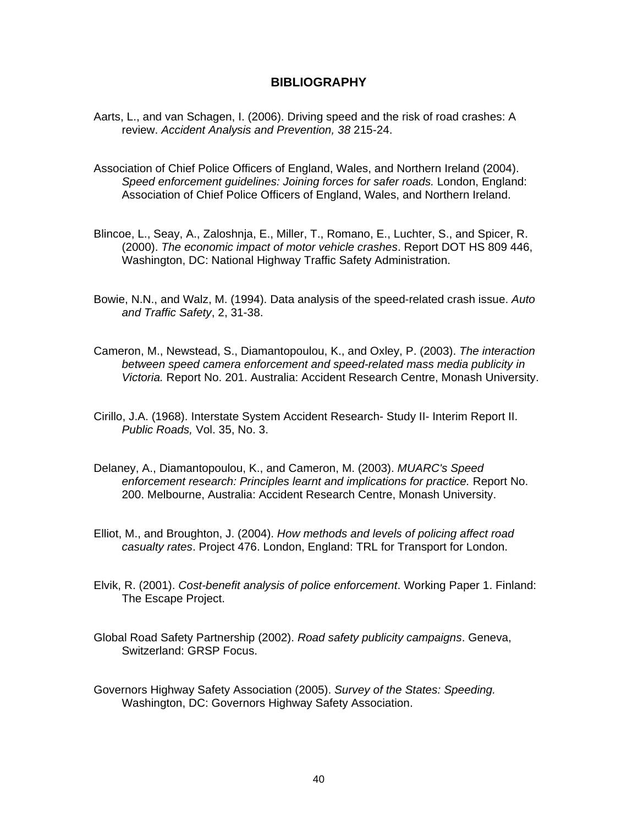#### **BIBLIOGRAPHY**

- Aarts, L., and van Schagen, I. (2006). Driving speed and the risk of road crashes: A review. *Accident Analysis and Prevention, 38* 215-24.
- Association of Chief Police Officers of England, Wales, and Northern Ireland (2004). *Speed enforcement guidelines: Joining forces for safer roads.* London, England: Association of Chief Police Officers of England, Wales, and Northern Ireland.
- Blincoe, L., Seay, A., Zaloshnja, E., Miller, T., Romano, E., Luchter, S., and Spicer, R. (2000). *The economic impact of motor vehicle crashes*. Report DOT HS 809 446, Washington, DC: National Highway Traffic Safety Administration.
- Bowie, N.N., and Walz, M. (1994). Data analysis of the speed-related crash issue. *Auto and Traffic Safety*, 2, 31-38.
- Cameron, M., Newstead, S., Diamantopoulou, K., and Oxley, P. (2003). *The interaction between speed camera enforcement and speed-related mass media publicity in Victoria.* Report No. 201. Australia: Accident Research Centre, Monash University.
- Cirillo, J.A. (1968). Interstate System Accident Research- Study II- Interim Report II. *Public Roads,* Vol. 35, No. 3.
- Delaney, A., Diamantopoulou, K., and Cameron, M. (2003). *MUARC's Speed enforcement research: Principles learnt and implications for practice.* Report No. 200. Melbourne, Australia: Accident Research Centre, Monash University.
- Elliot, M., and Broughton, J. (2004). *How methods and levels of policing affect road casualty rates*. Project 476. London, England: TRL for Transport for London.
- Elvik, R. (2001). *Cost-benefit analysis of police enforcement*. Working Paper 1. Finland: The Escape Project.
- Global Road Safety Partnership (2002). *Road safety publicity campaigns*. Geneva, Switzerland: GRSP Focus.
- Governors Highway Safety Association (2005). *Survey of the States: Speeding.*  Washington, DC: Governors Highway Safety Association.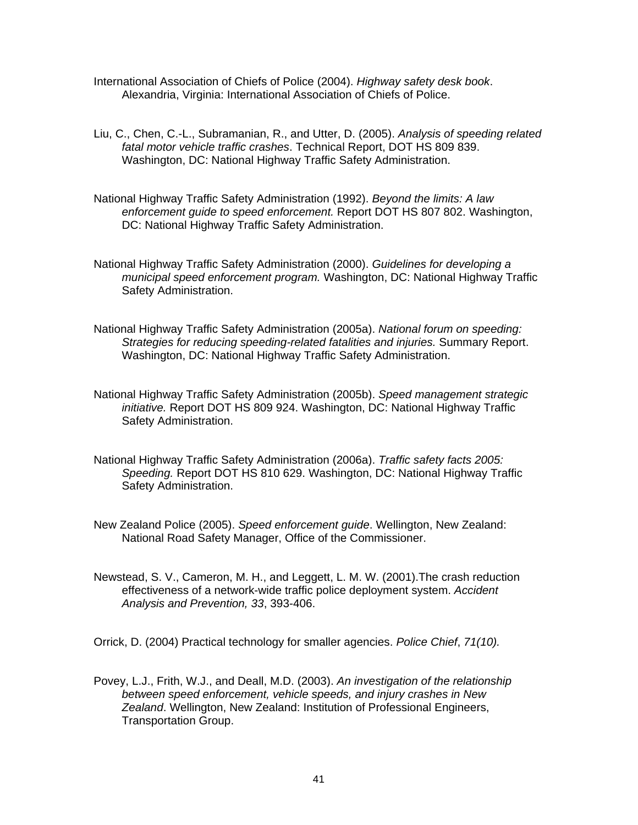- International Association of Chiefs of Police (2004). *Highway safety desk book*. Alexandria, Virginia: International Association of Chiefs of Police.
- Liu, C., Chen, C.-L., Subramanian, R., and Utter, D. (2005). *Analysis of speeding related fatal motor vehicle traffic crashes*. Technical Report, DOT HS 809 839. Washington, DC: National Highway Traffic Safety Administration.
- National Highway Traffic Safety Administration (1992). *Beyond the limits: A law enforcement guide to speed enforcement.* Report DOT HS 807 802. Washington, DC: National Highway Traffic Safety Administration.
- National Highway Traffic Safety Administration (2000). *Guidelines for developing a municipal speed enforcement program.* Washington, DC: National Highway Traffic Safety Administration.
- National Highway Traffic Safety Administration (2005a). *National forum on speeding: Strategies for reducing speeding-related fatalities and injuries.* Summary Report. Washington, DC: National Highway Traffic Safety Administration.
- National Highway Traffic Safety Administration (2005b). *Speed management strategic initiative.* Report DOT HS 809 924. Washington, DC: National Highway Traffic Safety Administration.
- National Highway Traffic Safety Administration (2006a). *Traffic safety facts 2005: Speeding.* Report DOT HS 810 629. Washington, DC: National Highway Traffic Safety Administration.
- New Zealand Police (2005). *Speed enforcement guide*. Wellington, New Zealand: National Road Safety Manager, Office of the Commissioner.
- Newstead, S. V., Cameron, M. H., and Leggett, L. M. W. (2001).The crash reduction effectiveness of a network-wide traffic police deployment system. *Accident Analysis and Prevention, 33*, 393-406.

Orrick, D. (2004) Practical technology for smaller agencies. *Police Chief*, *71(10).* 

Povey, L.J., Frith, W.J., and Deall, M.D. (2003). *An investigation of the relationship between speed enforcement, vehicle speeds, and injury crashes in New Zealand*. Wellington, New Zealand: Institution of Professional Engineers, Transportation Group.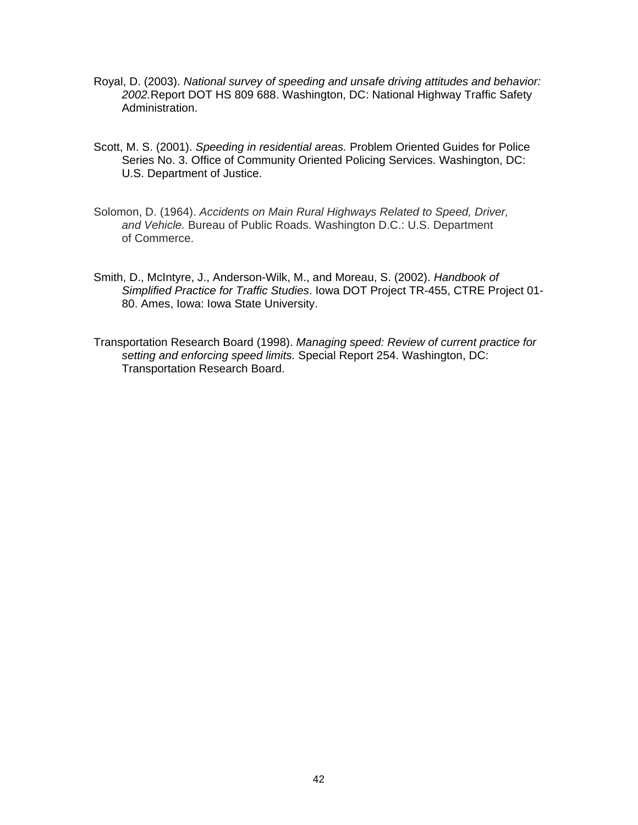- Royal, D. (2003). *National survey of speeding and unsafe driving attitudes and behavior: 2002.*Report DOT HS 809 688. Washington, DC: National Highway Traffic Safety Administration.
- Scott, M. S. (2001). *Speeding in residential areas.* Problem Oriented Guides for Police Series No. 3. Office of Community Oriented Policing Services. Washington, DC: U.S. Department of Justice.
- Solomon, D. (1964). *Accidents on Main Rural Highways Related to Speed, Driver, and Vehicle.* Bureau of Public Roads. Washington D.C.: U.S. Department of Commerce.
- Smith, D., McIntyre, J., Anderson-Wilk, M., and Moreau, S. (2002). *Handbook of Simplified Practice for Traffic Studies*. Iowa DOT Project TR-455, CTRE Project 01- 80. Ames, Iowa: Iowa State University.
- Transportation Research Board (1998). *Managing speed: Review of current practice for setting and enforcing speed limits.* Special Report 254. Washington, DC: Transportation Research Board.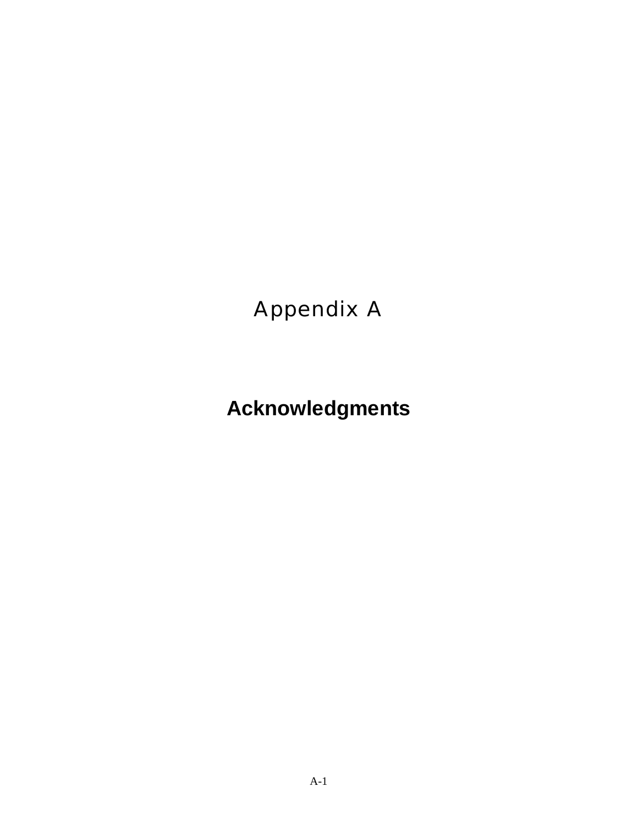## Appendix A

# **Acknowledgments**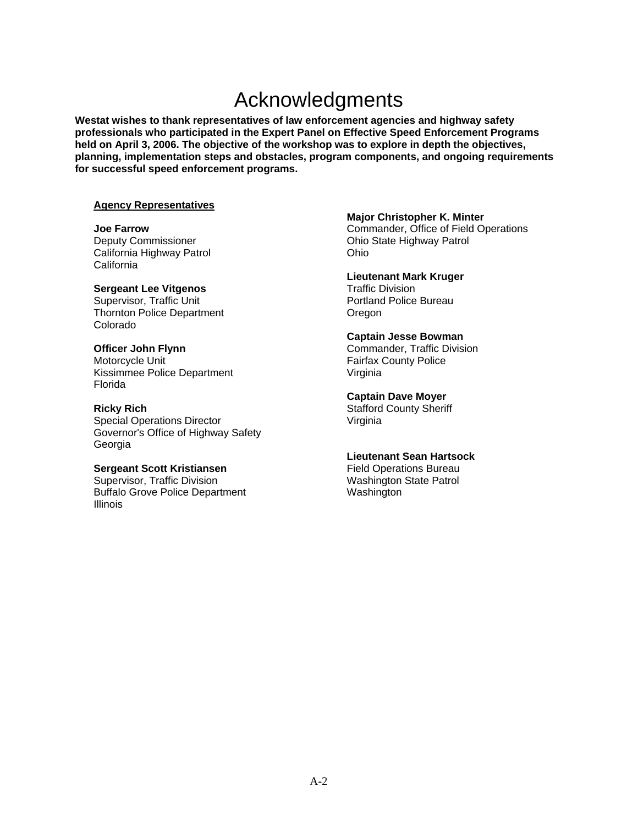## Acknowledgments

**Westat wishes to thank representatives of law enforcement agencies and highway safety professionals who participated in the Expert Panel on Effective Speed Enforcement Programs held on April 3, 2006. The objective of the workshop was to explore in depth the objectives, planning, implementation steps and obstacles, program components, and ongoing requirements for successful speed enforcement programs.** 

#### **Agency Representatives**

**Joe Farrow**  Deputy Commissioner California Highway Patrol **California** 

#### **Sergeant Lee Vitgenos**

Supervisor, Traffic Unit Thornton Police Department Colorado

#### **Officer John Flynn**

Motorcycle Unit Kissimmee Police Department Florida

#### **Ricky Rich**

Special Operations Director Governor's Office of Highway Safety Georgia

#### **Sergeant Scott Kristiansen**

Supervisor, Traffic Division Buffalo Grove Police Department Illinois

#### **Major Christopher K. Minter**

Commander, Office of Field Operations Ohio State Highway Patrol Ohio

#### **Lieutenant Mark Kruger**

Traffic Division Portland Police Bureau Oregon

#### **Captain Jesse Bowman**

Commander, Traffic Division Fairfax County Police Virginia

#### **Captain Dave Moyer**

Stafford County Sheriff Virginia

#### **Lieutenant Sean Hartsock**

Field Operations Bureau Washington State Patrol Washington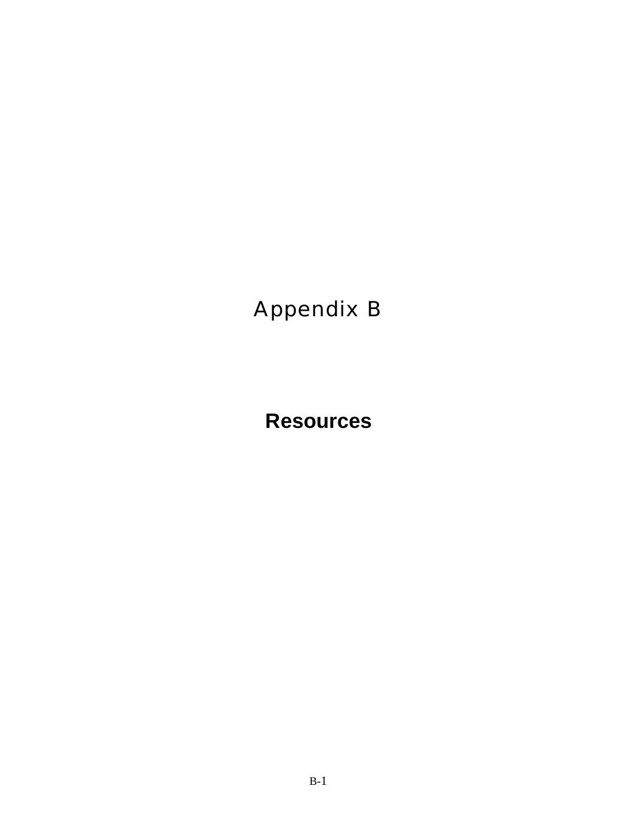## Appendix B

**Resources**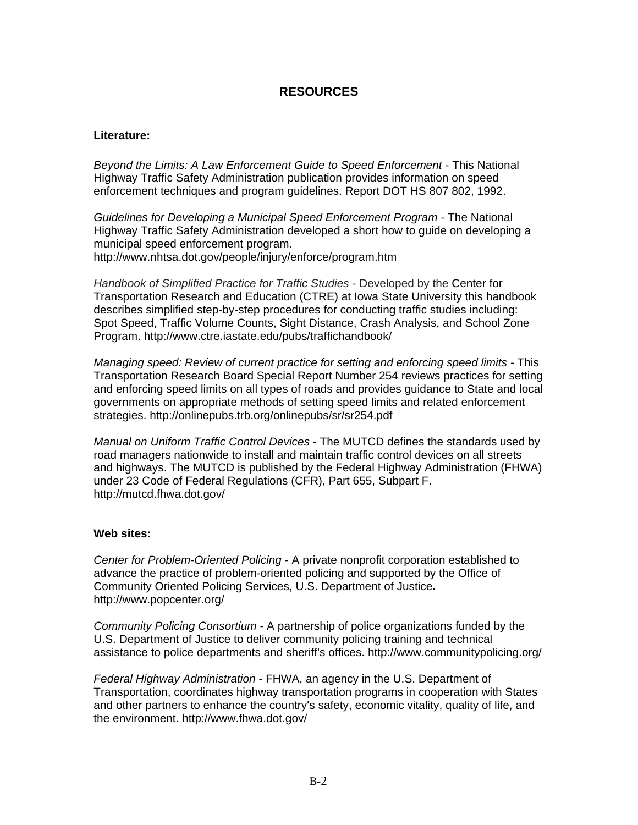## **RESOURCES**

#### **Literature:**

*Beyond the Limits: A Law Enforcement Guide to Speed Enforcement - This National* Highway Traffic Safety Administration publication provides information on speed enforcement techniques and program guidelines. Report DOT HS 807 802, 1992.

*Guidelines for Developing a Municipal Speed Enforcement Program -* The National Highway Traffic Safety Administration developed a short how to guide on developing a municipal speed enforcement program.

http://www.nhtsa.dot.gov/people/injury/enforce/program.htm

*Handbook of Simplified Practice for Traffic Studies* - Developed by the Center for Transportation Research and Education (CTRE) at Iowa State University this handbook describes simplified step-by-step procedures for conducting traffic studies including: Spot Speed, Traffic Volume Counts, Sight Distance, Crash Analysis, and School Zone Program. http://www.ctre.iastate.edu/pubs/traffichandbook/

*Managing speed: Review of current practice for setting and enforcing speed limits -* This Transportation Research Board Special Report Number 254 reviews practices for setting and enforcing speed limits on all types of roads and provides guidance to State and local governments on appropriate methods of setting speed limits and related enforcement strategies. http://onlinepubs.trb.org/onlinepubs/sr/sr254.pdf

*Manual on Uniform Traffic Control Devices* - The MUTCD defines the standards used by road managers nationwide to install and maintain traffic control devices on all streets and highways. The MUTCD is published by the Federal Highway Administration (FHWA) under 23 Code of Federal Regulations (CFR), Part 655, Subpart F. http://mutcd.fhwa.dot.gov/

#### **Web sites:**

*Center for Problem-Oriented Policing* - A private nonprofit corporation established to advance the practice of problem-oriented policing and supported by the Office of Community Oriented Policing Services, U.S. Department of Justice**.** http://www.popcenter.org/

*Community Policing Consortium* - A partnership of police organizations funded by the U.S. Department of Justice to deliver community policing training and technical assistance to police departments and sheriff's offices. http://www.communitypolicing.org/

*Federal Highway Administration* - FHWA, an agency in the U.S. Department of Transportation, coordinates highway transportation programs in cooperation with States and other partners to enhance the country's safety, economic vitality, quality of life, and the environment. http://www.fhwa.dot.gov/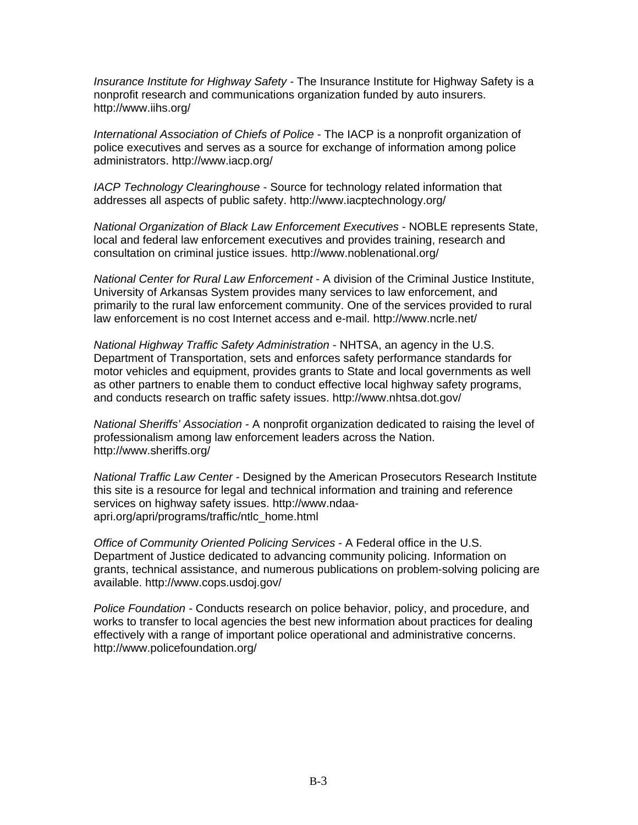*Insurance Institute for Highway Safety -* The Insurance Institute for Highway Safety is a nonprofit research and communications organization funded by auto insurers. http://www.iihs.org/

*International Association of Chiefs of Police* - The IACP is a nonprofit organization of police executives and serves as a source for exchange of information among police administrators. http://www.iacp.org/

*IACP Technology Clearinghouse* - Source for technology related information that addresses all aspects of public safety. http://www.iacptechnology.org/

*National Organization of Black Law Enforcement Executives* - NOBLE represents State, local and federal law enforcement executives and provides training, research and consultation on criminal justice issues. http://www.noblenational.org/

*National Center for Rural Law Enforcement* - A division of the Criminal Justice Institute, University of Arkansas System provides many services to law enforcement, and primarily to the rural law enforcement community. One of the services provided to rural law enforcement is no cost Internet access and e-mail. http://www.ncrle.net/

*National Highway Traffic Safety Administration* - NHTSA, an agency in the U.S. Department of Transportation, sets and enforces safety performance standards for motor vehicles and equipment, provides grants to State and local governments as well as other partners to enable them to conduct effective local highway safety programs, and conducts research on traffic safety issues. http://www.nhtsa.dot.gov/

*National Sheriffs' Association* - A nonprofit organization dedicated to raising the level of professionalism among law enforcement leaders across the Nation. http://www.sheriffs.org/

*National Traffic Law Center* - Designed by the American Prosecutors Research Institute this site is a resource for legal and technical information and training and reference services on highway safety issues. http://www.ndaaapri.org/apri/programs/traffic/ntlc\_home.html

*Office of Community Oriented Policing Services* - A Federal office in the U.S. Department of Justice dedicated to advancing community policing. Information on grants, technical assistance, and numerous publications on problem-solving policing are available. http://www.cops.usdoj.gov/

*Police Foundation -* Conducts research on police behavior, policy, and procedure, and works to transfer to local agencies the best new information about practices for dealing effectively with a range of important police operational and administrative concerns. http://www.policefoundation.org/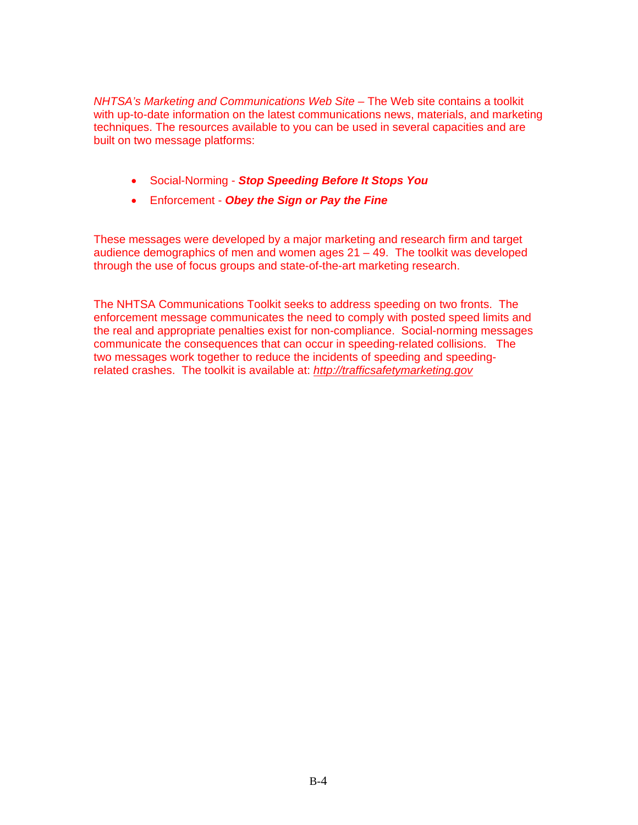*NHTSA's Marketing and Communications Web Site –* The Web site contains a toolkit with up-to-date information on the latest communications news, materials, and marketing techniques. The resources available to you can be used in several capacities and are built on two message platforms:

- Social-Norming *Stop Speeding Before It Stops You*
- Enforcement *Obey the Sign or Pay the Fine*

These messages were developed by a major marketing and research firm and target audience demographics of men and women ages  $21 - 49$ . The toolkit was developed through the use of focus groups and state-of-the-art marketing research.

The NHTSA Communications Toolkit seeks to address speeding on two fronts. The enforcement message communicates the need to comply with posted speed limits and the real and appropriate penalties exist for non-compliance. Social-norming messages communicate the consequences that can occur in speeding-related collisions. The two messages work together to reduce the incidents of speeding and speedingrelated crashes. The toolkit is available at: *http://trafficsafetymarketing.gov*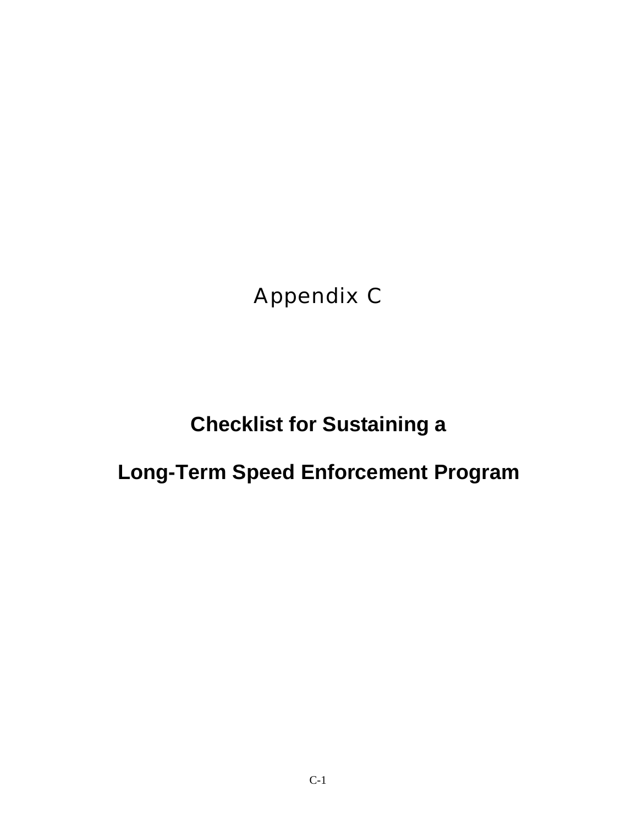Appendix C

## **Checklist for Sustaining a**

## **Long-Term Speed Enforcement Program**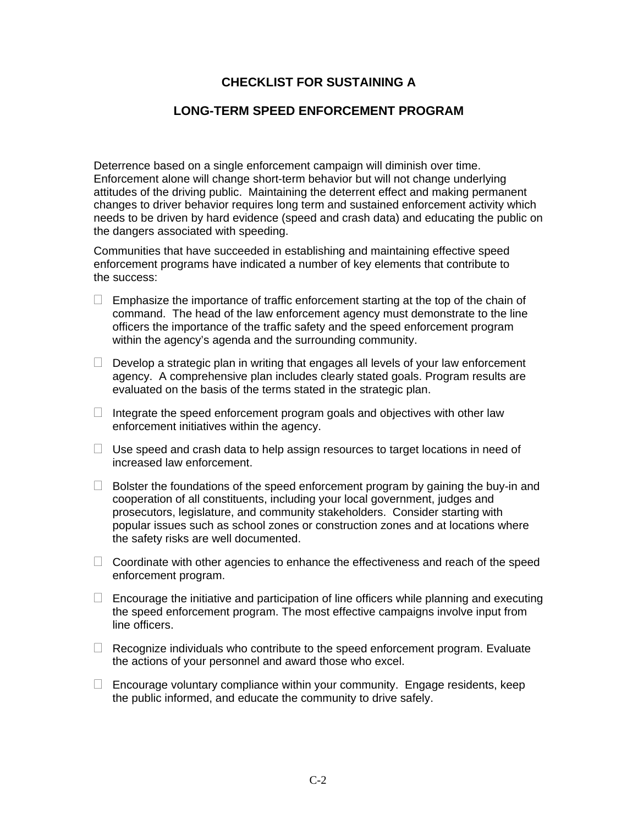## **CHECKLIST FOR SUSTAINING A**

## **LONG-TERM SPEED ENFORCEMENT PROGRAM**

Deterrence based on a single enforcement campaign will diminish over time. Enforcement alone will change short-term behavior but will not change underlying attitudes of the driving public. Maintaining the deterrent effect and making permanent changes to driver behavior requires long term and sustained enforcement activity which needs to be driven by hard evidence (speed and crash data) and educating the public on the dangers associated with speeding.

Communities that have succeeded in establishing and maintaining effective speed enforcement programs have indicated a number of key elements that contribute to the success:

- $\Box$  Emphasize the importance of traffic enforcement starting at the top of the chain of command. The head of the law enforcement agency must demonstrate to the line officers the importance of the traffic safety and the speed enforcement program within the agency's agenda and the surrounding community.
- $\Box$  Develop a strategic plan in writing that engages all levels of your law enforcement agency. A comprehensive plan includes clearly stated goals. Program results are evaluated on the basis of the terms stated in the strategic plan.
- $\Box$  Integrate the speed enforcement program goals and objectives with other law enforcement initiatives within the agency.
- $\Box$  Use speed and crash data to help assign resources to target locations in need of increased law enforcement.
- $\Box$  Bolster the foundations of the speed enforcement program by gaining the buy-in and cooperation of all constituents, including your local government, judges and prosecutors, legislature, and community stakeholders. Consider starting with popular issues such as school zones or construction zones and at locations where the safety risks are well documented.
- $\Box$  Coordinate with other agencies to enhance the effectiveness and reach of the speed enforcement program.
- $\Box$  Encourage the initiative and participation of line officers while planning and executing the speed enforcement program. The most effective campaigns involve input from line officers.
- $\Box$  Recognize individuals who contribute to the speed enforcement program. Evaluate the actions of your personnel and award those who excel.
- $\Box$  Encourage voluntary compliance within your community. Engage residents, keep the public informed, and educate the community to drive safely.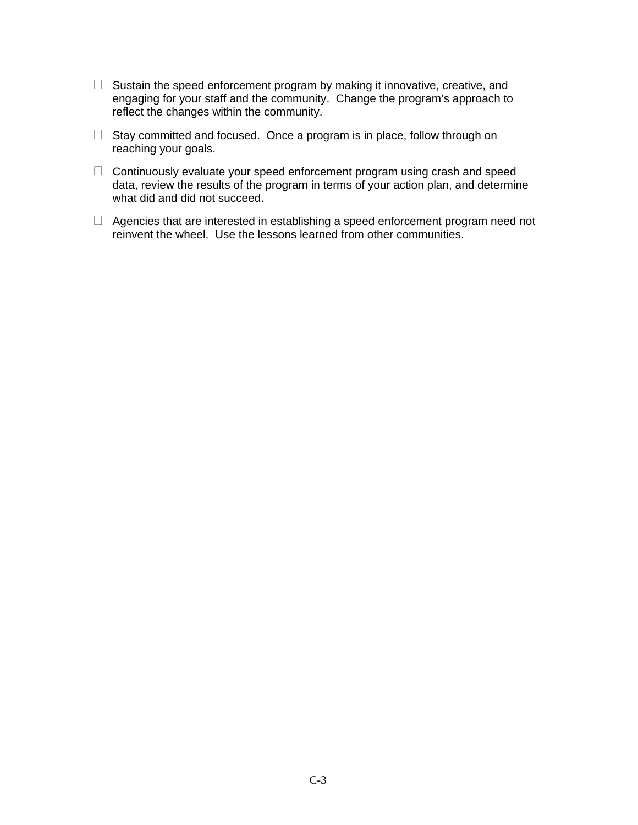- $\Box$  Sustain the speed enforcement program by making it innovative, creative, and engaging for your staff and the community. Change the program's approach to reflect the changes within the community.
- $\Box$  Stay committed and focused. Once a program is in place, follow through on reaching your goals.
- $\Box$  Continuously evaluate your speed enforcement program using crash and speed data, review the results of the program in terms of your action plan, and determine what did and did not succeed.
- $\Box$  Agencies that are interested in establishing a speed enforcement program need not reinvent the wheel. Use the lessons learned from other communities.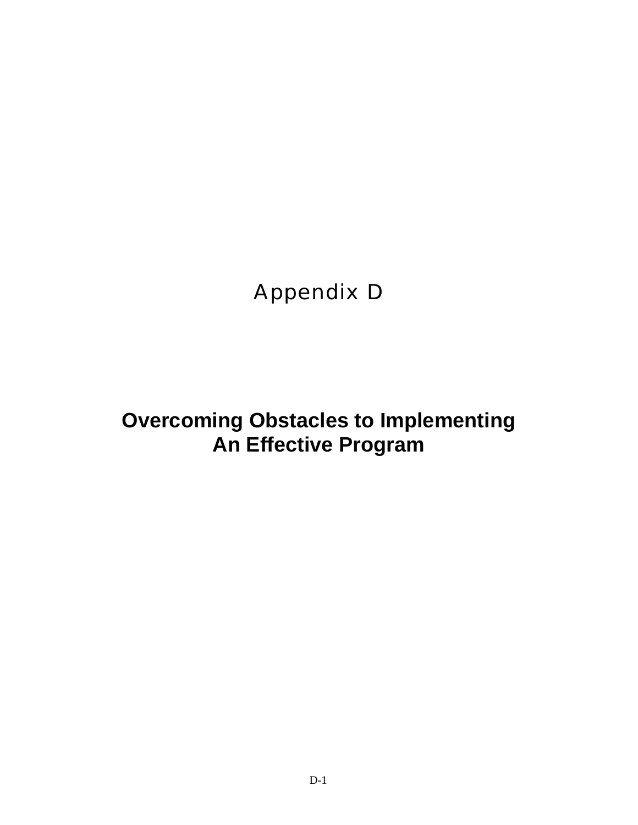Appendix D

**Overcoming Obstacles to Implementing An Effective Program**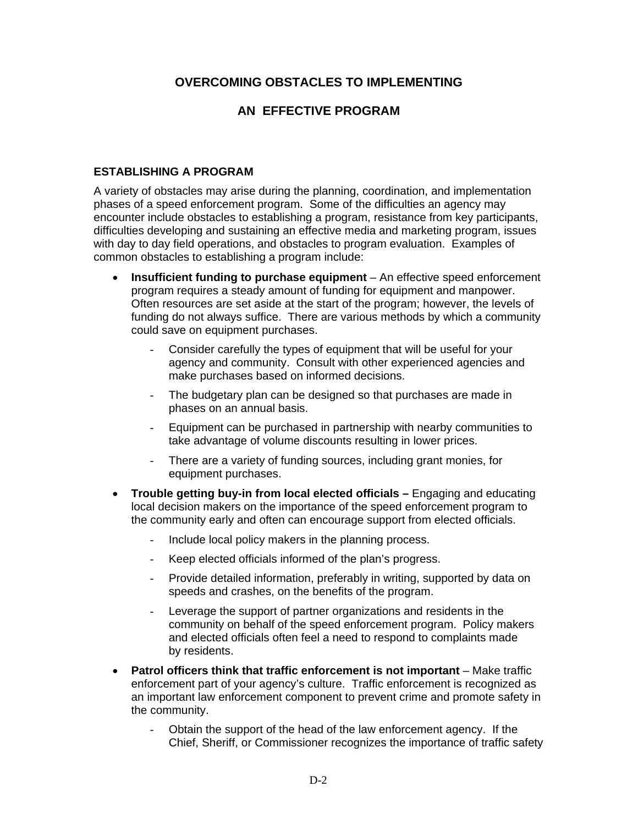## **OVERCOMING OBSTACLES TO IMPLEMENTING**

## **AN EFFECTIVE PROGRAM**

#### **ESTABLISHING A PROGRAM**

A variety of obstacles may arise during the planning, coordination, and implementation phases of a speed enforcement program. Some of the difficulties an agency may encounter include obstacles to establishing a program, resistance from key participants, difficulties developing and sustaining an effective media and marketing program, issues with day to day field operations, and obstacles to program evaluation. Examples of common obstacles to establishing a program include:

- **Insufficient funding to purchase equipment** An effective speed enforcement program requires a steady amount of funding for equipment and manpower. Often resources are set aside at the start of the program; however, the levels of funding do not always suffice. There are various methods by which a community could save on equipment purchases.
	- Consider carefully the types of equipment that will be useful for your agency and community. Consult with other experienced agencies and make purchases based on informed decisions.
	- The budgetary plan can be designed so that purchases are made in phases on an annual basis.
	- Equipment can be purchased in partnership with nearby communities to take advantage of volume discounts resulting in lower prices.
	- There are a variety of funding sources, including grant monies, for equipment purchases.
- **Trouble getting buy-in from local elected officials** Engaging and educating local decision makers on the importance of the speed enforcement program to the community early and often can encourage support from elected officials.
	- Include local policy makers in the planning process.
	- Keep elected officials informed of the plan's progress.
	- Provide detailed information, preferably in writing, supported by data on speeds and crashes, on the benefits of the program.
	- Leverage the support of partner organizations and residents in the community on behalf of the speed enforcement program. Policy makers and elected officials often feel a need to respond to complaints made by residents.
- Patrol officers think that traffic enforcement is not important Make traffic enforcement part of your agency's culture. Traffic enforcement is recognized as an important law enforcement component to prevent crime and promote safety in the community.
	- Obtain the support of the head of the law enforcement agency. If the Chief, Sheriff, or Commissioner recognizes the importance of traffic safety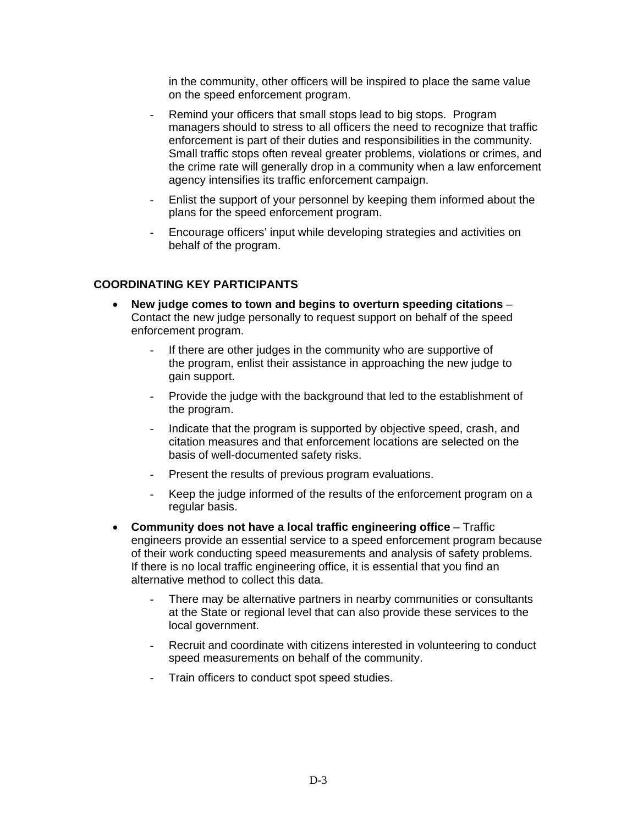in the community, other officers will be inspired to place the same value on the speed enforcement program.

- Remind your officers that small stops lead to big stops. Program managers should to stress to all officers the need to recognize that traffic enforcement is part of their duties and responsibilities in the community. Small traffic stops often reveal greater problems, violations or crimes, and the crime rate will generally drop in a community when a law enforcement agency intensifies its traffic enforcement campaign.
- Enlist the support of your personnel by keeping them informed about the plans for the speed enforcement program.
- Encourage officers' input while developing strategies and activities on behalf of the program.

#### **COORDINATING KEY PARTICIPANTS**

- **New judge comes to town and begins to overturn speeding citations** Contact the new judge personally to request support on behalf of the speed enforcement program.
	- If there are other judges in the community who are supportive of the program, enlist their assistance in approaching the new judge to gain support.
	- Provide the judge with the background that led to the establishment of the program.
	- Indicate that the program is supported by objective speed, crash, and citation measures and that enforcement locations are selected on the basis of well-documented safety risks.
	- Present the results of previous program evaluations.
	- Keep the judge informed of the results of the enforcement program on a regular basis.
- **Community does not have a local traffic engineering office**  Traffic engineers provide an essential service to a speed enforcement program because of their work conducting speed measurements and analysis of safety problems. If there is no local traffic engineering office, it is essential that you find an alternative method to collect this data.
	- There may be alternative partners in nearby communities or consultants at the State or regional level that can also provide these services to the local government.
	- Recruit and coordinate with citizens interested in volunteering to conduct speed measurements on behalf of the community.
	- Train officers to conduct spot speed studies.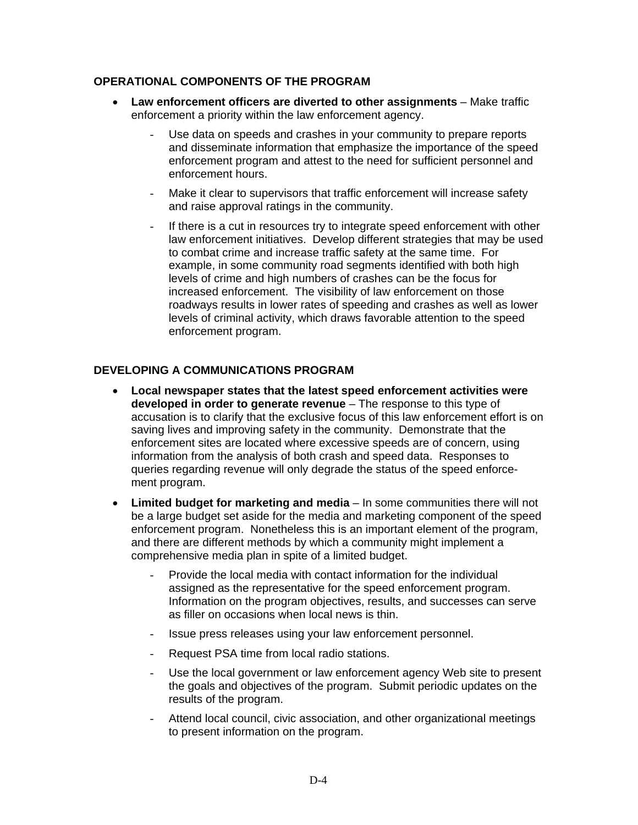### **OPERATIONAL COMPONENTS OF THE PROGRAM**

- **Law enforcement officers are diverted to other assignments**  Make traffic enforcement a priority within the law enforcement agency.
	- Use data on speeds and crashes in your community to prepare reports and disseminate information that emphasize the importance of the speed enforcement program and attest to the need for sufficient personnel and enforcement hours.
	- Make it clear to supervisors that traffic enforcement will increase safety and raise approval ratings in the community.
	- If there is a cut in resources try to integrate speed enforcement with other law enforcement initiatives. Develop different strategies that may be used to combat crime and increase traffic safety at the same time. For example, in some community road segments identified with both high levels of crime and high numbers of crashes can be the focus for increased enforcement. The visibility of law enforcement on those roadways results in lower rates of speeding and crashes as well as lower levels of criminal activity, which draws favorable attention to the speed enforcement program.

## **DEVELOPING A COMMUNICATIONS PROGRAM**

- **Local newspaper states that the latest speed enforcement activities were developed in order to generate revenue** – The response to this type of accusation is to clarify that the exclusive focus of this law enforcement effort is on saving lives and improving safety in the community. Demonstrate that the enforcement sites are located where excessive speeds are of concern, using information from the analysis of both crash and speed data. Responses to queries regarding revenue will only degrade the status of the speed enforcement program.
- **Limited budget for marketing and media**  In some communities there will not be a large budget set aside for the media and marketing component of the speed enforcement program. Nonetheless this is an important element of the program, and there are different methods by which a community might implement a comprehensive media plan in spite of a limited budget.
	- Provide the local media with contact information for the individual assigned as the representative for the speed enforcement program. Information on the program objectives, results, and successes can serve as filler on occasions when local news is thin.
	- Issue press releases using your law enforcement personnel.
	- Request PSA time from local radio stations.
	- Use the local government or law enforcement agency Web site to present the goals and objectives of the program. Submit periodic updates on the results of the program.
	- Attend local council, civic association, and other organizational meetings to present information on the program.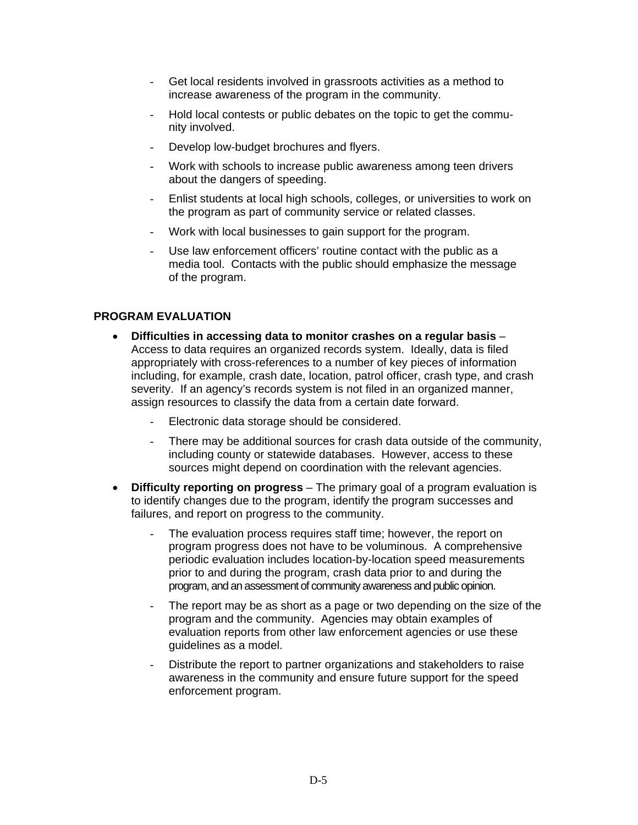- Get local residents involved in grassroots activities as a method to increase awareness of the program in the community.
- Hold local contests or public debates on the topic to get the community involved.
- Develop low-budget brochures and flyers.
- Work with schools to increase public awareness among teen drivers about the dangers of speeding.
- Enlist students at local high schools, colleges, or universities to work on the program as part of community service or related classes.
- Work with local businesses to gain support for the program.
- Use law enforcement officers' routine contact with the public as a media tool. Contacts with the public should emphasize the message of the program.

#### **PROGRAM EVALUATION**

- **Difficulties in accessing data to monitor crashes on a regular basis**  Access to data requires an organized records system. Ideally, data is filed appropriately with cross-references to a number of key pieces of information including, for example, crash date, location, patrol officer, crash type, and crash severity. If an agency's records system is not filed in an organized manner, assign resources to classify the data from a certain date forward.
	- Electronic data storage should be considered.
	- There may be additional sources for crash data outside of the community, including county or statewide databases. However, access to these sources might depend on coordination with the relevant agencies.
- **Difficulty reporting on progress**  The primary goal of a program evaluation is to identify changes due to the program, identify the program successes and failures, and report on progress to the community.
	- The evaluation process requires staff time; however, the report on program progress does not have to be voluminous. A comprehensive periodic evaluation includes location-by-location speed measurements prior to and during the program, crash data prior to and during the program, and an assessment of community awareness and public opinion.
	- The report may be as short as a page or two depending on the size of the program and the community. Agencies may obtain examples of evaluation reports from other law enforcement agencies or use these guidelines as a model.
	- Distribute the report to partner organizations and stakeholders to raise awareness in the community and ensure future support for the speed enforcement program.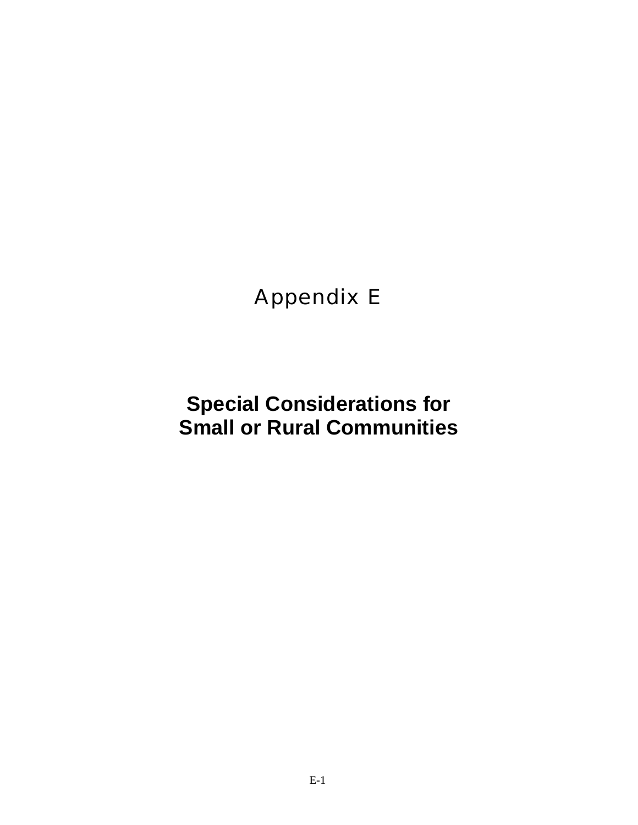## Appendix E

## **Special Considerations for Small or Rural Communities**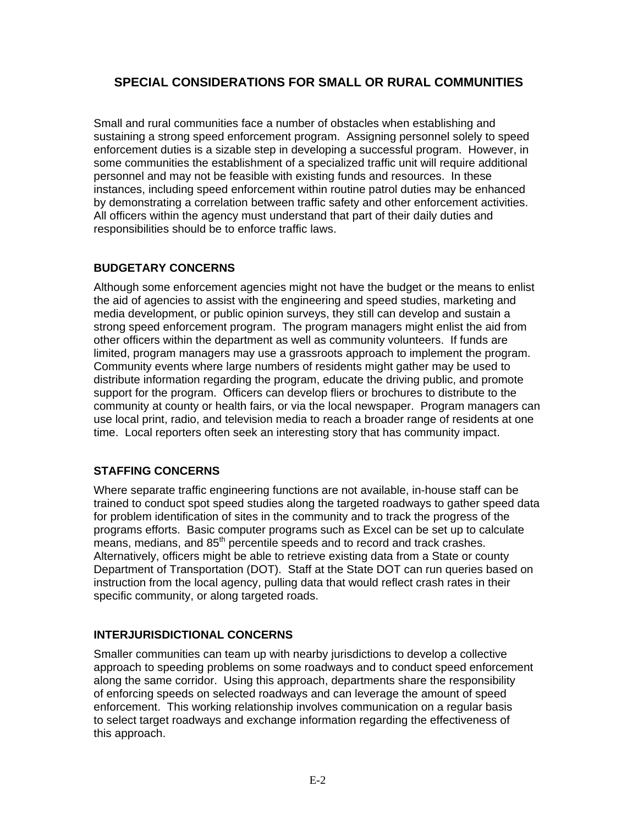## **SPECIAL CONSIDERATIONS FOR SMALL OR RURAL COMMUNITIES**

Small and rural communities face a number of obstacles when establishing and sustaining a strong speed enforcement program. Assigning personnel solely to speed enforcement duties is a sizable step in developing a successful program. However, in some communities the establishment of a specialized traffic unit will require additional personnel and may not be feasible with existing funds and resources. In these instances, including speed enforcement within routine patrol duties may be enhanced by demonstrating a correlation between traffic safety and other enforcement activities. All officers within the agency must understand that part of their daily duties and responsibilities should be to enforce traffic laws.

## **BUDGETARY CONCERNS**

Although some enforcement agencies might not have the budget or the means to enlist the aid of agencies to assist with the engineering and speed studies, marketing and media development, or public opinion surveys, they still can develop and sustain a strong speed enforcement program. The program managers might enlist the aid from other officers within the department as well as community volunteers. If funds are limited, program managers may use a grassroots approach to implement the program. Community events where large numbers of residents might gather may be used to distribute information regarding the program, educate the driving public, and promote support for the program. Officers can develop fliers or brochures to distribute to the community at county or health fairs, or via the local newspaper. Program managers can use local print, radio, and television media to reach a broader range of residents at one time. Local reporters often seek an interesting story that has community impact.

## **STAFFING CONCERNS**

Where separate traffic engineering functions are not available, in-house staff can be trained to conduct spot speed studies along the targeted roadways to gather speed data for problem identification of sites in the community and to track the progress of the programs efforts. Basic computer programs such as Excel can be set up to calculate means, medians, and  $85<sup>th</sup>$  percentile speeds and to record and track crashes. Alternatively, officers might be able to retrieve existing data from a State or county Department of Transportation (DOT). Staff at the State DOT can run queries based on instruction from the local agency, pulling data that would reflect crash rates in their specific community, or along targeted roads.

#### **INTERJURISDICTIONAL CONCERNS**

Smaller communities can team up with nearby jurisdictions to develop a collective approach to speeding problems on some roadways and to conduct speed enforcement along the same corridor. Using this approach, departments share the responsibility of enforcing speeds on selected roadways and can leverage the amount of speed enforcement. This working relationship involves communication on a regular basis to select target roadways and exchange information regarding the effectiveness of this approach.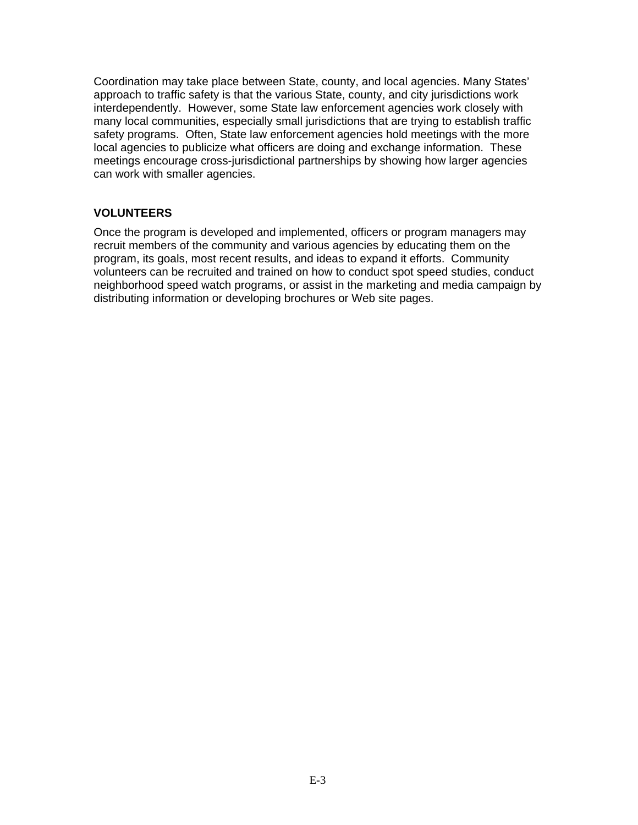Coordination may take place between State, county, and local agencies. Many States' approach to traffic safety is that the various State, county, and city jurisdictions work interdependently. However, some State law enforcement agencies work closely with many local communities, especially small jurisdictions that are trying to establish traffic safety programs. Often, State law enforcement agencies hold meetings with the more local agencies to publicize what officers are doing and exchange information. These meetings encourage cross-jurisdictional partnerships by showing how larger agencies can work with smaller agencies.

## **VOLUNTEERS**

Once the program is developed and implemented, officers or program managers may recruit members of the community and various agencies by educating them on the program, its goals, most recent results, and ideas to expand it efforts. Community volunteers can be recruited and trained on how to conduct spot speed studies, conduct neighborhood speed watch programs, or assist in the marketing and media campaign by distributing information or developing brochures or Web site pages.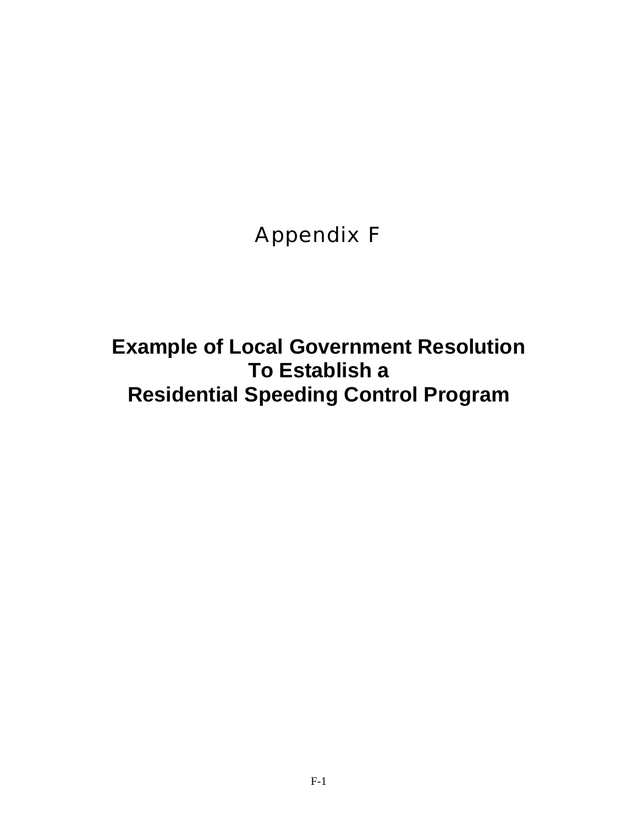Appendix F

**Example of Local Government Resolution To Establish a Residential Speeding Control Program**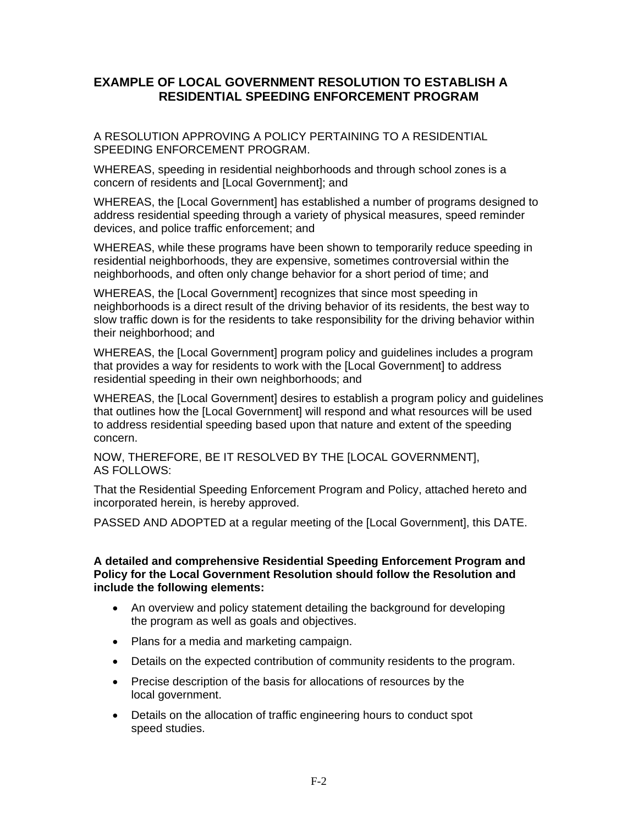## **EXAMPLE OF LOCAL GOVERNMENT RESOLUTION TO ESTABLISH A RESIDENTIAL SPEEDING ENFORCEMENT PROGRAM**

A RESOLUTION APPROVING A POLICY PERTAINING TO A RESIDENTIAL SPEEDING ENFORCEMENT PROGRAM.

WHEREAS, speeding in residential neighborhoods and through school zones is a concern of residents and [Local Government]; and

WHEREAS, the [Local Government] has established a number of programs designed to address residential speeding through a variety of physical measures, speed reminder devices, and police traffic enforcement; and

WHEREAS, while these programs have been shown to temporarily reduce speeding in residential neighborhoods, they are expensive, sometimes controversial within the neighborhoods, and often only change behavior for a short period of time; and

WHEREAS, the [Local Government] recognizes that since most speeding in neighborhoods is a direct result of the driving behavior of its residents, the best way to slow traffic down is for the residents to take responsibility for the driving behavior within their neighborhood; and

WHEREAS, the [Local Government] program policy and guidelines includes a program that provides a way for residents to work with the [Local Government] to address residential speeding in their own neighborhoods; and

WHEREAS, the [Local Government] desires to establish a program policy and guidelines that outlines how the [Local Government] will respond and what resources will be used to address residential speeding based upon that nature and extent of the speeding concern.

NOW, THEREFORE, BE IT RESOLVED BY THE [LOCAL GOVERNMENT], AS FOLLOWS:

That the Residential Speeding Enforcement Program and Policy, attached hereto and incorporated herein, is hereby approved.

PASSED AND ADOPTED at a regular meeting of the [Local Government], this DATE.

**A detailed and comprehensive Residential Speeding Enforcement Program and Policy for the Local Government Resolution should follow the Resolution and include the following elements:** 

- An overview and policy statement detailing the background for developing the program as well as goals and objectives.
- Plans for a media and marketing campaign.
- Details on the expected contribution of community residents to the program.
- Precise description of the basis for allocations of resources by the local government.
- Details on the allocation of traffic engineering hours to conduct spot speed studies.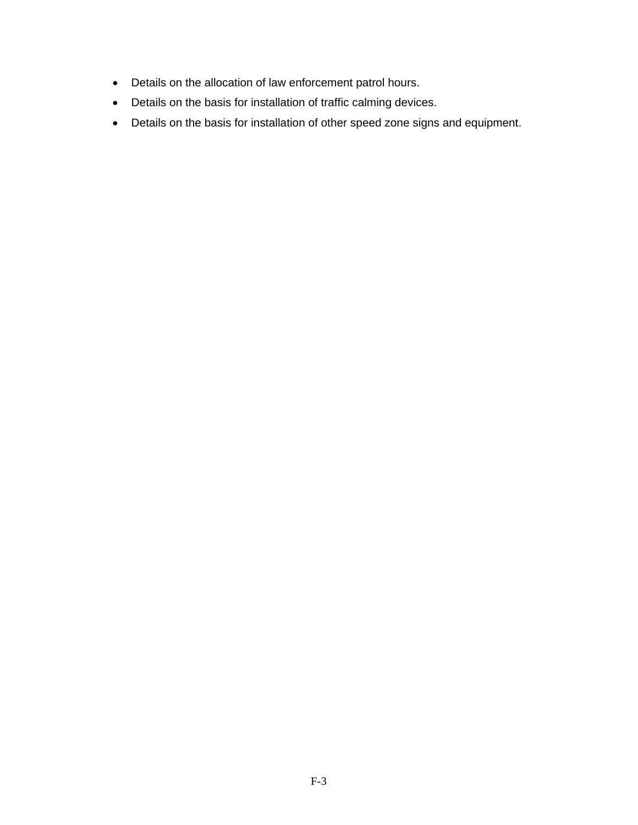- Details on the allocation of law enforcement patrol hours.
- Details on the basis for installation of traffic calming devices.
- Details on the basis for installation of other speed zone signs and equipment.